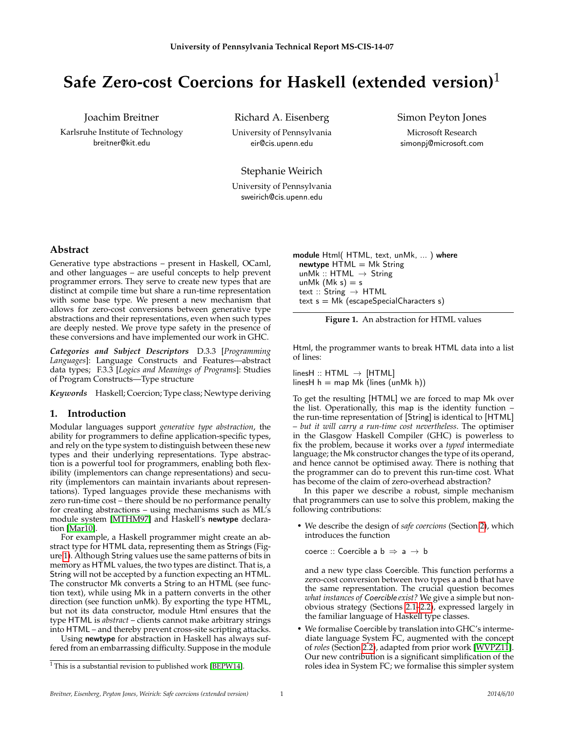# **Safe Zero-cost Coercions for Haskell (extended version)**<sup>1</sup>

Joachim Breitner Karlsruhe Institute of Technology breitner@kit.edu

Richard A. Eisenberg

University of Pennsylvania eir@cis.upenn.edu

## Simon Peyton Jones

Microsoft Research simonpj@microsoft.com

Stephanie Weirich

University of Pennsylvania sweirich@cis.upenn.edu

## **Abstract**

Generative type abstractions – present in Haskell, OCaml, and other languages – are useful concepts to help prevent programmer errors. They serve to create new types that are distinct at compile time but share a run-time representation with some base type. We present a new mechanism that allows for zero-cost conversions between generative type abstractions and their representations, even when such types are deeply nested. We prove type safety in the presence of these conversions and have implemented our work in GHC.

*Categories and Subject Descriptors* D.3.3 [*Programming Languages*]: Language Constructs and Features—abstract data types; F.3.3 [*Logics and Meanings of Programs*]: Studies of Program Constructs—Type structure

*Keywords* Haskell; Coercion; Type class; Newtype deriving

## **1. Introduction**

Modular languages support *generative type abstraction*, the ability for programmers to define application-specific types, and rely on the type system to distinguish between these new types and their underlying representations. Type abstraction is a powerful tool for programmers, enabling both flexibility (implementors can change representations) and security (implementors can maintain invariants about representations). Typed languages provide these mechanisms with zero run-time cost – there should be no performance penalty for creating abstractions – using mechanisms such as ML's module system [\[MTHM97\]](#page-13-0) and Haskell's newtype declaration [\[Mar10\]](#page-13-1).

For example, a Haskell programmer might create an abstract type for HTML data, representing them as Strings (Figure [1\)](#page-0-0). Although String values use the same patterns of bits in memory as HTML values, the two types are distinct. That is, a String will not be accepted by a function expecting an HTML. The constructor Mk converts a String to an HTML (see function text), while using Mk in a pattern converts in the other direction (see function unMk). By exporting the type HTML, but not its data constructor, module Html ensures that the type HTML is *abstract* – clients cannot make arbitrary strings into HTML – and thereby prevent cross-site scripting attacks.

Using newtype for abstraction in Haskell has always suffered from an embarrassing difficulty. Suppose in the module module Html( HTML, text, unMk, ... ) where newtype  $H\dot{T}ML = Mk$  String  $unMk :: HTML \rightarrow String$ unMk  $(Mk s) = s$ text :: String  $\rightarrow$  HTML text  $s = MK$  (escapeSpecialCharacters s)

<span id="page-0-0"></span>

Html, the programmer wants to break HTML data into a list of lines:

linesH ::  $HTML \rightarrow$  [HTML] linesH  $h =$  map Mk (lines (unMk h))

To get the resulting [HTML] we are forced to map Mk over the list. Operationally, this map is the identity function – the run-time representation of [String] is identical to [HTML] – *but it will carry a run-time cost nevertheless*. The optimiser in the Glasgow Haskell Compiler (GHC) is powerless to fix the problem, because it works over a *typed* intermediate language; the Mk constructor changes the type of its operand, and hence cannot be optimised away. There is nothing that the programmer can do to prevent this run-time cost. What has become of the claim of zero-overhead abstraction?

In this paper we describe a robust, simple mechanism that programmers can use to solve this problem, making the following contributions:

• We describe the design of *safe coercions* (Section [2\)](#page-1-0), which introduces the function

coerce :: Coercible a  $b \Rightarrow a \rightarrow b$ 

and a new type class Coercible. This function performs a zero-cost conversion between two types a and b that have the same representation. The crucial question becomes *what instances of* Coercible *exist?* We give a simple but nonobvious strategy (Sections [2.1](#page-1-1)[–2.2\)](#page-2-0), expressed largely in the familiar language of Haskell type classes.

• We formalise Coercible by translation into GHC's intermediate language System FC, augmented with the concept of *roles* (Section [2.2\)](#page-2-0), adapted from prior work [\[WVPZ11\]](#page-13-3). Our new contribution is a significant simplification of the roles idea in System FC; we formalise this simpler system

<sup>&</sup>lt;sup>1</sup> This is a substantial revision to published work [\[BEPW14\]](#page-13-2).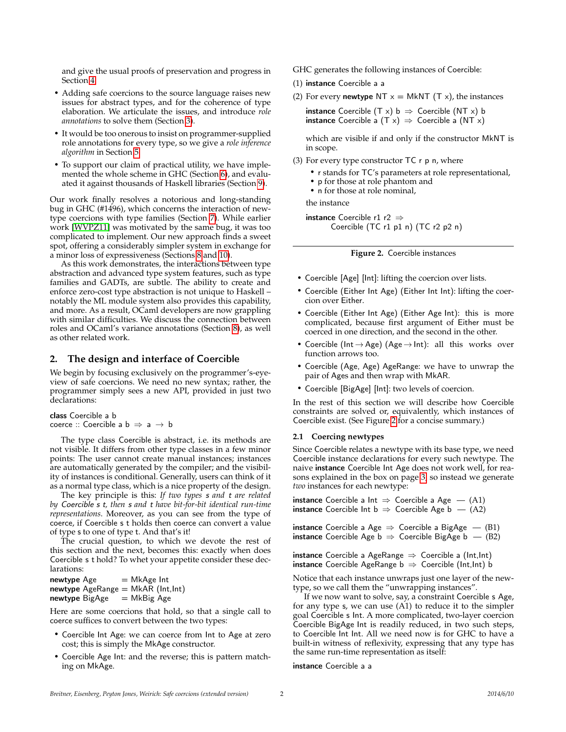and give the usual proofs of preservation and progress in Section [4.](#page-4-0)

- Adding safe coercions to the source language raises new issues for abstract types, and for the coherence of type elaboration. We articulate the issues, and introduce *role annotations* to solve them (Section [3\)](#page-3-0).
- It would be too onerous to insist on programmer-supplied role annotations for every type, so we give a *role inference algorithm* in Section [5.](#page-8-0)
- To support our claim of practical utility, we have implemented the whole scheme in GHC (Section [6\)](#page-9-0), and evaluated it against thousands of Haskell libraries (Section [9\)](#page-12-0).

Our work finally resolves a notorious and long-standing bug in GHC (#1496), which concerns the interaction of newtype coercions with type families (Section [7\)](#page-11-0). While earlier work [\[WVPZ11\]](#page-13-3) was motivated by the same bug, it was too complicated to implement. Our new approach finds a sweet spot, offering a considerably simpler system in exchange for a minor loss of expressiveness (Sections [8](#page-11-1) and [10\)](#page-12-1).

As this work demonstrates, the interactions between type abstraction and advanced type system features, such as type families and GADTs, are subtle. The ability to create and enforce zero-cost type abstraction is not unique to Haskell – notably the ML module system also provides this capability, and more. As a result, OCaml developers are now grappling with similar difficulties. We discuss the connection between roles and OCaml's variance annotations (Section [8\)](#page-11-1), as well as other related work.

## <span id="page-1-0"></span>**2. The design and interface of** Coercible

We begin by focusing exclusively on the programmer's-eyeview of safe coercions. We need no new syntax; rather, the programmer simply sees a new API, provided in just two declarations:

#### class Coercible a b

coerce :: Coercible a  $b \Rightarrow a \rightarrow b$ 

The type class Coercible is abstract, i.e. its methods are not visible. It differs from other type classes in a few minor points: The user cannot create manual instances; instances are automatically generated by the compiler; and the visibility of instances is conditional. Generally, users can think of it as a normal type class, which is a nice property of the design.

The key principle is this: *If two types* s *and* t *are related by* Coercible s t*, then* s *and* t *have bit-for-bit identical run-time representations*. Moreover, as you can see from the type of coerce, if Coercible s t holds then coerce can convert a value of type s to one of type t. And that's it!

The crucial question, to which we devote the rest of this section and the next, becomes this: exactly when does Coercible s t hold? To whet your appetite consider these declarations:

 $newtype Age = MkAge Int$  $newtype AgeRange = MkAR (Int,Int)$  $newtype BigAge = MkBig Age$ 

Here are some coercions that hold, so that a single call to coerce suffices to convert between the two types:

- Coercible Int Age: we can coerce from Int to Age at zero cost; this is simply the MkAge constructor.
- Coercible Age Int: and the reverse; this is pattern matching on MkAge.
- GHC generates the following instances of Coercible:
- (1) instance Coercible a a
- <span id="page-1-3"></span>(2) For every **newtype** NT  $x = MkNT$  (T x), the instances

**instance** Coercible  $(T \times)$  b  $\Rightarrow$  Coercible (NT  $\times$ ) b **instance** Coercible a  $(T \times) \Rightarrow$  Coercible a  $(NT \times)$ 

which are visible if and only if the constructor MkNT is in scope.

- (3) For every type constructor  $TC$  r  $p$  n, where
	- r stands for TC's parameters at role representational,
	- p for those at role phantom and
	- n for those at role nominal,

the instance

instance Coercible r1 r2 ⇒ Coercible (TC r1 p1 n) (TC r2 p2 n)

<span id="page-1-2"></span>

- Coercible [Age] [Int]: lifting the coercion over lists.
- Coercible (Either Int Age) (Either Int Int): lifting the coercion over Either.
- Coercible (Either Int Age) (Either Age Int): this is more complicated, because first argument of Either must be coerced in one direction, and the second in the other.
- Coercible ( $Int \rightarrow Age$ ) (Age  $\rightarrow Int$ ): all this works over function arrows too.
- Coercible (Age, Age) AgeRange: we have to unwrap the pair of Ages and then wrap with MkAR.
- Coercible [BigAge] [Int]: two levels of coercion.

In the rest of this section we will describe how Coercible constraints are solved or, equivalently, which instances of Coercible exist. (See Figure [2](#page-1-2) for a concise summary.)

#### <span id="page-1-1"></span>**2.1 Coercing newtypes**

Since Coercible relates a newtype with its base type, we need Coercible instance declarations for every such newtype. The naive instance Coercible Int Age does not work well, for reasons explained in the box on page [3,](#page-2-1) so instead we generate *two* instances for each newtype:

**instance** Coercible a Int  $\Rightarrow$  Coercible a Age  $-$  (A1) **instance** Coercible Int **b**  $\Rightarrow$  Coercible Age **b** − (A2)

instance Coercible a Age  $\Rightarrow$  Coercible a BigAge  $-$  (B1) **instance** Coercible Age  $b$   $\Rightarrow$  Coercible BigAge  $b$  − (B2)

instance Coercible a AgeRange  $\Rightarrow$  Coercible a (Int, Int) instance Coercible AgeRange  $b \Rightarrow$  Coercible (Int, Int) b

Notice that each instance unwraps just one layer of the newtype, so we call them the "unwrapping instances".

If we now want to solve, say, a constraint Coercible s Age, for any type  $s$ , we can use  $(A1)$  to reduce it to the simpler goal Coercible s Int. A more complicated, two-layer coercion Coercible BigAge Int is readily reduced, in two such steps, to Coercible Int Int. All we need now is for GHC to have a built-in witness of reflexivity, expressing that any type has the same run-time representation as itself:

instance Coercible a a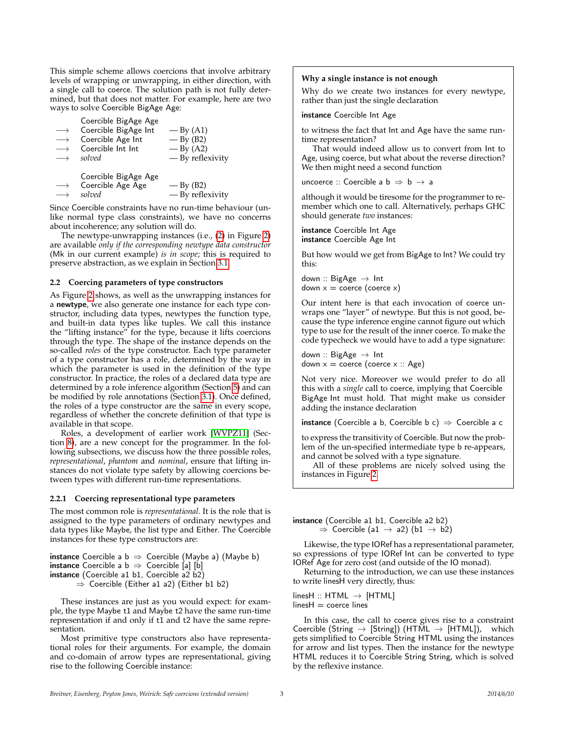This simple scheme allows coercions that involve arbitrary levels of wrapping or unwrapping, in either direction, with a single call to coerce. The solution path is not fully determined, but that does not matter. For example, here are two ways to solve Coercible BigAge Age:

Coercible BigAge Age

|                   | $\longrightarrow$ Coercible BigAge Int |                  |
|-------------------|----------------------------------------|------------------|
|                   |                                        | $-$ By (A1)      |
|                   | $\longrightarrow$ Coercible Age Int    | $-$ By (B2)      |
|                   | $\longrightarrow$ Coercible Int Int    | $-$ By (A2)      |
| $\longrightarrow$ | solved                                 | — By reflexivity |
|                   |                                        |                  |

Coercible BigAge Age

| $\longrightarrow$ | Coercible Age Age | $-$ By (B2)      |
|-------------------|-------------------|------------------|
| $\longrightarrow$ | solved            | — By reflexivity |

Since Coercible constraints have no run-time behaviour (unlike normal type class constraints), we have no concerns about incoherence; any solution will do.

The newtype-unwrapping instances (i.e., [\(2\)](#page-1-3) in Figure [2\)](#page-1-2) are available *only if the corresponding newtype data constructor* (Mk in our current example) *is in scope*; this is required to preserve abstraction, as we explain in Section [3.1.](#page-3-1)

#### <span id="page-2-0"></span>**2.2 Coercing parameters of type constructors**

As Figure [2](#page-1-2) shows, as well as the unwrapping instances for a newtype, we also generate one instance for each type constructor, including data types, newtypes the function type, and built-in data types like tuples. We call this instance the "lifting instance" for the type, because it lifts coercions through the type. The shape of the instance depends on the so-called *roles* of the type constructor. Each type parameter of a type constructor has a role, determined by the way in which the parameter is used in the definition of the type constructor. In practice, the roles of a declared data type are determined by a role inference algorithm (Section [5\)](#page-8-0) and can be modified by role annotations (Section [3.1\)](#page-3-1). Once defined, the roles of a type constructor are the same in every scope, regardless of whether the concrete definition of that type is available in that scope.

Roles, a development of earlier work [\[WVPZ11\]](#page-13-3) (Section [8\)](#page-11-1), are a new concept for the programmer. In the following subsections, we discuss how the three possible roles, *representational*, *phantom* and *nominal*, ensure that lifting instances do not violate type safety by allowing coercions between types with different run-time representations.

#### **2.2.1 Coercing representational type parameters**

The most common role is *representational*. It is the role that is assigned to the type parameters of ordinary newtypes and data types like Maybe, the list type and Either. The Coercible instances for these type constructors are:

**instance** Coercible a  $b \Rightarrow$  Coercible (Maybe a) (Maybe b) **instance** Coercible a  $b \Rightarrow$  Coercible [a] [b] instance (Coercible a1 b1, Coercible a2 b2)  $\Rightarrow$  Coercible (Either a1 a2) (Either b1 b2)

These instances are just as you would expect: for example, the type Maybe t1 and Maybe t2 have the same run-time representation if and only if t1 and t2 have the same representation.

Most primitive type constructors also have representational roles for their arguments. For example, the domain and co-domain of arrow types are representational, giving rise to the following Coercible instance:

#### <span id="page-2-1"></span>**Why a single instance is not enough**

Why do we create two instances for every newtype, rather than just the single declaration

instance Coercible Int Age

to witness the fact that Int and Age have the same runtime representation?

That would indeed allow us to convert from Int to Age, using coerce, but what about the reverse direction? We then might need a second function

uncoerce :: Coercible a  $b \Rightarrow b \rightarrow a$ 

although it would be tiresome for the programmer to remember which one to call. Alternatively, perhaps GHC should generate *two* instances:

instance Coercible Int Age instance Coercible Age Int

But how would we get from BigAge to Int? We could try this:

down :: BigAge  $\rightarrow$  Int  $down x = core (coerce x)$ 

Our intent here is that each invocation of coerce unwraps one "layer" of newtype. But this is not good, because the type inference engine cannot figure out which type to use for the result of the inner coerce. To make the code typecheck we would have to add a type signature:

down :: BigAge  $\rightarrow$  Int down  $x =$  coerce (coerce  $x ::$  Age)

Not very nice. Moreover we would prefer to do all this with a *single* call to coerce, implying that Coercible BigAge Int must hold. That might make us consider adding the instance declaration

**instance** (Coercible a b, Coercible b c)  $\Rightarrow$  Coercible a c

to express the transitivity of Coercible. But now the problem of the un-specified intermediate type b re-appears, and cannot be solved with a type signature.

All of these problems are nicely solved using the instances in Figure [2.](#page-1-2)

instance (Coercible a1 b1, Coercible a2 b2)  $\Rightarrow$  Coercible (a1 → a2) (b1 → b2)

Likewise, the type IORef has a representational parameter, so expressions of type IORef Int can be converted to type IORef Age for zero cost (and outside of the IO monad).

Returning to the introduction, we can use these instances to write linesH very directly, thus:

linesH :: HTML  $\rightarrow$  [HTML]  $linesH = core lines$ 

In this case, the call to coerce gives rise to a constraint Coercible (String  $\rightarrow$  [String]) (HTML  $\rightarrow$  [HTML]), which gets simplified to Coercible String HTML using the instances for arrow and list types. Then the instance for the newtype HTML reduces it to Coercible String String, which is solved by the reflexive instance.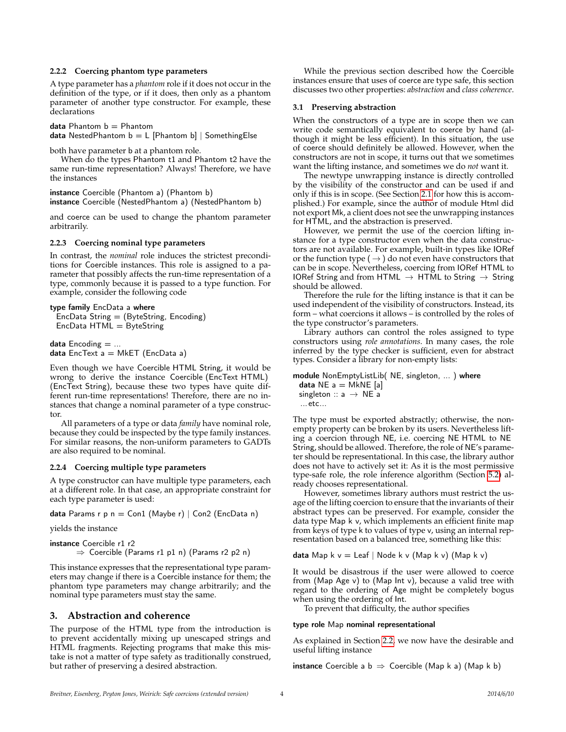#### **2.2.2 Coercing phantom type parameters**

A type parameter has a *phantom* role if it does not occur in the definition of the type, or if it does, then only as a phantom parameter of another type constructor. For example, these declarations

data Phantom  $b =$  Phantom

data NestedPhantom  $b = L$  [Phantom b] | SomethingElse

both have parameter b at a phantom role.

When do the types Phantom t1 and Phantom t2 have the same run-time representation? Always! Therefore, we have the instances

instance Coercible (Phantom a) (Phantom b) instance Coercible (NestedPhantom a) (NestedPhantom b)

and coerce can be used to change the phantom parameter arbitrarily.

#### <span id="page-3-2"></span>**2.2.3 Coercing nominal type parameters**

In contrast, the *nominal* role induces the strictest preconditions for Coercible instances. This role is assigned to a parameter that possibly affects the run-time representation of a type, commonly because it is passed to a type function. For example, consider the following code

type family EncData a where EncData String = (ByteString, Encoding)  $EncData HTML = ByteString$ 

data Encoding  $= \dots$ data EncText  $a = MkET$  (EncData a)

Even though we have Coercible HTML String, it would be wrong to derive the instance Coercible (EncText HTML) (EncText String), because these two types have quite different run-time representations! Therefore, there are no instances that change a nominal parameter of a type constructor.

All parameters of a type or data *family* have nominal role, because they could be inspected by the type family instances. For similar reasons, the non-uniform parameters to GADTs are also required to be nominal.

## **2.2.4 Coercing multiple type parameters**

A type constructor can have multiple type parameters, each at a different role. In that case, an appropriate constraint for each type parameter is used:

data Params r p  $n =$  Con1 (Maybe r) | Con2 (EncData n)

yields the instance

instance Coercible r1 r2  $\Rightarrow$  Coercible (Params r1 p1 n) (Params r2 p2 n)

This instance expresses that the representational type parameters may change if there is a Coercible instance for them; the phantom type parameters may change arbitrarily; and the nominal type parameters must stay the same.

## <span id="page-3-0"></span>**3. Abstraction and coherence**

The purpose of the HTML type from the introduction is to prevent accidentally mixing up unescaped strings and HTML fragments. Rejecting programs that make this mistake is not a matter of type safety as traditionally construed, but rather of preserving a desired abstraction.

While the previous section described how the Coercible instances ensure that uses of coerce are type safe, this section discusses two other properties: *abstraction* and *class coherence*.

#### <span id="page-3-1"></span>**3.1 Preserving abstraction**

When the constructors of a type are in scope then we can write code semantically equivalent to coerce by hand (although it might be less efficient). In this situation, the use of coerce should definitely be allowed. However, when the constructors are not in scope, it turns out that we sometimes want the lifting instance, and sometimes we do *not* want it.

The newtype unwrapping instance is directly controlled by the visibility of the constructor and can be used if and only if this is in scope. (See Section [2.1](#page-1-1) for how this is accomplished.) For example, since the author of module Html did not export Mk, a client does not see the unwrapping instances for HTML, and the abstraction is preserved.

However, we permit the use of the coercion lifting instance for a type constructor even when the data constructors are not available. For example, built-in types like IORef or the function type  $( \rightarrow )$  do not even have constructors that can be in scope. Nevertheless, coercing from IORef HTML to IORef String and from HTML  $\rightarrow$  HTML to String  $\rightarrow$  String should be allowed.

Therefore the rule for the lifting instance is that it can be used independent of the visibility of constructors. Instead, its form – what coercions it allows – is controlled by the roles of the type constructor's parameters.

Library authors can control the roles assigned to type constructors using *role annotations*. In many cases, the role inferred by the type checker is sufficient, even for abstract types. Consider a library for non-empty lists:

module NonEmptyListLib( NE, singleton, ... ) where  $data NE a = MkNE [a]$ singleton  $:: a \rightarrow NE a$ ... etc...

<span id="page-3-3"></span>The type must be exported abstractly; otherwise, the nonempty property can be broken by its users. Nevertheless lifting a coercion through NE, i.e. coercing NE HTML to NE String, should be allowed. Therefore, the role of NE's parameter should be representational. In this case, the library author does not have to actively set it: As it is the most permissive type-safe role, the role inference algorithm (Section [5.2\)](#page-9-1) already chooses representational.

However, sometimes library authors must restrict the usage of the lifting coercion to ensure that the invariants of their abstract types can be preserved. For example, consider the data type Map k v, which implements an efficient finite map from keys of type k to values of type v, using an internal representation based on a balanced tree, something like this:

data Map  $k v =$  Leaf | Node  $k v$  (Map  $k v$ ) (Map  $k v$ )

It would be disastrous if the user were allowed to coerce from (Map Age v) to (Map Int v), because a valid tree with regard to the ordering of Age might be completely bogus when using the ordering of Int.

To prevent that difficulty, the author specifies

#### type role Map nominal representational

As explained in Section [2.2,](#page-2-0) we now have the desirable and useful lifting instance

instance Coercible a  $b \Rightarrow$  Coercible (Map k a) (Map k b)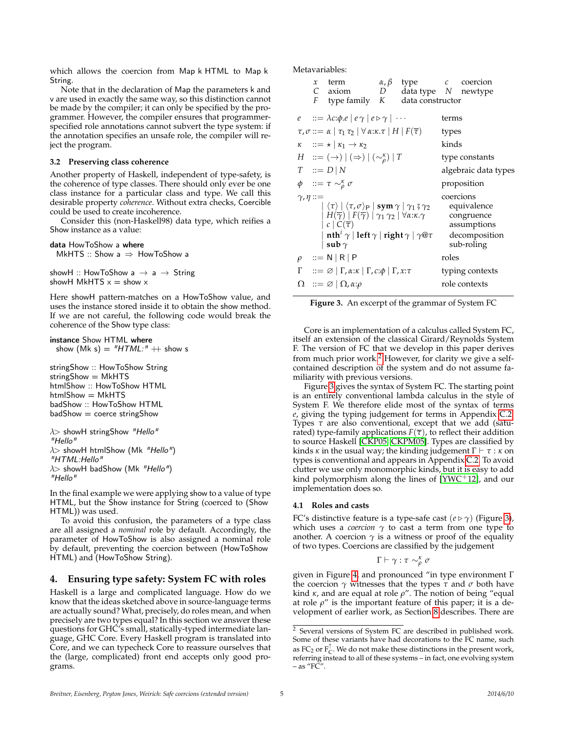which allows the coercion from Map k HTML to Map k String.

Note that in the declaration of Map the parameters k and v are used in exactly the same way, so this distinction cannot be made by the compiler; it can only be specified by the programmer. However, the compiler ensures that programmerspecified role annotations cannot subvert the type system: if the annotation specifies an unsafe role, the compiler will reject the program.

#### <span id="page-4-4"></span>**3.2 Preserving class coherence**

Another property of Haskell, independent of type-safety, is the coherence of type classes. There should only ever be one class instance for a particular class and type. We call this desirable property *coherence*. Without extra checks, Coercible could be used to create incoherence.

Consider this (non-Haskell98) data type, which reifies a Show instance as a value:

data HowToShow a where MkHTS :: Show a  $\Rightarrow$  HowToShow a

showH :: HowToShow a  $\rightarrow$  a  $\rightarrow$  String showH MkHTS  $x =$  show  $x$ 

Here showH pattern-matches on a HowToShow value, and uses the instance stored inside it to obtain the show method. If we are not careful, the following code would break the coherence of the Show type class:

instance Show HTML where show  $(Mk s) = "HTML:" + show s$ 

stringShow :: HowToShow String stringShow = MkHTS htmlShow :: HowToShow HTML htmlShow = MkHTS badShow :: HowToShow HTML  $badShow = coerce stringShow$ 

*λ*> showH stringShow "Hello" "Hello" *λ*> showH htmlShow (Mk "Hello") "HTML:Hello" *λ*> showH badShow (Mk "Hello") "Hello"

In the final example we were applying show to a value of type HTML, but the Show instance for String (coerced to (Show HTML)) was used.

To avoid this confusion, the parameters of a type class are all assigned a *nominal* role by default. Accordingly, the parameter of HowToShow is also assigned a nominal role by default, preventing the coercion between (HowToShow HTML) and (HowToShow String).

## <span id="page-4-0"></span>**4. Ensuring type safety: System FC with roles**

Haskell is a large and complicated language. How do we know that the ideas sketched above in source-language terms are actually sound? What, precisely, do roles mean, and when precisely are two types equal? In this section we answer these questions for GHC's small, statically-typed intermediate language, GHC Core. Every Haskell program is translated into Core, and we can typecheck Core to reassure ourselves that the (large, complicated) front end accepts only good programs.

Metavariables:

|                       | $\mathcal{X}$<br>C<br>F | term<br>axiom<br>type family K                                                                                                                                                                                                                                                                                                                                                                                                                               | $\alpha, \beta$<br>D | type<br>data type $N$ newtype<br>data constructor |           | $c$ coercion                                                            |  |  |
|-----------------------|-------------------------|--------------------------------------------------------------------------------------------------------------------------------------------------------------------------------------------------------------------------------------------------------------------------------------------------------------------------------------------------------------------------------------------------------------------------------------------------------------|----------------------|---------------------------------------------------|-----------|-------------------------------------------------------------------------|--|--|
|                       |                         | $e$ := $\lambda c:\phi.e \mid e\gamma \mid e \triangleright \gamma \mid \cdots$                                                                                                                                                                                                                                                                                                                                                                              |                      |                                                   | terms     |                                                                         |  |  |
|                       |                         | $\tau, \sigma ::= \alpha   \tau_1 \tau_2   \forall \alpha: \kappa.\tau   H   F(\overline{\tau})$                                                                                                                                                                                                                                                                                                                                                             |                      |                                                   | types     |                                                                         |  |  |
|                       |                         | $\kappa$ $::=\star \mid \kappa_1 \rightarrow \kappa_2$                                                                                                                                                                                                                                                                                                                                                                                                       | kinds                |                                                   |           |                                                                         |  |  |
|                       |                         | $H \ ::= (\rightarrow)   (\Rightarrow)   (\sim^{\kappa}_{\rho})   T$                                                                                                                                                                                                                                                                                                                                                                                         |                      |                                                   |           | type constants                                                          |  |  |
|                       |                         | $T \nightharpoonup D \mid N$                                                                                                                                                                                                                                                                                                                                                                                                                                 |                      |                                                   |           | algebraic data types                                                    |  |  |
|                       |                         | $\phi$ := $\tau \sim_{\rho}^{\kappa} \sigma$                                                                                                                                                                                                                                                                                                                                                                                                                 |                      |                                                   |           | proposition                                                             |  |  |
| $\gamma$ , $\eta ::=$ |                         | $\left   \begin{array}{c} \langle \tau \rangle \mid \langle \tau, \sigma \rangle_{\mathsf{P}} \mid \mathbf{sym}\, \gamma \mid \gamma_1 \mathbin{\hat{\mathsf{y}}} \gamma_2 \\ H(\overline{\gamma}) \mid F(\overline{\gamma}) \mid \gamma_1 \, \gamma_2 \mid \forall \alpha: \kappa. \gamma \end{array} \right  $<br>$c \mid \overline{C(\overline{\tau})}$<br>nth <sup>i</sup> $\gamma$   left $\gamma$   right $\gamma$   $\gamma$ @ $\tau$<br>sub $\gamma$ |                      |                                                   | coercions | equivalence<br>congruence<br>assumptions<br>decomposition<br>sub-roling |  |  |
|                       |                         | $\rho$ ::= N   R   P                                                                                                                                                                                                                                                                                                                                                                                                                                         |                      |                                                   | roles     |                                                                         |  |  |
|                       |                         | $\Gamma$ := $\varnothing$   $\Gamma$ , $\alpha$ : $\kappa$   $\Gamma$ , $c$ : $\phi$   $\Gamma$ , $\alpha$ : $\tau$                                                                                                                                                                                                                                                                                                                                          |                      |                                                   |           | typing contexts                                                         |  |  |
| Ω                     |                         | $\therefore = \varnothing \mid \Omega, \alpha : \rho$                                                                                                                                                                                                                                                                                                                                                                                                        |                      |                                                   |           | role contexts                                                           |  |  |

<span id="page-4-2"></span>**Figure 3.** An excerpt of the grammar of System FC

Core is an implementation of a calculus called System FC, itself an extension of the classical Girard/Reynolds System F. The version of FC that we develop in this paper derives from much prior work.<sup>[2](#page-4-1)</sup> However, for clarity we give a selfcontained description of the system and do not assume familiarity with previous versions.

Figure [3](#page-4-2) gives the syntax of System FC. The starting point is an entirely conventional lambda calculus in the style of System F. We therefore elide most of the syntax of terms *e*, giving the typing judgement for terms in Appendix [C.2.](#page-16-0) Types *τ* are also conventional, except that we add (saturated) type-family applications  $F(\overline{\tau})$ , to reflect their addition to source Haskell [\[CKP05,](#page-13-4) [CKPM05\]](#page-13-5). Types are classified by kinds *κ* in the usual way; the kinding judgement  $\Gamma \vdash \tau : \kappa$  on types is conventional and appears in Appendix [C.2.](#page-16-0) To avoid clutter we use only monomorphic kinds, but it is easy to add kind polymorphism along the lines of  $[YWC^+12]$  $[YWC^+12]$ , and our implementation does so.

## <span id="page-4-3"></span>**4.1 Roles and casts**

FC's distinctive feature is a type-safe cast  $(e \triangleright \gamma)$  (Figure [3\)](#page-4-2), which uses a *coercion*  $\gamma$  to cast a term from one type to another. A coercion  $\gamma$  is a witness or proof of the equality of two types. Coercions are classified by the judgement

$$
\Gamma \vdash \gamma : \tau \sim^\kappa_\rho \sigma
$$

given in Figure [4,](#page-5-0) and pronounced "in type environment Γ the coercion  $γ$  witnesses that the types  $τ$  and  $σ$  both have kind *κ*, and are equal at role *ρ*". The notion of being "equal at role  $\rho$ " is the important feature of this paper; it is a development of earlier work, as Section [8](#page-11-1) describes. There are

<span id="page-4-1"></span><sup>2</sup> Several versions of System FC are described in published work. Some of these variants have had decorations to the FC name, such as FC<sub>2</sub> or F<sub>C</sub>. We do not make these distinctions in the present work, referring instead to all of these systems – in fact, one evolving system  $-$  as "FC".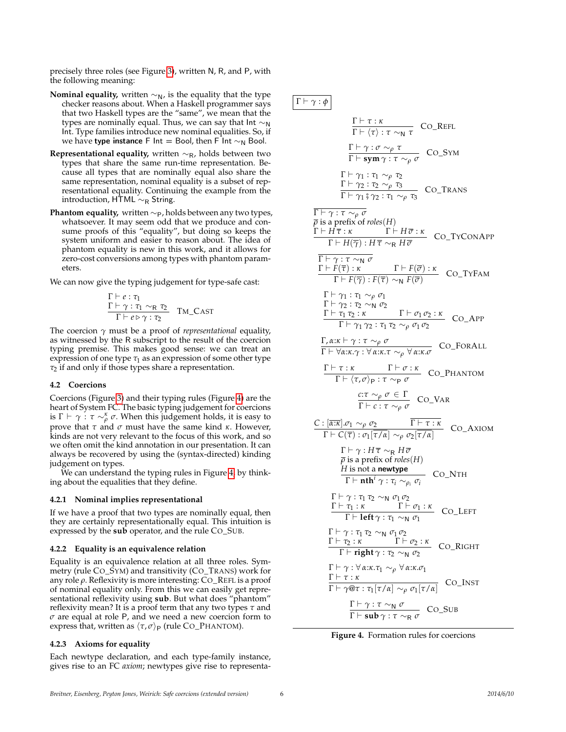precisely three roles (see Figure [3\)](#page-4-2), written N, R, and P, with the following meaning:

- **Nominal equality,** written  $\sim_N$ , is the equality that the type checker reasons about. When a Haskell programmer says that two Haskell types are the "same", we mean that the types are nominally equal. Thus, we can say that Int  $\sim_N$ Int. Type families introduce new nominal equalities. So, if we have type instance F Int = Bool, then F Int  $\sim_N$  Bool.
- **Representational equality,** written ∼R, holds between two types that share the same run-time representation. Because all types that are nominally equal also share the same representation, nominal equality is a subset of representational equality. Continuing the example from the introduction, HTML  $\sim$ <sub>R</sub> String.
- **Phantom equality,** written ∼<sub>P</sub>, holds between any two types, whatsoever. It may seem odd that we produce and consume proofs of this "equality", but doing so keeps the system uniform and easier to reason about. The idea of phantom equality is new in this work, and it allows for zero-cost conversions among types with phantom parameters.

We can now give the typing judgement for type-safe cast:

$$
\frac{\Gamma \vdash e : \tau_1}{\Gamma \vdash \gamma : \tau_1 \sim_R \tau_2} \quad TM\_CAST
$$
  
 
$$
\frac{\Gamma \vdash e \triangleright \gamma : \tau_2}{\Gamma \vdash e \triangleright \gamma : \tau_2}
$$

The coercion *γ* must be a proof of *representational* equality, as witnessed by the R subscript to the result of the coercion typing premise. This makes good sense: we can treat an expression of one type  $\tau_1$  as an expression of some other type *τ*<sup>2</sup> if and only if those types share a representation.

#### **4.2 Coercions**

Coercions (Figure [3\)](#page-4-2) and their typing rules (Figure [4\)](#page-5-0) are the heart of System FC. The basic typing judgement for coercions is  $\Gamma \vdash \gamma : \tau \sim_{\rho}^{\kappa} \sigma$ . When this judgement holds, it is easy to prove that *τ* and *σ* must have the same kind *κ*. However, kinds are not very relevant to the focus of this work, and so we often omit the kind annotation in our presentation. It can always be recovered by using the (syntax-directed) kinding judgement on types.

We can understand the typing rules in Figure [4,](#page-5-0) by thinking about the equalities that they define.

#### **4.2.1 Nominal implies representational**

If we have a proof that two types are nominally equal, then they are certainly representationally equal. This intuition is expressed by the **sub** operator, and the rule CO\_SUB.

#### **4.2.2 Equality is an equivalence relation**

Equality is an equivalence relation at all three roles. Symmetry (rule CO\_SYM) and transitivity (CO\_TRANS) work for any role *ρ*. Reflexivity is more interesting: CO\_REFL is a proof of nominal equality only. From this we can easily get representational reflexivity using **sub**. But what does "phantom" reflexivity mean? It is a proof term that any two types *τ* and *σ* are equal at role P, and we need a new coercion form to express that, written as  $\langle \tau, \sigma \rangle$  (rule CO\_PHANTOM).

#### **4.2.3 Axioms for equality**

Each newtype declaration, and each type-family instance, gives rise to an FC *axiom*; newtypes give rise to representa $Γ ⊢ γ : ∅$ 

$$
\frac{\Gamma \vdash \tau : \kappa}{\Gamma \vdash \langle \tau \rangle : \tau \sim_{\mathsf{N}} \tau} \quad \text{Co\_REFL}
$$
\n
$$
\frac{\Gamma \vdash \gamma : \sigma \sim_{\rho} \tau}{\Gamma \vdash \text{sym} \gamma : \tau \sim_{\rho} \sigma} \quad \text{Co\_SYM}
$$
\n
$$
\frac{\Gamma \vdash \gamma : \tau_1 \sim_{\rho} \tau_2}{\Gamma \vdash \gamma_1 : \tau_1 \sim_{\rho} \tau_2} \quad \frac{\Gamma \vdash \gamma_2 : \tau_2 \sim_{\rho} \tau_3}{\Gamma \vdash \gamma_1 : \tau_2 \sim_{\rho} \sigma} \quad \text{Co\_Transs}
$$
\n
$$
\frac{\Gamma \vdash \gamma : \tau \sim_{\rho} \sigma}{\Gamma \vdash H \overline{\tau} : \kappa} \quad \Gamma \vdash H \overline{\sigma} : \kappa \quad \text{Co\_TVCONAPP}
$$
\n
$$
\frac{\Gamma \vdash \gamma : \tau \sim_{\mathsf{N}} \sigma}{\Gamma \vdash H \overline{\tau} : \kappa} \quad \Gamma \vdash H \overline{\sigma} : \kappa \quad \text{Co\_TVCONAPP}
$$
\n
$$
\frac{\Gamma \vdash \gamma : \tau_1 \sim_{\rho} \sigma_1}{\Gamma \vdash \gamma_2 : \tau_2 \sim_{\mathsf{N}} \sigma} \quad \text{Co\_TVFAM}
$$
\n
$$
\frac{\Gamma \vdash \gamma : \tau_1 \sim_{\rho} \sigma_1}{\Gamma \vdash \tau_1 \tau_2 : \kappa} \quad \Gamma \vdash \sigma_1 \sigma_2 : \kappa \quad \text{Co\_APP}
$$
\n
$$
\frac{\Gamma \vdash \tau_1 : \tau_1 \sim_{\rho} \sigma_1}{\Gamma \vdash \gamma_1 \cdot \tau_2 : \tau_1 \sim_{\rho} \sigma} \quad \text{Co\_FORALL}
$$
\n
$$
\frac{\Gamma \vdash \tau : \kappa}{\Gamma \vdash \gamma_1 \cdot \tau_2 : \tau_1 \sim_{\rho} \sigma} \quad \text{Co\_Plan} \quad \text{Co\_Plan} \quad \text{Co\_AR}
$$
\n
$$
\frac{\text{c: } \tau \sim_{\rho} \sigma \in \Gamma}{\Gamma \vdash \tau : \kappa} \quad \text{Co\_VAR}
$$
\n
$$
\frac{\text{c: } \tau \sim
$$

<span id="page-5-0"></span>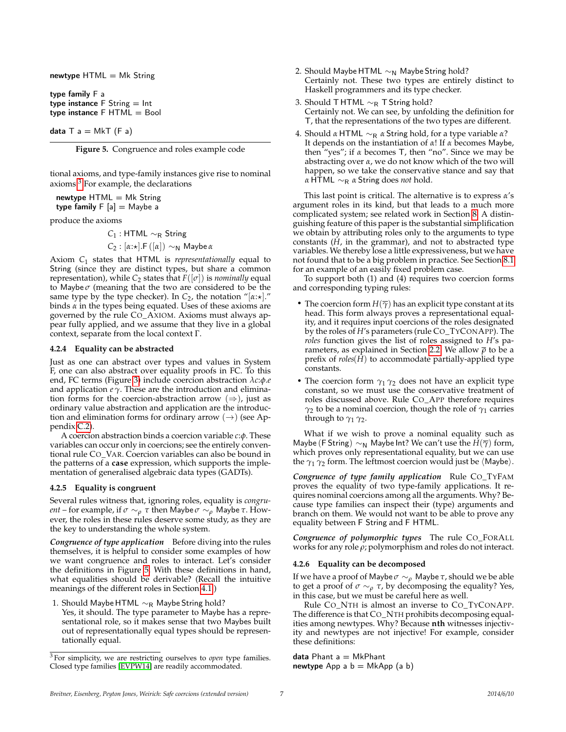$newtype$  HTML = Mk String

type family F a type instance  $F$  String  $=$  Int type instance F HTML = Bool

data  $T a = MkT (F a)$ 

<span id="page-6-1"></span>**Figure 5.** Congruence and roles example code

tional axioms, and type-family instances give rise to nominal axioms.[3](#page-6-0) For example, the declarations

 $newtype$  HTML = Mk String type family  $F$  [a]  $=$  Maybe a

produce the axioms

$$
C_1: \text{HTML } \sim_R \text{String}
$$
  

$$
C_2: [\alpha:\star].F([\alpha]) \sim_N \text{ Maybe }\alpha
$$

Axiom *C*<sup>1</sup> states that HTML is *representationally* equal to String (since they are distinct types, but share a common representation), while  $C_2$  states that  $F([\sigma])$  is *nominally* equal to Maybe *σ* (meaning that the two are considered to be the same type by the type checker). In  $C_2$ , the notation "[ $\alpha$ : $\star$ ]." binds *α* in the types being equated. Uses of these axioms are governed by the rule CO\_AXIOM. Axioms must always appear fully applied, and we assume that they live in a global context, separate from the local context Γ.

#### **4.2.4 Equality can be abstracted**

Just as one can abstract over types and values in System F, one can also abstract over equality proofs in FC. To this end, FC terms (Figure [3\)](#page-4-2) include coercion abstraction *λc*:*φ*.*e* and application  $e \gamma$ . These are the introduction and elimination forms for the coercion-abstraction arrow  $(\Rightarrow)$ , just as ordinary value abstraction and application are the introduction and elimination forms for ordinary arrow  $(\rightarrow)$  (see Appendix [C.2\)](#page-16-0).

A coercion abstraction binds a coercion variable *c*:*φ*. These variables can occur only in coercions; see the entirely conventional rule CO\_VAR. Coercion variables can also be bound in the patterns of a **case** expression, which supports the implementation of generalised algebraic data types (GADTs).

## **4.2.5 Equality is congruent**

Several rules witness that, ignoring roles, equality is *congruent* – for example, if  $σ \sim_{\rho} τ$  then Maybe  $σ \sim_{\rho}$  Maybe  $τ$ . However, the roles in these rules deserve some study, as they are the key to understanding the whole system.

*Congruence of type application* Before diving into the rules themselves, it is helpful to consider some examples of how we want congruence and roles to interact. Let's consider the definitions in Figure [5.](#page-6-1) With these definitions in hand, what equalities should be derivable? (Recall the intuitive meanings of the different roles in Section [4.1.](#page-4-3))

1. Should Maybe HTML  $\sim_R M$ aybe String hold?

Yes, it should. The type parameter to Maybe has a representational role, so it makes sense that two Maybes built out of representationally equal types should be representationally equal.

- 2. Should Maybe HTML  $\sim_N$  Maybe String hold? Certainly not. These two types are entirely distinct to Haskell programmers and its type checker.
- 3. Should THTML  $\sim_R$  T String hold? Certainly not. We can see, by unfolding the definition for T, that the representations of the two types are different.
- 4. Should *α* HTML ∼<sup>R</sup> *α* String hold, for a type variable *α*? It depends on the instantiation of *α*! If *α* becomes Maybe, then "yes"; if *α* becomes T, then "no". Since we may be abstracting over *α*, we do not know which of the two will happen, so we take the conservative stance and say that *α* HTML ∼<sup>R</sup> *α* String does *not* hold.

This last point is critical. The alternative is to express *α*'s argument roles in its kind, but that leads to a much more complicated system; see related work in Section [8.](#page-11-1) A distinguishing feature of this paper is the substantial simplification we obtain by attributing roles only to the arguments to type constants (*H*, in the grammar), and not to abstracted type variables. We thereby lose a little expressiveness, but we have not found that to be a big problem in practice. See Section [8.1](#page-11-2) for an example of an easily fixed problem case.

To support both (1) and (4) requires two coercion forms and corresponding typing rules:

- The coercion form  $H(\overline{\gamma})$  has an explicit type constant at its head. This form always proves a representational equality, and it requires input coercions of the roles designated by the roles of *H*'s parameters (rule CO\_TYCONAPP). The *roles* function gives the list of roles assigned to *H*'s parameters, as explained in Section [2.2.](#page-2-0) We allow *ρ* to be a prefix of *roles*(*H*) to accommodate partially-applied type constants.
- The coercion form  $\gamma_1 \gamma_2$  does not have an explicit type constant, so we must use the conservative treatment of roles discussed above. Rule CO\_APP therefore requires *γ*<sub>2</sub> to be a nominal coercion, though the role of  $γ$ <sub>1</sub> carries through to  $\gamma_1 \gamma_2$ .

What if we wish to prove a nominal equality such as Maybe (F String)  $\sim_N$  Maybe Int? We can't use the  $H(\overline{\gamma})$  form, which proves only representational equality, but we can use the  $\gamma_1 \gamma_2$  form. The leftmost coercion would just be  $\langle$ Maybe $\rangle$ .

*Congruence of type family application* Rule CO\_TYFAM proves the equality of two type-family applications. It requires nominal coercions among all the arguments. Why? Because type families can inspect their (type) arguments and branch on them. We would not want to be able to prove any equality between F String and F HTML.

*Congruence of polymorphic types* The rule CO\_FORALL works for any role *ρ*; polymorphism and roles do not interact.

## <span id="page-6-2"></span>**4.2.6 Equality can be decomposed**

If we have a proof of Maybe *σ* ∼*<sup>ρ</sup>* Maybe *τ*, should we be able to get a proof of  $\sigma \sim_{\rho} \tau$ , by decomposing the equality? Yes, in this case, but we must be careful here as well.

Rule CO\_NTH is almost an inverse to CO\_TYCONAPP. The difference is that CO\_NTH prohibits decomposing equalities among newtypes. Why? Because **nth** witnesses injectivity and newtypes are not injective! For example, consider these definitions:

 $data$  Phant  $a = MkPhant$ newtype App  $a b = MkApp (a b)$ 

<span id="page-6-0"></span><sup>3</sup> For simplicity, we are restricting ourselves to *open* type families. Closed type families [\[EVPW14\]](#page-13-7) are readily accommodated.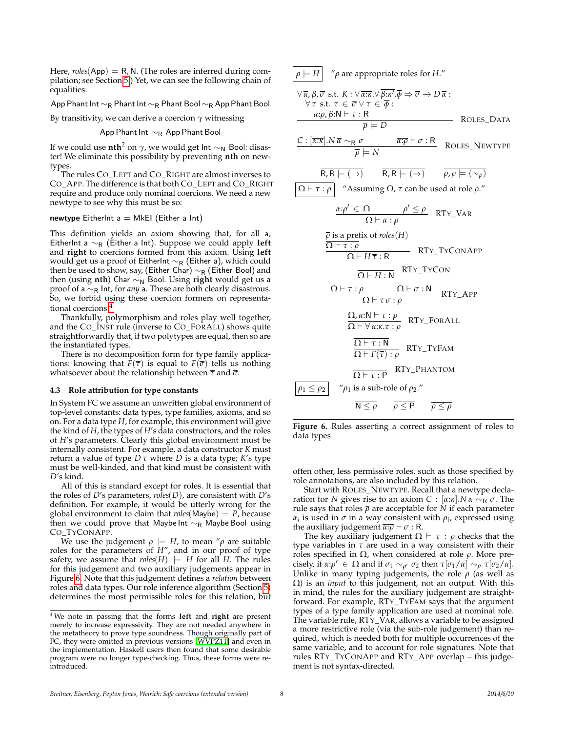Here, *roles*(App) = R, N. (The roles are inferred during compilation; see Section [5.](#page-8-0)) Yet, we can see the following chain of equalities:

App Phant Int ∼<sub>R</sub> Phant Int ∼<sub>R</sub> Phant Bool ∼<sub>R</sub> App Phant Bool

By transitivity, we can derive a coercion *γ* witnessing

App Phant Int ∼R App Phant Bool

If we could use  $\mathsf{nth}^2$  on  $\gamma$ , we would get Int  $\sim_\mathsf{N}$  Bool: disaster! We eliminate this possibility by preventing **nth** on newtypes.

The rules CO\_LEFT and CO\_RIGHT are almost inverses to CO\_APP. The difference is that both CO\_LEFT and CO\_RIGHT require and produce only nominal coercions. We need a new newtype to see why this must be so:

#### newtype EitherInt  $a = MkE1$  (Either a Int)

This definition yields an axiom showing that, for all a, EitherInt a ∼<sup>R</sup> (Either a Int). Suppose we could apply **left** and **right** to coercions formed from this axiom. Using **left** would get us a proof of EitherInt ∼R (Either a), which could then be used to show, say, (Either Char)  $\sim_R$  (Either Bool) and then (using **nth**) Char ∼<sup>N</sup> Bool. Using **right** would get us a proof of a ∼<sup>R</sup> Int, for *any* a. These are both clearly disastrous. So, we forbid using these coercion formers on representa-tional coercions.<sup>[4](#page-7-0)</sup>

Thankfully, polymorphism and roles play well together, and the CO\_INST rule (inverse to CO\_FORALL) shows quite straightforwardly that, if two polytypes are equal, then so are the instantiated types.

There is no decomposition form for type family applications: knowing that  $F(\overline{\tau})$  is equal to  $F(\overline{\sigma})$  tells us nothing whatsoever about the relationship between *τ* and *σ*.

#### **4.3 Role attribution for type constants**

In System FC we assume an unwritten global environment of top-level constants: data types, type families, axioms, and so on. For a data type *H*, for example, this environment will give the kind of *H*, the types of *H*'s data constructors, and the roles of *H*'s parameters. Clearly this global environment must be internally consistent. For example, a data constructor *K* must return a value of type  $D\bar{\tau}$  where *D* is a data type; *K*'s type must be well-kinded, and that kind must be consistent with *D*'s kind.

All of this is standard except for roles. It is essential that the roles of *D*'s parameters, *roles*(*D*), are consistent with *D*'s definition. For example, it would be utterly wrong for the global environment to claim that *roles*(Maybe) = *P*, because then we could prove that Maybe Int  $~\sim_R~$  Maybe Bool using CO\_TYCONAPP.

We use the judgement  $\overline{\rho}$   $\models$  *H*, to mean " $\overline{\rho}$  are suitable roles for the parameters of *H*", and in our proof of type safety, we assume that  $roles(H) \models H$  for all *H*. The rules for this judgement and two auxiliary judgements appear in Figure [6.](#page-7-1) Note that this judgement defines a *relation* between roles and data types. Our role inference algorithm (Section [5\)](#page-8-0) determines the most permissible roles for this relation, but

$$
\overline{\rho}
$$
 |= *H*  $\eta$  are appropriate roles for *H*.

$$
\forall \overline{\alpha}, \overline{\beta}, \overline{\sigma} \text{ s.t. } K: \forall \overline{\alpha: \pi}, \forall \overline{\beta: \pi'}.\overline{\phi} \Rightarrow \overline{\sigma} \to D \overline{\alpha} : \forall \tau \text{ s.t. } \tau \in \overline{\sigma} \lor \tau \in \overline{\phi} : \overline{\alpha: \rho}, \overline{\beta: N \vdash \tau : R} \qquad \overline{\rho} \models D \qquad \text{ROLES\_DATA}
$$

$$
\frac{C : [\overline{\alpha:\kappa}].N \overline{\alpha} \sim_{R} \sigma \qquad \overline{\alpha:\rho} \vdash \sigma : R}{\overline{\rho} \models N} \quad \text{ROLES\_NEWType}
$$

$$
\overline{R, R \models (\rightarrow)} \qquad \overline{R, R \models (\Rightarrow)} \qquad \overline{\rho, \rho \models (\sim_{\rho})}
$$
  

$$
\overline{\Omega \vdash \tau : \rho} \qquad \text{``Assuming } \Omega, \tau \text{ can be used at role } \rho.
$$

$$
\frac{\alpha:\rho'\in\Omega}{\Omega\vdash\alpha:\rho}\quad \frac{\rho'\le\rho}{\mathsf{RTY\_\mathsf{VAR}}
$$

$$
\frac{\overline{\rho} \text{ is a prefix of } roles(H)}{\Omega \vdash \tau : \rho} \qquad RTY_TYCONAPP
$$
\n
$$
\frac{\overline{\rho} \text{ in } HTY_TYCONAPP}{\Omega \vdash \overline{\tau} : R}
$$

$$
\Omega \vdash H : \mathsf{N} \xrightarrow{\mathsf{N} \vdash \mathsf{L} \vdash \mathsf{L} \in \mathsf{C} \mathsf{N}} \mathsf{R} \mathsf{I} \mathsf{Y} \underline{\mathsf{A}} \mathsf{P} \mathsf{P}
$$
\n
$$
\frac{\Omega \vdash \tau : \rho \qquad \Omega \vdash \tau \sigma : \rho}{\Omega, \alpha : \mathsf{N} \vdash \tau : \rho \qquad \mathsf{P} \mathsf{T} \mathsf{Y} \qquad \mathsf{E} \mathsf{O} \mathsf{P} \mathsf{A} \mathsf{I} \mathsf{I}}
$$

$$
\frac{\overline{\Omega \vdash \forall \alpha: \kappa. \tau : \rho} \quad \text{RIT\_FOKALL}}{\overline{\Omega \vdash \tau : \mathbb{N}} \quad \text{RTY\_TYFAM}}
$$
\n
$$
\frac{\overline{\Omega \vdash \tau : \mathbb{N}}}{\overline{\Omega \vdash \tau : \rho} \quad \text{RTY\_PHANTOM}}
$$
\n
$$
\frac{\rho_1 \le \rho_2}{\rho_1 \text{ is a sub-role of } \rho_2.''}
$$
\n
$$
\frac{\overline{\mathbb{N} \le \rho}}{\sqrt{\rho_1 \cdot \rho_2}} \quad \frac{\overline{\rho_2 \cdot \rho}}{\rho_1 \cdot \rho_2 \cdot \rho}
$$

<span id="page-7-1"></span>**Figure 6.** Rules asserting a correct assignment of roles to data types

often other, less permissive roles, such as those specified by role annotations, are also included by this relation.

Start with ROLES\_NEWTYPE. Recall that a newtype declaration for *N* gives rise to an axiom *C* :  $[\overline{\alpha:\kappa}]$ . $N \overline{\alpha} \sim_R \sigma$ . The rule says that roles  $\bar{\rho}$  are acceptable for *N* if each parameter *α*<sub>*i*</sub> is used in  $\sigma$  in a way consistent with  $\rho$ <sub>*i*</sub>, expressed using the auxiliary judgement  $\overline{\alpha:\rho} \vdash \sigma : \mathsf{R}$ .

The key auxiliary judgement  $\Omega \vdash \tau : \rho$  checks that the type variables in *τ* are used in a way consistent with their roles specified in Ω, when considered at role *ρ*. More precisely, if  $\alpha:\rho' \in \Omega$  and if  $\sigma_1 \sim_{\rho'} \sigma_2$  then  $\tau[\sigma_1/\alpha] \sim_{\rho} \tau[\sigma_2/\alpha]$ . Unlike in many typing judgements, the role  $\rho$  (as well as Ω) is an *input* to this judgement, not an output. With this in mind, the rules for the auxiliary judgement are straightforward. For example, RTY\_TYFAM says that the argument types of a type family application are used at nominal role. The variable rule,  $RTY_VAR$ , allows a variable to be assigned a more restrictive role (via the sub-role judgement) than required, which is needed both for multiple occurrences of the same variable, and to account for role signatures. Note that rules RTY\_TYCONAPP and RTY\_APP overlap – this judgement is not syntax-directed.

<span id="page-7-0"></span><sup>4</sup> We note in passing that the forms **left** and **right** are present merely to increase expressivity. They are not needed anywhere in the metatheory to prove type soundness. Though originally part of FC, they were omitted in previous versions [\[WVPZ11\]](#page-13-3) and even in the implementation. Haskell users then found that some desirable program were no longer type-checking. Thus, these forms were reintroduced.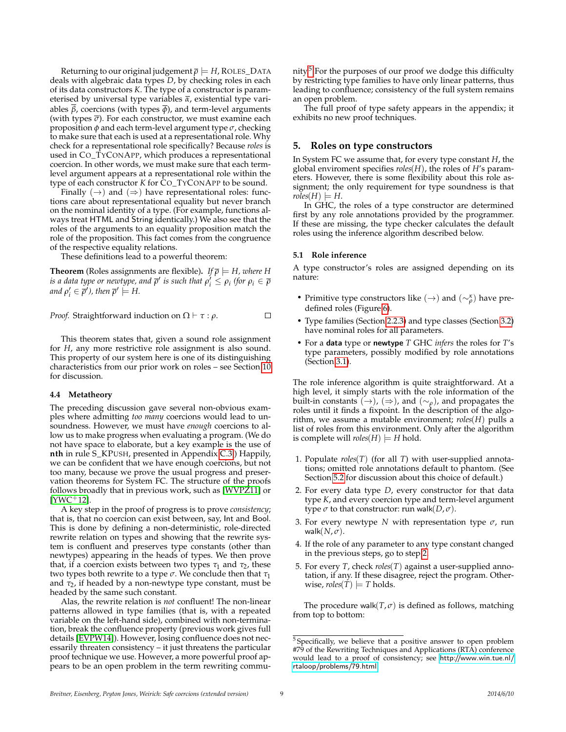Returning to our original judgement  $\overline{\rho} \models H$ , ROLES\_DATA deals with algebraic data types *D*, by checking roles in each of its data constructors *K*. The type of a constructor is parameterised by universal type variables *α*, existential type variables  $\overline{\beta}$ , coercions (with types  $\overline{\phi}$ ), and term-level arguments (with types  $\bar{\sigma}$ ). For each constructor, we must examine each proposition *φ* and each term-level argument type *σ*, checking to make sure that each is used at a representational role. Why check for a representational role specifically? Because *roles* is used in CO\_TYCONAPP, which produces a representational coercion. In other words, we must make sure that each termlevel argument appears at a representational role within the type of each constructor *K* for CO\_TYCONAPP to be sound.

Finally  $(\rightarrow)$  and  $(\rightarrow)$  have representational roles: functions care about representational equality but never branch on the nominal identity of a type. (For example, functions always treat HTML and String identically.) We also see that the roles of the arguments to an equality proposition match the role of the proposition. This fact comes from the congruence of the respective equality relations.

These definitions lead to a powerful theorem:

**Theorem** (Roles assignments are flexible). *If*  $\bar{\rho} \models H$ , where H *is a data type or newtype, and*  $\overline{\rho}'$  *is such that*  $\rho'_i \leq \rho_i$  *(for*  $\rho_i \in \overline{\rho}$ *and*  $\rho'_i \in \overline{\rho}'$ *), then*  $\overline{\rho}' \models H$ .

*Proof.* Straightforward induction on  $\Omega \vdash \tau : \rho$ .  $\Box$ 

This theorem states that, given a sound role assignment for *H*, any more restrictive role assignment is also sound. This property of our system here is one of its distinguishing characteristics from our prior work on roles – see Section [10](#page-12-1) for discussion.

#### <span id="page-8-3"></span>**4.4 Metatheory**

The preceding discussion gave several non-obvious examples where admitting *too many* coercions would lead to unsoundness. However, we must have *enough* coercions to allow us to make progress when evaluating a program. (We do not have space to elaborate, but a key example is the use of **nth** in rule S\_KPUSH, presented in Appendix [C.3.](#page-17-0)) Happily, we can be confident that we have enough coercions, but not too many, because we prove the usual progress and preservation theorems for System FC. The structure of the proofs follows broadly that in previous work, such as [\[WVPZ11\]](#page-13-3) or  $[YWC+12]$  $[YWC+12]$ .

A key step in the proof of progress is to prove *consistency*; that is, that no coercion can exist between, say, Int and Bool. This is done by defining a non-deterministic, role-directed rewrite relation on types and showing that the rewrite system is confluent and preserves type constants (other than newtypes) appearing in the heads of types. We then prove that, if a coercion exists between two types  $\tau_1$  and  $\tau_2$ , these two types both rewrite to a type *σ*. We conclude then that *τ*<sup>1</sup> and *τ*2, if headed by a non-newtype type constant, must be headed by the same such constant.

Alas, the rewrite relation is *not* confluent! The non-linear patterns allowed in type families (that is, with a repeated variable on the left-hand side), combined with non-termination, break the confluence property (previous work gives full details [\[EVPW14\]](#page-13-7)). However, losing confluence does not necessarily threaten consistency – it just threatens the particular proof technique we use. However, a more powerful proof appears to be an open problem in the term rewriting community.[5](#page-8-1) For the purposes of our proof we dodge this difficulty by restricting type families to have only linear patterns, thus leading to confluence; consistency of the full system remains an open problem.

The full proof of type safety appears in the appendix; it exhibits no new proof techniques.

#### <span id="page-8-0"></span>**5. Roles on type constructors**

In System FC we assume that, for every type constant *H*, the global enviroment specifies *roles*(*H*), the roles of *H*'s parameters. However, there is some flexibility about this role assignment; the only requirement for type soundness is that  $roles(H) \models H$ .

In GHC, the roles of a type constructor are determined first by any role annotations provided by the programmer. If these are missing, the type checker calculates the default roles using the inference algorithm described below.

#### **5.1 Role inference**

A type constructor's roles are assigned depending on its nature:

- Primitive type constructors like (→) and ( $\sim^{\kappa}_{\rho}$ ) have predefined roles (Figure [6\)](#page-7-1).
- Type families (Section [2.2.3\)](#page-3-2) and type classes (Section [3.2\)](#page-4-4) have nominal roles for all parameters.
- For a data type or newtype *T* GHC *infers* the roles for *T*'s type parameters, possibly modified by role annotations (Section [3.1\)](#page-3-1).

The role inference algorithm is quite straightforward. At a high level, it simply starts with the role information of the built-in constants (→), (⇒), and (∼*ρ*), and propagates the roles until it finds a fixpoint. In the description of the algorithm, we assume a mutable environment; *roles*(*H*) pulls a list of roles from this environment. Only after the algorithm is complete will  $roles(H) \models H$  hold.

- 1. Populate *roles*(*T*) (for all *T*) with user-supplied annotations; omitted role annotations default to phantom. (See Section [5.2](#page-9-1) for discussion about this choice of default.)
- <span id="page-8-2"></span>2. For every data type *D*, every constructor for that data type *K*, and every coercion type and term-level argument type  $\sigma$  to that constructor: run walk( $D, \sigma$ ).
- 3. For every newtype *N* with representation type *σ*, run walk $(N, \sigma)$ .
- <span id="page-8-4"></span>4. If the role of any parameter to any type constant changed in the previous steps, go to step [2.](#page-8-2)
- 5. For every *T*, check *roles*(*T*) against a user-supplied annotation, if any. If these disagree, reject the program. Otherwise,  $roles(T) \models T$  holds.

The procedure walk $(T, \sigma)$  is defined as follows, matching from top to bottom:

<span id="page-8-1"></span><sup>5</sup> Specifically, we believe that a positive answer to open problem #79 of the Rewriting Techniques and Applications (RTA) conference would lead to a proof of consistency; see [http://www.win.tue.nl/](http://www.win.tue.nl/rtaloop/problems/79.html) [rtaloop/problems/79.html](http://www.win.tue.nl/rtaloop/problems/79.html).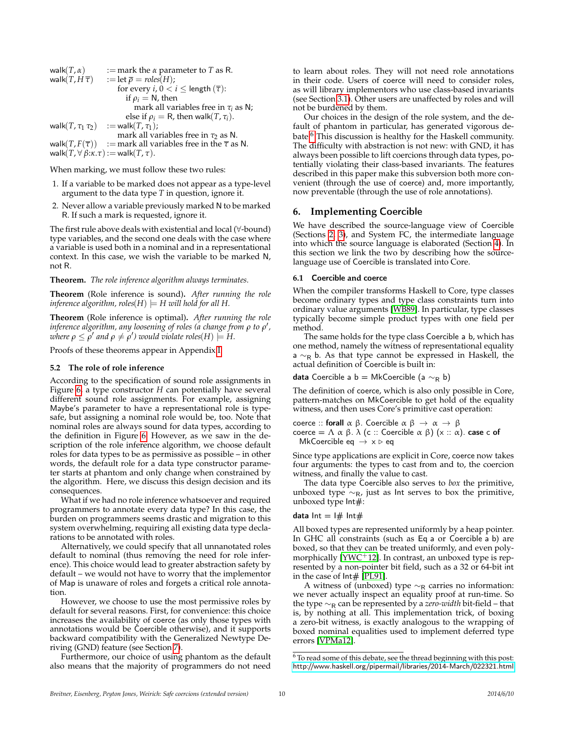walk(*T*,  $\alpha$ ) := mark the  $\alpha$  parameter to *T* as R.<br>walk(*T*, *H*  $\overline{\tau}$ ) := let  $\overline{\rho}$  = roles(*H*);  $:=$  let  $\overline{\rho}$  = *roles*(*H*); for every  $i, 0 < i \leq$  length  $(\overline{\tau})$ : if  $\rho_i = N$ , then mark all variables free in *τ<sup>i</sup>* as N; else if  $\rho_i = \mathsf{R}$ , then walk $(T, \tau_i)$ .  $walk(T, \tau_1 \tau_2)$   $:= walk(T, \tau_1);$ mark all variables free in  $\tau_2$  as N. walk(*T*,  $F(\overline{\tau})$ ) := mark all variables free in the  $\overline{\tau}$  as N.  $walk(T, \forall \beta:\kappa.\tau) := walk(T, \tau).$ 

When marking, we must follow these two rules:

- 1. If a variable to be marked does not appear as a type-level argument to the data type *T* in question, ignore it.
- 2. Never allow a variable previously marked N to be marked R. If such a mark is requested, ignore it.

The first rule above deals with existential and local (∀-bound) type variables, and the second one deals with the case where a variable is used both in a nominal and in a representational context. In this case, we wish the variable to be marked N, not R.

**Theorem.** *The role inference algorithm always terminates.*

**Theorem** (Role inference is sound)**.** *After running the role inference algorithm, roles* $(H) \models H$  will hold for all H.

**Theorem** (Role inference is optimal)**.** *After running the role inference algorithm, any loosening of roles (a change from ρ to ρ* 0 *,*  $\omega$ here  $\rho \leq \rho'$  and  $\rho \neq \rho'$ ) would violate roles $(H) \models H.$ 

Proofs of these theorems appear in Appendix [I.](#page-25-0)

#### <span id="page-9-1"></span>**5.2 The role of role inference**

According to the specification of sound role assignments in Figure [6,](#page-7-1) a type constructor *H* can potentially have several different sound role assignments. For example, assigning Maybe's parameter to have a representational role is typesafe, but assigning a nominal role would be, too. Note that nominal roles are always sound for data types, according to the definition in Figure [6.](#page-7-1) However, as we saw in the description of the role inference algorithm, we choose default roles for data types to be as permissive as possible – in other words, the default role for a data type constructor parameter starts at phantom and only change when constrained by the algorithm. Here, we discuss this design decision and its consequences.

What if we had no role inference whatsoever and required programmers to annotate every data type? In this case, the burden on programmers seems drastic and migration to this system overwhelming, requiring all existing data type declarations to be annotated with roles.

Alternatively, we could specify that all unnanotated roles default to nominal (thus removing the need for role inference). This choice would lead to greater abstraction safety by default – we would not have to worry that the implementor of Map is unaware of roles and forgets a critical role annotation.

However, we choose to use the most permissive roles by default for several reasons. First, for convenience: this choice increases the availability of coerce (as only those types with annotations would be Coercible otherwise), and it supports backward compatibility with the Generalized Newtype Deriving (GND) feature (see Section [7\)](#page-11-0).

Furthermore, our choice of using phantom as the default also means that the majority of programmers do not need to learn about roles. They will not need role annotations in their code. Users of coerce will need to consider roles, as will library implementors who use class-based invariants (see Section [3.1\)](#page-3-3). Other users are unaffected by roles and will not be burdened by them.

Our choices in the design of the role system, and the default of phantom in particular, has generated vigorous debate.[6](#page-9-2) This discussion is healthy for the Haskell community. The difficulty with abstraction is not new: with GND, it has always been possible to lift coercions through data types, potentially violating their class-based invariants. The features described in this paper make this subversion both more convenient (through the use of coerce) and, more importantly, now preventable (through the use of role annotations).

# <span id="page-9-0"></span>**6. Implementing** Coercible

We have described the source-language view of Coercible (Sections [2,](#page-1-0) [3\)](#page-3-0), and System FC, the intermediate language into which the source language is elaborated (Section [4\)](#page-4-0). In this section we link the two by describing how the sourcelanguage use of Coercible is translated into Core.

#### <span id="page-9-3"></span>**6.1** Coercible **and** coerce

When the compiler transforms Haskell to Core, type classes become ordinary types and type class constraints turn into ordinary value arguments [\[WB89\]](#page-13-8). In particular, type classes typically become simple product types with one field per method.

The same holds for the type class Coercible a b, which has one method, namely the witness of representational equality a  $\sim_R$  b. As that type cannot be expressed in Haskell, the actual definition of Coercible is built in:

data Coercible a b = MkCoercible (a  $\sim_R$  b)

The definition of coerce, which is also only possible in Core, pattern-matches on MkCoercible to get hold of the equality witness, and then uses Core's primitive cast operation:

coerce :: forall  $\alpha \beta$ . Coercible  $\alpha \beta \rightarrow \alpha \rightarrow \beta$ coerce =  $Λ α β. λ (c :: Coercible α β) (x :: α)$ . case c of MkCoercible eq  $\rightarrow x \triangleright$  eq

Since type applications are explicit in Core, coerce now takes four arguments: the types to cast from and to, the coercion witness, and finally the value to cast.

The data type Coercible also serves to *box* the primitive, unboxed type  $\sim_R$ , just as Int serves to box the primitive, unboxed type Int#:

## data Int  $=$  I# Int#

All boxed types are represented uniformly by a heap pointer. In GHC all constraints (such as Eq a or Coercible a b) are boxed, so that they can be treated uniformly, and even polymorphically [ $YWC^+12$ ]. In contrast, an unboxed type is represented by a non-pointer bit field, such as a 32 or 64-bit int in the case of  $Int# [PL91]$  $Int# [PL91]$ .

A witness of (unboxed) type ∼<sup>R</sup> carries no information: we never actually inspect an equality proof at run-time. So the type ∼<sup>R</sup> can be represented by a *zero-width* bit-field – that is, by nothing at all. This implementation trick, of boxing a zero-bit witness, is exactly analogous to the wrapping of boxed nominal equalities used to implement deferred type errors [\[VPMa12\]](#page-13-10).

<span id="page-9-2"></span><sup>6</sup> To read some of this debate, see the thread beginning with this post: <http://www.haskell.org/pipermail/libraries/2014-March/022321.html>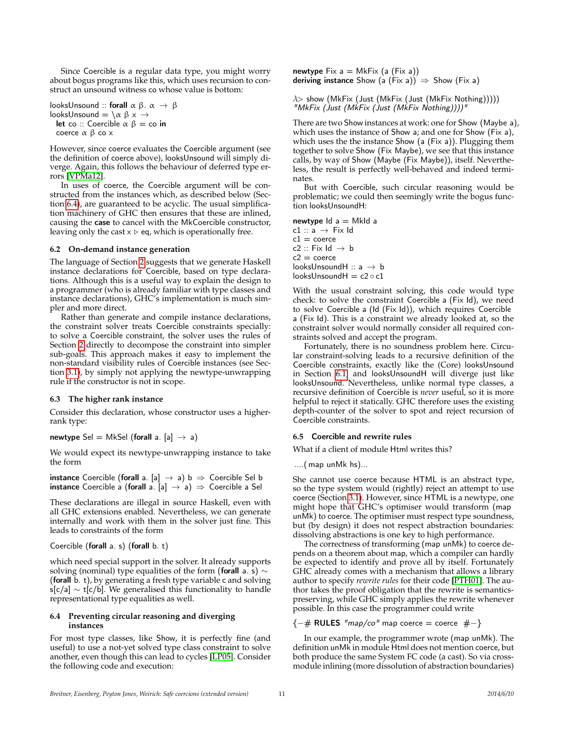Since Coercible is a regular data type, you might worry about bogus programs like this, which uses recursion to construct an unsound witness co whose value is bottom:

looksUnsound :: forall  $\alpha \beta$ .  $\alpha \rightarrow \beta$ looksUnsound =  $\alpha \beta x \rightarrow$ let co :: Coercible  $\alpha \beta = \infty$  in coerce α β co x

However, since coerce evaluates the Coercible argument (see the definition of coerce above), looksUnsound will simply diverge. Again, this follows the behaviour of deferred type errors [\[VPMa12\]](#page-13-10).

In uses of coerce, the Coercible argument will be constructed from the instances which, as described below (Section [6.4\)](#page-10-0), are guaranteed to be acyclic. The usual simplification machinery of GHC then ensures that these are inlined, causing the case to cancel with the MkCoercible constructor, leaving only the cast  $x \trianglerighteq \text{eq}$ , which is operationally free.

#### **6.2 On-demand instance generation**

The language of Section [2](#page-1-0) suggests that we generate Haskell instance declarations for Coercible, based on type declarations. Although this is a useful way to explain the design to a programmer (who is already familiar with type classes and instance declarations), GHC's implementation is much simpler and more direct.

Rather than generate and compile instance declarations, the constraint solver treats Coercible constraints specially: to solve a Coercible constraint, the solver uses the rules of Section [2](#page-1-0) directly to decompose the constraint into simpler sub-goals. This approach makes it easy to implement the non-standard visibility rules of Coercible instances (see Section [3.1\)](#page-3-1), by simply not applying the newtype-unwrapping rule if the constructor is not in scope.

#### **6.3 The higher rank instance**

Consider this declaration, whose constructor uses a higherrank type:

newtype Sel = MkSel (forall a. [a]  $\rightarrow$  a)

We would expect its newtype-unwrapping instance to take the form

**instance** Coercible (forall a. [a]  $\rightarrow$  a) b  $\Rightarrow$  Coercible Sel b instance Coercible a (forall a. [a]  $\rightarrow$  a)  $\Rightarrow$  Coercible a Sel

These declarations are illegal in source Haskell, even with all GHC extensions enabled. Nevertheless, we can generate internally and work with them in the solver just fine. This leads to constraints of the form

```
Coercible (forall a. s) (forall b. t)
```
which need special support in the solver. It already supports solving (nominal) type equalities of the form (forall a. s)  $\sim$ (forall b. t), by generating a fresh type variable c and solving s[c/a] ∼ t[c/b]. We generalised this functionality to handle representational type equalities as well.

#### <span id="page-10-0"></span>**6.4 Preventing circular reasoning and diverging instances**

For most type classes, like Show, it is perfectly fine (and useful) to use a not-yet solved type class constraint to solve another, even though this can lead to cycles [\[LP05\]](#page-13-11). Consider the following code and execution:

newtype  $Fix a = MkFix (a (Fix a))$ deriving instance Show (a  $(Fix a)$ )  $\Rightarrow$  Show (Fix a)

*λ*> show (MkFix (Just (MkFix (Just (MkFix Nothing))))) "MkFix (Just (MkFix (Just (MkFix Nothing))))"

There are two Show instances at work: one for Show (Maybe a), which uses the instance of Show a; and one for Show (Fix a), which uses the the instance Show (a (Fix a)). Plugging them together to solve Show (Fix Maybe), we see that this instance calls, by way of Show (Maybe (Fix Maybe)), itself. Nevertheless, the result is perfectly well-behaved and indeed terminates.

But with Coercible, such circular reasoning would be problematic; we could then seemingly write the bogus function looksUnsoundH:

newtype  $Id a = MkId a$ c1 ::  $a \rightarrow Fix$  Id  $c1 =$  coerce c2 :: Fix  $\mathsf{Id} \to \mathsf{b}$  $c2 =$  coerce looksUnsoundH :: a → b looksUnsoundH = c2 ◦ c1

With the usual constraint solving, this code would type check: to solve the constraint Coercible a (Fix Id), we need to solve Coercible a (Id (Fix Id)), which requires Coercible a (Fix Id). This is a constraint we already looked at, so the constraint solver would normally consider all required constraints solved and accept the program.

Fortunately, there is no soundness problem here. Circular constraint-solving leads to a recursive definition of the Coercible constraints, exactly like the (Core) looksUnsound in Section [6.1,](#page-9-3) and looksUnsoundH will diverge just like looksUnsound. Nevertheless, unlike normal type classes, a recursive definition of Coercible is *never* useful, so it is more helpful to reject it statically. GHC therefore uses the existing depth-counter of the solver to spot and reject recursion of Coercible constraints.

## **6.5** Coercible **and rewrite rules**

What if a client of module Html writes this?

....( map unMk hs)...

She cannot use coerce because HTML is an abstract type, so the type system would (rightly) reject an attempt to use coerce (Section [3.1\)](#page-3-1). However, since HTML is a newtype, one might hope that GHC's optimiser would transform (map unMk) to coerce. The optimiser must respect type soundness, but (by design) it does not respect abstraction boundaries: dissolving abstractions is one key to high performance.

The correctness of transforming (map unMk) to coerce depends on a theorem about map, which a compiler can hardly be expected to identify and prove all by itself. Fortunately GHC already comes with a mechanism that allows a library author to specify *rewrite rules* for their code [\[PTH01\]](#page-13-12). The author takes the proof obligation that the rewrite is semanticspreserving, while GHC simply applies the rewrite whenever possible. In this case the programmer could write

#### ${-}$ # RULES "map/co" map coerce = coerce  $#$ -}

In our example, the programmer wrote (map unMk). The definition unMk in module Html does not mention coerce, but both produce the same System FC code (a cast). So via crossmodule inlining (more dissolution of abstraction boundaries)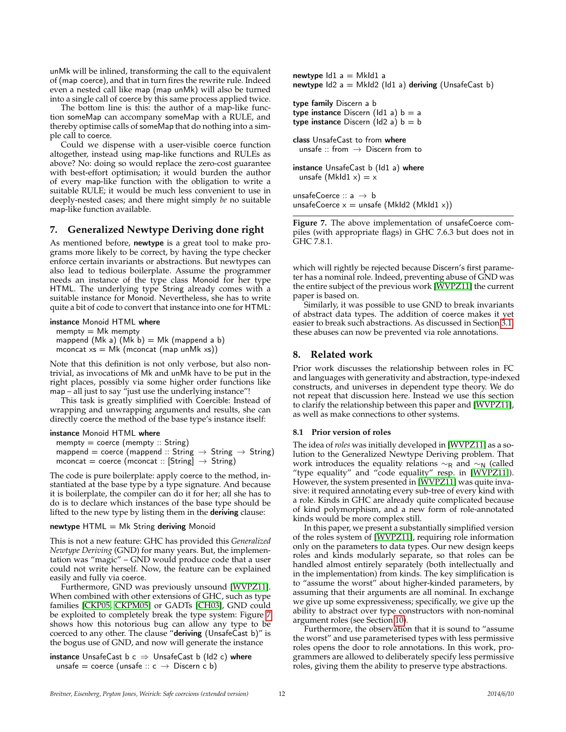unMk will be inlined, transforming the call to the equivalent of (map coerce), and that in turn fires the rewrite rule. Indeed even a nested call like map (map unMk) will also be turned into a single call of coerce by this same process applied twice.

The bottom line is this: the author of a map-like function someMap can accompany someMap with a RULE, and thereby optimise calls of someMap that do nothing into a simple call to coerce.

Could we dispense with a user-visible coerce function altogether, instead using map-like functions and RULEs as above? No: doing so would replace the zero-cost guarantee with best-effort optimisation; it would burden the author of every map-like function with the obligation to write a suitable RULE; it would be much less convenient to use in deeply-nested cases; and there might simply *be* no suitable map-like function available.

## <span id="page-11-0"></span>**7. Generalized Newtype Deriving done right**

As mentioned before, newtype is a great tool to make programs more likely to be correct, by having the type checker enforce certain invariants or abstractions. But newtypes can also lead to tedious boilerplate. Assume the programmer needs an instance of the type class Monoid for her type HTML. The underlying type String already comes with a suitable instance for Monoid. Nevertheless, she has to write quite a bit of code to convert that instance into one for HTML:

instance Monoid HTML where  $m$ empty  $=$  Mk mempty mappend  $(Mk a)$   $(Mk b) = Mk$  (mappend a b) mconcat  $xs = Mk$  (mconcat (map unMk xs))

Note that this definition is not only verbose, but also nontrivial, as invocations of Mk and unMk have to be put in the right places, possibly via some higher order functions like map – all just to say "just use the underlying instance"!

This task is greatly simplified with Coercible: Instead of wrapping and unwrapping arguments and results, she can directly coerce the method of the base type's instance itself:

#### instance Monoid HTML where

 $m$ empty = coerce (mempty :: String) mappend = coerce (mappend :: String  $\rightarrow$  String  $\rightarrow$  String) mconcat = coerce (mconcat ::  $[String] \rightarrow String$ )

The code is pure boilerplate: apply coerce to the method, instantiated at the base type by a type signature. And because it is boilerplate, the compiler can do it for her; all she has to do is to declare which instances of the base type should be lifted to the new type by listing them in the deriving clause:

#### $newtype$  HTML  $=$  Mk String deriving Monoid

This is not a new feature: GHC has provided this *Generalized Newtype Deriving* (GND) for many years. But, the implementation was "magic" – GND would produce code that a user could not write herself. Now, the feature can be explained easily and fully via coerce.

Furthermore, GND was previously unsound [\[WVPZ11\]](#page-13-3). When combined with other extensions of GHC, such as type families [\[CKP05,](#page-13-4) [CKPM05\]](#page-13-5) or GADTs [\[CH03\]](#page-13-13), GND could be exploited to completely break the type system: Figure [7](#page-11-3) shows how this notorious bug can allow any type to be coerced to any other. The clause "deriving (UnsafeCast b)" is the bogus use of GND, and now will generate the instance

instance UnsafeCast b  $c \Rightarrow$  UnsafeCast b (Id2 c) where unsafe = coerce (unsafe ::  $c \rightarrow$  Discern c b)

newtype  $Id1 a = MkId1 a$ newtype  $Id2 a = MkId2 (Id1 a)$  deriving (UnsafeCast b)

type family Discern a b type instance Discern ( $\text{Id}1$  a)  $\text{b} = \text{a}$ type instance Discern  $(\text{Id}2 \text{ a}) \text{ b} = \text{b}$ 

class UnsafeCast to from where unsafe :: from  $\rightarrow$  Discern from to

instance UnsafeCast b (Id1 a) where unsafe (Mkld $1 x$ ) = x

unsafeCoerce  $::$  a  $\rightarrow$  b unsafeCoerce  $x =$  unsafe (MkId2 (MkId1 x))

<span id="page-11-3"></span>**Figure 7.** The above implementation of unsafeCoerce compiles (with appropriate flags) in GHC 7.6.3 but does not in GHC 7.8.1.

which will rightly be rejected because Discern's first parameter has a nominal role. Indeed, preventing abuse of GND was the entire subject of the previous work [\[WVPZ11\]](#page-13-3) the current paper is based on.

Similarly, it was possible to use GND to break invariants of abstract data types. The addition of coerce makes it yet easier to break such abstractions. As discussed in Section [3.1,](#page-3-1) these abuses can now be prevented via role annotations.

#### <span id="page-11-1"></span>**8. Related work**

Prior work discusses the relationship between roles in FC and languages with generativity and abstraction, type-indexed constructs, and universes in dependent type theory. We do not repeat that discussion here. Instead we use this section to clarify the relationship between this paper and [\[WVPZ11\]](#page-13-3), as well as make connections to other systems.

#### <span id="page-11-2"></span>**8.1 Prior version of roles**

The idea of *roles* was initially developed in [\[WVPZ11\]](#page-13-3) as a solution to the Generalized Newtype Deriving problem. That work introduces the equality relations  $\sim_R$  and  $\sim_N$  (called "type equality" and "code equality" resp. in [\[WVPZ11\]](#page-13-3)). However, the system presented in [\[WVPZ11\]](#page-13-3) was quite invasive: it required annotating every sub-tree of every kind with a role. Kinds in GHC are already quite complicated because of kind polymorphism, and a new form of role-annotated kinds would be more complex still.

In this paper, we present a substantially simplified version of the roles system of [\[WVPZ11\]](#page-13-3), requiring role information only on the parameters to data types. Our new design keeps roles and kinds modularly separate, so that roles can be handled almost entirely separately (both intellectually and in the implementation) from kinds. The key simplification is to "assume the worst" about higher-kinded parameters, by assuming that their arguments are all nominal. In exchange we give up some expressiveness; specifically, we give up the ability to abstract over type constructors with non-nominal argument roles (see Section [10\)](#page-12-1).

Furthermore, the observation that it is sound to "assume the worst" and use parameterised types with less permissive roles opens the door to role annotations. In this work, programmers are allowed to deliberately specify less permissive roles, giving them the ability to preserve type abstractions.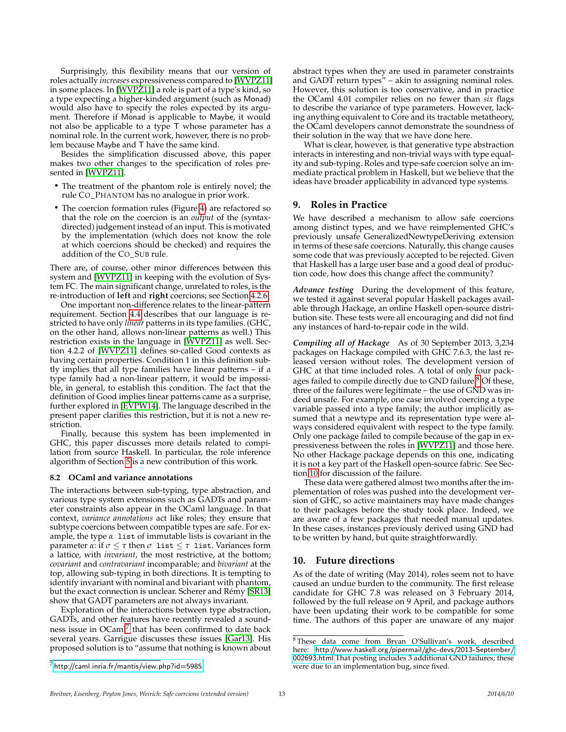Surprisingly, this flexibility means that our version of roles actually *increases* expressiveness compared to [\[WVPZ11\]](#page-13-3) in some places. In [\[WVPZ11\]](#page-13-3) a role is part of a type's kind, so a type expecting a higher-kinded argument (such as Monad) would also have to specify the roles expected by its argument. Therefore if Monad is applicable to Maybe, it would not also be applicable to a type T whose parameter has a nominal role. In the current work, however, there is no problem because Maybe and T have the same kind.

Besides the simplification discussed above, this paper makes two other changes to the specification of roles presented in [\[WVPZ11\]](#page-13-3).

- The treatment of the phantom role is entirely novel; the rule CO\_PHANTOM has no analogue in prior work.
- The coercion formation rules (Figure [4\)](#page-5-0) are refactored so that the role on the coercion is an *output* of the (syntaxdirected) judgement instead of an input. This is motivated by the implementation (which does not know the role at which coercions should be checked) and requires the addition of the CO\_SUB rule.

There are, of course, other minor differences between this system and [\[WVPZ11\]](#page-13-3) in keeping with the evolution of System FC. The main significant change, unrelated to roles, is the re-introduction of **left** and **right** coercions; see Section [4.2.6.](#page-6-2)

One important non-difference relates to the linear-pattern requirement. Section [4.4](#page-8-3) describes that our language is restricted to have only *linear* patterns in its type families. (GHC, on the other hand, allows non-linear patterns as well.) This restriction exists in the language in [\[WVPZ11\]](#page-13-3) as well. Section 4.2.2 of [\[WVPZ11\]](#page-13-3) defines so-called Good contexts as having certain properties. Condition 1 in this definition subtly implies that all type families have linear patterns – if a type family had a non-linear pattern, it would be impossible, in general, to establish this condition. The fact that the definition of Good implies linear patterns came as a surprise, further explored in [\[EVPW14\]](#page-13-7). The language described in the present paper clarifies this restriction, but it is not a new restriction.

Finally, because this system has been implemented in GHC, this paper discusses more details related to compilation from source Haskell. In particular, the role inference algorithm of Section [5](#page-8-0) is a new contribution of this work.

#### **8.2 OCaml and variance annotations**

The interactions between sub-typing, type abstraction, and various type system extensions such as GADTs and parameter constraints also appear in the OCaml language. In that context, *variance annotations* act like roles; they ensure that subtype coercions between compatible types are safe. For example, the type *α* list of immutable lists is covariant in the parameter *α*: if  $σ ≤ τ$  then  $σ$  list  $≤ τ$  list. Variances form a lattice, with *invariant*, the most restrictive, at the bottom; *covariant* and *contravariant* incomparable; and *bivariant* at the top, allowing sub-typing in both directions. It is tempting to identify invariant with nominal and bivariant with phantom, but the exact connection is unclear. Scherer and Rémy [\[SR13\]](#page-13-14) show that GADT parameters are not always invariant.

Exploration of the interactions between type abstraction, GADTs, and other features have recently revealed a sound-ness issue in OCaml<sup>[7](#page-12-2)</sup> that has been confirmed to date back several years. Garrigue discusses these issues [\[Gar13\]](#page-13-15). His proposed solution is to "assume that nothing is known about abstract types when they are used in parameter constraints and GADT return types" – akin to assigning nominal roles. However, this solution is too conservative, and in practice the OCaml 4.01 compiler relies on no fewer than *six* flags to describe the variance of type parameters. However, lacking anything equivalent to Core and its tractable metatheory, the OCaml developers cannot demonstrate the soundness of their solution in the way that we have done here.

What is clear, however, is that generative type abstraction interacts in interesting and non-trivial ways with type equality and sub-typing. Roles and type-safe coercion solve an immediate practical problem in Haskell, but we believe that the ideas have broader applicability in advanced type systems.

## <span id="page-12-0"></span>**9. Roles in Practice**

We have described a mechanism to allow safe coercions among distinct types, and we have reimplemented GHC's previously unsafe GeneralizedNewtypeDeriving extension in terms of these safe coercions. Naturally, this change causes some code that was previously accepted to be rejected. Given that Haskell has a large user base and a good deal of production code, how does this change affect the community?

*Advance testing* During the development of this feature, we tested it against several popular Haskell packages available through Hackage, an online Haskell open-source distribution site. These tests were all encouraging and did not find any instances of hard-to-repair code in the wild.

*Compiling all of Hackage* As of 30 September 2013, 3,234 packages on Hackage compiled with GHC 7.6.3, the last released version without roles. The development version of GHC at that time included roles. A total of only four pack-ages failed to compile directly due to GND failure.<sup>[8](#page-12-3)</sup> Of these, three of the failures were legitimate – the use of GND was indeed unsafe. For example, one case involved coercing a type variable passed into a type family; the author implicitly assumed that a newtype and its representation type were always considered equivalent with respect to the type family. Only one package failed to compile because of the gap in expressiveness between the roles in [\[WVPZ11\]](#page-13-3) and those here. No other Hackage package depends on this one, indicating it is not a key part of the Haskell open-source fabric. See Section [10](#page-12-1) for discussion of the failure.

These data were gathered almost two months after the implementation of roles was pushed into the development version of GHC, so active maintainers may have made changes to their packages before the study took place. Indeed, we are aware of a few packages that needed manual updates. In these cases, instances previously derived using GND had to be written by hand, but quite straightforwardly.

## <span id="page-12-1"></span>**10. Future directions**

As of the date of writing (May 2014), roles seem not to have caused an undue burden to the community. The first release candidate for GHC 7.8 was released on 3 February 2014, followed by the full release on 9 April, and package authors have been updating their work to be compatible for some time. The authors of this paper are unaware of any major

<span id="page-12-2"></span><sup>7</sup> <http://caml.inria.fr/mantis/view.php?id=5985>

<span id="page-12-3"></span><sup>8</sup> These data come from Bryan O'Sullivan's work, described here: [http://www.haskell.org/pipermail/ghc-devs/2013-September/](http://www.haskell.org/pipermail/ghc-devs/2013-September/002693.html) [002693.html](http://www.haskell.org/pipermail/ghc-devs/2013-September/002693.html) That posting includes 3 additional GND failures; these were due to an implementation bug, since fixed.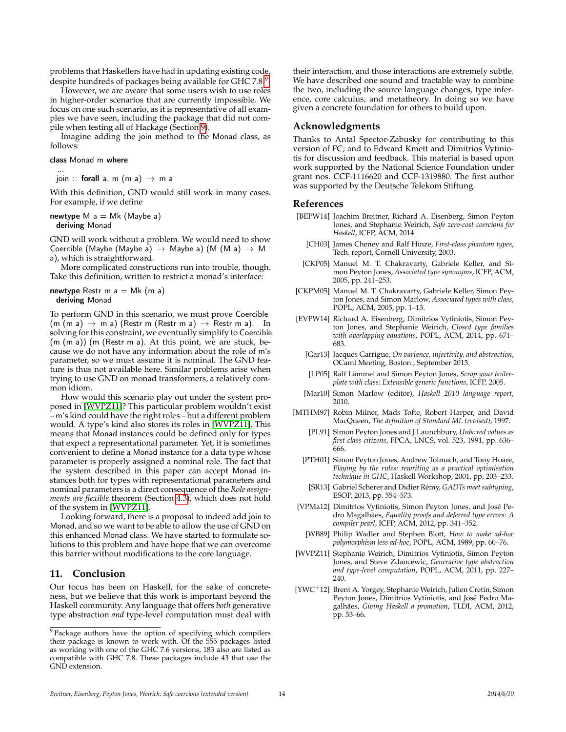problems that Haskellers have had in updating existing code, despite hundreds of packages being available for GHC 7.8.[9](#page-13-16)

However, we are aware that some users wish to use roles in higher-order scenarios that are currently impossible. We focus on one such scenario, as it is representative of all examples we have seen, including the package that did not compile when testing all of Hackage (Section [9\)](#page-12-0).

Imagine adding the join method to the Monad class, as follows:

#### class Monad m where

...

join :: forall a. m  $(m a) \rightarrow m a$ 

With this definition, GND would still work in many cases. For example, if we define

newtype M  $a = Mk$  (Maybe a) deriving Monad

GND will work without a problem. We would need to show Coercible (Maybe (Maybe a)  $\rightarrow$  Maybe a) (M (M a)  $\rightarrow$  M a), which is straightforward.

More complicated constructions run into trouble, though. Take this definition, written to restrict a monad's interface:

```
newtype Restr m a = Mk (m a)deriving Monad
```
To perform GND in this scenario, we must prove Coercible  $(m (m a) \rightarrow m a)$  (Restr m (Restr m a)  $\rightarrow$  Restr m a). In solving for this constraint, we eventually simplify to Coercible (m (m a)) (m (Restr m a). At this point, we are stuck, because we do not have any information about the role of m's parameter, so we must assume it is nominal. The GND feature is thus not available here. Similar problems arise when trying to use GND on monad transformers, a relatively common idiom.

How would this scenario play out under the system proposed in [\[WVPZ11\]](#page-13-3)? This particular problem wouldn't exist – m's kind could have the right roles – but a different problem would. A type's kind also stores its roles in [\[WVPZ11\]](#page-13-3). This means that Monad instances could be defined only for types that expect a representational parameter. Yet, it is sometimes convenient to define a Monad instance for a data type whose parameter is properly assigned a nominal role. The fact that the system described in this paper can accept Monad instances both for types with representational parameters and nominal parameters is a direct consequence of the *Role assignments are flexible* theorem (Section [4.3\)](#page-7-1), which does not hold of the system in [\[WVPZ11\]](#page-13-3).

Looking forward, there is a proposal to indeed add join to Monad, and so we want to be able to allow the use of GND on this enhanced Monad class. We have started to formulate solutions to this problem and have hope that we can overcome this barrier without modifications to the core language.

## **11. Conclusion**

Our focus has been on Haskell, for the sake of concreteness, but we believe that this work is important beyond the Haskell community. Any language that offers *both* generative type abstraction *and* type-level computation must deal with

their interaction, and those interactions are extremely subtle. We have described one sound and tractable way to combine the two, including the source language changes, type inference, core calculus, and metatheory. In doing so we have given a concrete foundation for others to build upon.

## **Acknowledgments**

Thanks to Antal Spector-Zabusky for contributing to this version of FC; and to Edward Kmett and Dimitrios Vytiniotis for discussion and feedback. This material is based upon work supported by the National Science Foundation under grant nos. CCF-1116620 and CCF-1319880. The first author was supported by the Deutsche Telekom Stiftung.

#### **References**

- <span id="page-13-2"></span>[BEPW14] Joachim Breitner, Richard A. Eisenberg, Simon Peyton Jones, and Stephanie Weirich, *Safe zero-cost coercions for Haskell*, ICFP, ACM, 2014.
	- [CH03] James Cheney and Ralf Hinze, *First-class phantom types*, Tech. report, Cornell University, 2003.
- <span id="page-13-13"></span><span id="page-13-4"></span>[CKP05] Manuel M. T. Chakravarty, Gabriele Keller, and Simon Peyton Jones, *Associated type synonyms*, ICFP, ACM, 2005, pp. 241–253.
- <span id="page-13-5"></span>[CKPM05] Manuel M. T. Chakravarty, Gabriele Keller, Simon Peyton Jones, and Simon Marlow, *Associated types with class*, POPL, ACM, 2005, pp. 1–13.
- <span id="page-13-15"></span><span id="page-13-7"></span>[EVPW14] Richard A. Eisenberg, Dimitrios Vytiniotis, Simon Peyton Jones, and Stephanie Weirich, *Closed type families with overlapping equations*, POPL, ACM, 2014, pp. 671– 683.
	- [Gar13] Jacques Garrigue, *On variance, injectivity, and abstraction*, OCaml Meeting, Boston., September 2013.
	- [LP05] Ralf Lämmel and Simon Peyton Jones, *Scrap your boilerplate with class: Extensible generic functions*, ICFP, 2005.
- <span id="page-13-11"></span><span id="page-13-1"></span>[Mar10] Simon Marlow (editor), *Haskell 2010 language report*, 2010.
- <span id="page-13-12"></span><span id="page-13-9"></span><span id="page-13-0"></span>[MTHM97] Robin Milner, Mads Tofte, Robert Harper, and David MacQueen, *The definition of Standard ML (revised)*, 1997.
	- [PL91] Simon Peyton Jones and J Launchbury, *Unboxed values as first class citizens*, FPCA, LNCS, vol. 523, 1991, pp. 636– 666.
	- [PTH01] Simon Peyton Jones, Andrew Tolmach, and Tony Hoare, *Playing by the rules: rewriting as a practical optimisation technique in GHC*, Haskell Workshop, 2001, pp. 203–233.
	- [SR13] Gabriel Scherer and Didier Rémy, *GADTs meet subtyping*, ESOP, 2013, pp. 554–573.
- <span id="page-13-14"></span><span id="page-13-10"></span>[VPMa12] Dimitrios Vytiniotis, Simon Peyton Jones, and José Pedro Magalhães, *Equality proofs and deferred type errors: A compiler pearl*, ICFP, ACM, 2012, pp. 341–352.
- <span id="page-13-8"></span>[WB89] Philip Wadler and Stephen Blott, *How to make ad-hoc polymorphism less ad-hoc*, POPL, ACM, 1989, pp. 60–76.
- <span id="page-13-3"></span>[WVPZ11] Stephanie Weirich, Dimitrios Vytiniotis, Simon Peyton Jones, and Steve Zdancewic, *Generative type abstraction and type-level computation*, POPL, ACM, 2011, pp. 227– 240.
- <span id="page-13-6"></span>[YWC+12] Brent A. Yorgey, Stephanie Weirich, Julien Cretin, Simon Peyton Jones, Dimitrios Vytiniotis, and José Pedro Magalhães, *Giving Haskell a promotion*, TLDI, ACM, 2012, pp. 53–66.

<span id="page-13-16"></span><sup>&</sup>lt;sup>9</sup> Package authors have the option of specifying which compilers their package is known to work with. Of the 555 packages listed as working with one of the GHC 7.6 versions, 183 also are listed as compatible with GHC 7.8. These packages include 43 that use the GND extension.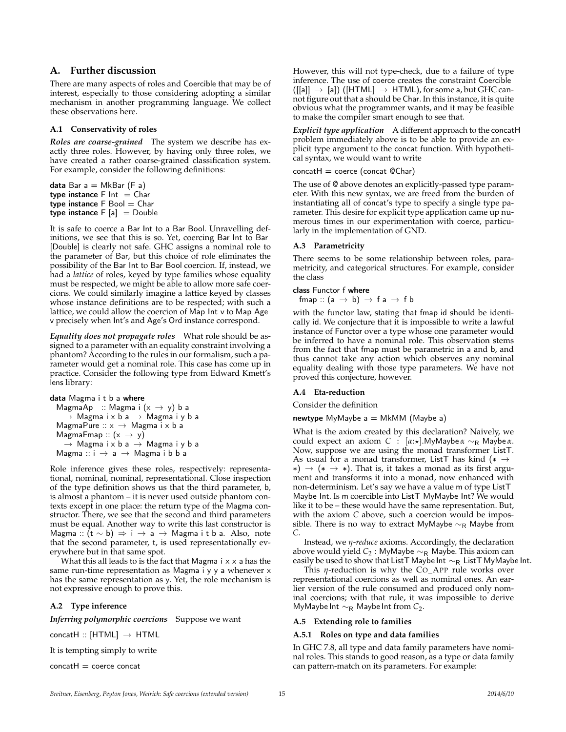## **A. Further discussion**

There are many aspects of roles and Coercible that may be of interest, especially to those considering adopting a similar mechanism in another programming language. We collect these observations here.

## **A.1 Conservativity of roles**

*Roles are coarse-grained* The system we describe has exactly three roles. However, by having only three roles, we have created a rather coarse-grained classification system. For example, consider the following definitions:

```
data Bar a = MkBar (F a)
type instance F \text{ Int } = \text{Char}type instance F Bool = Char
type instance F [a] = Double
```
It is safe to coerce a Bar Int to a Bar Bool. Unravelling definitions, we see that this is so. Yet, coercing Bar Int to Bar [Double] is clearly not safe. GHC assigns a nominal role to the parameter of Bar, but this choice of role eliminates the possibility of the Bar Int to Bar Bool coercion. If, instead, we had a *lattice* of roles, keyed by type families whose equality must be respected, we might be able to allow more safe coercions. We could similarly imagine a lattice keyed by classes whose instance definitions are to be respected; with such a lattice, we could allow the coercion of Map Int v to Map Age v precisely when Int's and Age's Ord instance correspond.

*Equality does not propagate roles* What role should be assigned to a parameter with an equality constraint involving a phantom? According to the rules in our formalism, such a parameter would get a nominal role. This case has come up in practice. Consider the following type from Edward Kmett's lens library:

```
data Magma it b a where
  MagmaAp :: Magma i (x \rightarrow y) b a
     \rightarrow Magma i x b a \rightarrow Magma i y b a
  MagmaPure :: x \rightarrow Magma i x b a
  MagmaFmap :: (x \rightarrow y)\rightarrow Magma i x b a \rightarrow Magma i y b a
  Magma :: i \rightarrow a \rightarrow Magma i b b a
```
Role inference gives these roles, respectively: representational, nominal, nominal, representational. Close inspection of the type definition shows us that the third parameter, b, is almost a phantom – it is never used outside phantom contexts except in one place: the return type of the Magma constructor. There, we see that the second and third parameters must be equal. Another way to write this last constructor is Magma ::  $(t \sim b) \Rightarrow i \rightarrow a \rightarrow M$ agma it b a. Also, note that the second parameter, t, is used representationally everywhere but in that same spot.

What this all leads to is the fact that Magma  $i \times x$  a has the same run-time representation as Magma i y y a whenever x has the same representation as y. Yet, the role mechanism is not expressive enough to prove this.

## **A.2 Type inference**

*Inferring polymorphic coercions* Suppose we want

concatH  $::$  [HTML]  $\rightarrow$  HTML

It is tempting simply to write

 $concatH = corece concat$ 

However, this will not type-check, due to a failure of type inference. The use of coerce creates the constraint Coercible  $([[a]] \rightarrow [a]) ([HTML] \rightarrow HTML)$ , for some a, but GHC cannot figure out that a should be Char. In this instance, it is quite obvious what the programmer wants, and it may be feasible to make the compiler smart enough to see that.

*Explicit type application* A different approach to the concatH problem immediately above is to be able to provide an explicit type argument to the concat function. With hypothetical syntax, we would want to write

 $concatH = core (concat @Char)$ 

The use of @ above denotes an explicitly-passed type parameter. With this new syntax, we are freed from the burden of instantiating all of concat's type to specify a single type parameter. This desire for explicit type application came up numerous times in our experimentation with coerce, particularly in the implementation of GND.

#### **A.3 Parametricity**

There seems to be some relationship between roles, parametricity, and categorical structures. For example, consider the class

class Functor f where

fmap :: (a  $\rightarrow$  b)  $\rightarrow$  f a  $\rightarrow$  f b

with the functor law, stating that fmap id should be identically id. We conjecture that it is impossible to write a lawful instance of Functor over a type whose one parameter would be inferred to have a nominal role. This observation stems from the fact that fmap must be parametric in a and b, and thus cannot take any action which observes any nominal equality dealing with those type parameters. We have not proved this conjecture, however.

#### **A.4 Eta-reduction**

Consider the definition

newtype MyMaybe  $a = MkMM$  (Maybe a)

What is the axiom created by this declaration? Naively, we could expect an axiom *C* : [*α*:?].MyMaybe *α* ∼<sup>R</sup> Maybe *α*. Now, suppose we are using the monad transformer ListT. As usual for a monad transformer, ListT has kind ( $* \rightarrow$  $\ast$ )  $\rightarrow$  ( $\ast$   $\rightarrow$   $\ast$ ). That is, it takes a monad as its first argument and transforms it into a monad, now enhanced with non-determinism. Let's say we have a value m of type ListT Maybe Int. Is m coercible into ListT MyMaybe Int? We would like it to be – these would have the same representation. But, with the axiom *C* above, such a coercion would be impossible. There is no way to extract MyMaybe  $\sim_R$  Maybe from *C*.

Instead, we *η-reduce* axioms. Accordingly, the declaration above would yield *C*<sup>2</sup> : MyMaybe ∼<sup>R</sup> Maybe. This axiom can easily be used to show that ListT Maybe Int  $\sim_R$  ListT MyMaybe Int.

This *η*-reduction is why the CO\_APP rule works over representational coercions as well as nominal ones. An earlier version of the rule consumed and produced only nominal coercions; with that rule, it was impossible to derive MyMaybe Int ∼<sup>R</sup> Maybe Int from *C*2.

#### **A.5 Extending role to families**

#### **A.5.1 Roles on type and data families**

In GHC 7.8, all type and data family parameters have nominal roles. This stands to good reason, as a type or data family can pattern-match on its parameters. For example: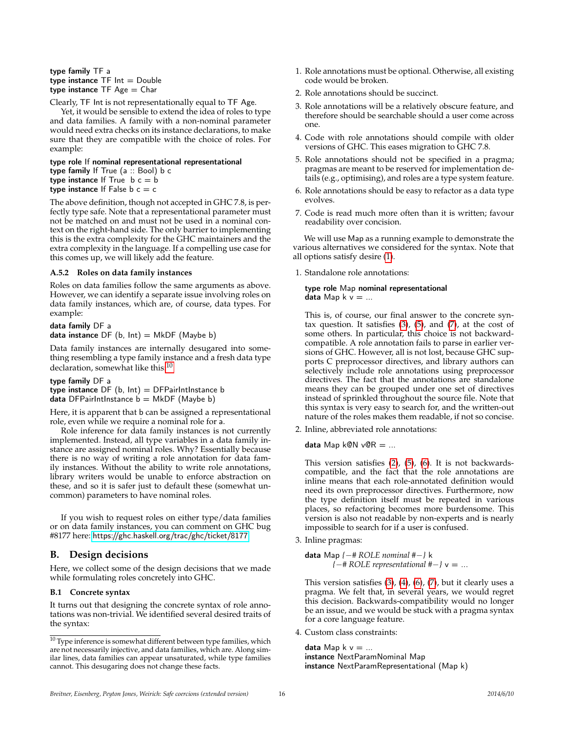type family TF a type instance  $TF$  Int  $=$  Double type instance  $TF$  Age  $=$  Char

Clearly, TF Int is not representationally equal to TF Age.

Yet, it would be sensible to extend the idea of roles to type and data families. A family with a non-nominal parameter would need extra checks on its instance declarations, to make sure that they are compatible with the choice of roles. For example:

type role If nominal representational representational

type family If True (a :: Bool) b c type instance If True  $b c = b$ type instance If False  $b c = c$ 

The above definition, though not accepted in GHC 7.8, is perfectly type safe. Note that a representational parameter must not be matched on and must not be used in a nominal context on the right-hand side. The only barrier to implementing this is the extra complexity for the GHC maintainers and the extra complexity in the language. If a compelling use case for this comes up, we will likely add the feature.

#### **A.5.2 Roles on data family instances**

Roles on data families follow the same arguments as above. However, we can identify a separate issue involving roles on data family instances, which are, of course, data types. For example:

#### data family DF a

data instance  $DF(h, Int) = MkDF(Maybe b)$ 

Data family instances are internally desugared into something resembling a type family instance and a fresh data type declaration, somewhat like this:<sup>[10](#page-15-0)</sup>

type family DF a

type instance  $DF (b, Int) = DFPairInth}$ data DFPairIntInstance  $b = MkDF$  (Maybe b)

Here, it is apparent that b can be assigned a representational role, even while we require a nominal role for a.

Role inference for data family instances is not currently implemented. Instead, all type variables in a data family instance are assigned nominal roles. Why? Essentially because there is no way of writing a role annotation for data family instances. Without the ability to write role annotations, library writers would be unable to enforce abstraction on these, and so it is safer just to default these (somewhat uncommon) parameters to have nominal roles.

If you wish to request roles on either type/data families or on data family instances, you can comment on GHC bug #8177 here: <https://ghc.haskell.org/trac/ghc/ticket/8177>

# **B. Design decisions**

Here, we collect some of the design decisions that we made while formulating roles concretely into GHC.

## **B.1 Concrete syntax**

It turns out that designing the concrete syntax of role annotations was non-trivial. We identified several desired traits of the syntax:

- <span id="page-15-1"></span>1. Role annotations must be optional. Otherwise, all existing code would be broken.
- <span id="page-15-5"></span>2. Role annotations should be succinct.
- <span id="page-15-2"></span>3. Role annotations will be a relatively obscure feature, and therefore should be searchable should a user come across one.
- <span id="page-15-7"></span>4. Code with role annotations should compile with older versions of GHC. This eases migration to GHC 7.8.
- <span id="page-15-3"></span>5. Role annotations should not be specified in a pragma; pragmas are meant to be reserved for implementation details (e.g., optimising), and roles are a type system feature.
- <span id="page-15-6"></span>6. Role annotations should be easy to refactor as a data type evolves.
- <span id="page-15-4"></span>7. Code is read much more often than it is written; favour readability over concision.

We will use Map as a running example to demonstrate the various alternatives we considered for the syntax. Note that all options satisfy desire [\(1\)](#page-15-1).

1. Standalone role annotations:

#### type role Map nominal representational data Map  $k v = ...$

This is, of course, our final answer to the concrete syntax question. It satisfies  $(3)$ ,  $(5)$ , and  $(7)$ , at the cost of some others. In particular, this choice is not backwardcompatible. A role annotation fails to parse in earlier versions of GHC. However, all is not lost, because GHC supports C preprocessor directives, and library authors can selectively include role annotations using preprocessor directives. The fact that the annotations are standalone means they can be grouped under one set of directives instead of sprinkled throughout the source file. Note that this syntax is very easy to search for, and the written-out nature of the roles makes them readable, if not so concise.

2. Inline, abbreviated role annotations:

data Map  $k@N$  v $@R = ...$ 

This version satisfies [\(2\)](#page-15-5), [\(5\)](#page-15-3), [\(6\)](#page-15-6). It is not backwardscompatible, and the fact that the role annotations are inline means that each role-annotated definition would need its own preprocessor directives. Furthermore, now the type definition itself must be repeated in various places, so refactoring becomes more burdensome. This version is also not readable by non-experts and is nearly impossible to search for if a user is confused.

3. Inline pragmas:

data Map *{*−*# ROLE nominal #*−*}* k *{*−*# ROLE representational #*−*}* v = ...

This version satisfies  $(3)$ ,  $(4)$ ,  $(6)$ ,  $(7)$ , but it clearly uses a pragma. We felt that, in several years, we would regret this decision. Backwards-compatibility would no longer be an issue, and we would be stuck with a pragma syntax for a core language feature.

4. Custom class constraints:

data Map  $k v = ...$ instance NextParamNominal Map instance NextParamRepresentational (Map k)

<span id="page-15-0"></span> $^{10}$  Type inference is somewhat different between type families, which are not necessarily injective, and data families, which are. Along similar lines, data families can appear unsaturated, while type families cannot. This desugaring does not change these facts.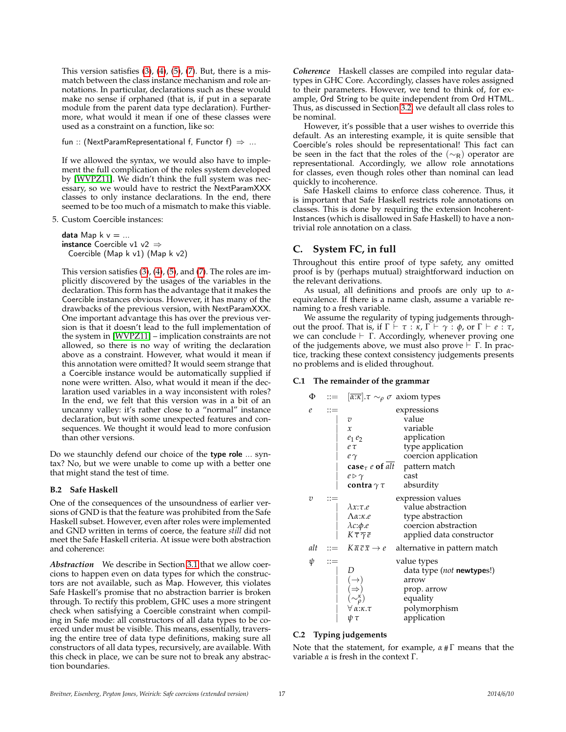This version satisfies  $(3)$ ,  $(4)$ ,  $(5)$ ,  $(7)$ . But, there is a mismatch between the class instance mechanism and role annotations. In particular, declarations such as these would make no sense if orphaned (that is, if put in a separate module from the parent data type declaration). Furthermore, what would it mean if one of these classes were used as a constraint on a function, like so:

fun :: (NextParamRepresentational f, Functor f)  $\Rightarrow$  ...

If we allowed the syntax, we would also have to implement the full complication of the roles system developed by [\[WVPZ11\]](#page-13-3). We didn't think the full system was necessary, so we would have to restrict the NextParamXXX classes to only instance declarations. In the end, there seemed to be too much of a mismatch to make this viable.

5. Custom Coercible instances:

data Map  $k v = ...$ instance Coercible v1 v2 ⇒ Coercible (Map k v1) (Map k v2)

This version satisfies [\(3\)](#page-15-2), [\(4\)](#page-15-7), [\(5\)](#page-15-3), and [\(7\)](#page-15-4). The roles are implicitly discovered by the usages of the variables in the declaration. This form has the advantage that it makes the Coercible instances obvious. However, it has many of the drawbacks of the previous version, with NextParamXXX. One important advantage this has over the previous version is that it doesn't lead to the full implementation of the system in [\[WVPZ11\]](#page-13-3) – implication constraints are not allowed, so there is no way of writing the declaration above as a constraint. However, what would it mean if this annotation were omitted? It would seem strange that a Coercible instance would be automatically supplied if none were written. Also, what would it mean if the declaration used variables in a way inconsistent with roles? In the end, we felt that this version was in a bit of an uncanny valley: it's rather close to a "normal" instance declaration, but with some unexpected features and consequences. We thought it would lead to more confusion than other versions.

Do we staunchly defend our choice of the type role ... syntax? No, but we were unable to come up with a better one that might stand the test of time.

#### **B.2 Safe Haskell**

One of the consequences of the unsoundness of earlier versions of GND is that the feature was prohibited from the Safe Haskell subset. However, even after roles were implemented and GND written in terms of coerce, the feature *still* did not meet the Safe Haskell criteria. At issue were both abstraction and coherence:

*Abstraction* We describe in Section [3.1](#page-3-1) that we allow coercions to happen even on data types for which the constructors are not available, such as Map. However, this violates Safe Haskell's promise that no abstraction barrier is broken through. To rectify this problem, GHC uses a more stringent check when satisfying a Coercible constraint when compiling in Safe mode: all constructors of all data types to be coerced under must be visible. This means, essentially, traversing the entire tree of data type definitions, making sure all constructors of all data types, recursively, are available. With this check in place, we can be sure not to break any abstraction boundaries.

*Coherence* Haskell classes are compiled into regular datatypes in GHC Core. Accordingly, classes have roles assigned to their parameters. However, we tend to think of, for example, Ord String to be quite independent from Ord HTML. Thus, as discussed in Section [3.2,](#page-4-4) we default all class roles to be nominal.

However, it's possible that a user wishes to override this default. As an interesting example, it is quite sensible that Coercible's roles should be representational! This fact can be seen in the fact that the roles of the ( $\sim_R$ ) operator are representational. Accordingly, we allow role annotations for classes, even though roles other than nominal can lead quickly to incoherence.

Safe Haskell claims to enforce class coherence. Thus, it is important that Safe Haskell restricts role annotations on classes. This is done by requiring the extension Incoherent-Instances (which is disallowed in Safe Haskell) to have a nontrivial role annotation on a class.

# **C. System FC, in full**

Throughout this entire proof of type safety, any omitted proof is by (perhaps mutual) straightforward induction on the relevant derivations.

As usual, all definitions and proofs are only up to *α*equivalence. If there is a name clash, assume a variable renaming to a fresh variable.

We assume the regularity of typing judgements throughout the proof. That is, if  $\Gamma \vdash \tau : \kappa$ ,  $\Gamma \vdash \gamma : \phi$ , or  $\Gamma \vdash e : \tau$ , we can conclude  $\vdash \Gamma$ . Accordingly, whenever proving one of the judgements above, we must also prove  $\vdash \Gamma$ . In practice, tracking these context consistency judgements presents no problems and is elided throughout.

#### **C.1 The remainder of the grammar**

| Φ              |       | $[\overline{\alpha:\kappa}]$ . $\tau \sim_{\rho} \sigma$ axiom types                                                                                                                                                                                                                                        |
|----------------|-------|-------------------------------------------------------------------------------------------------------------------------------------------------------------------------------------------------------------------------------------------------------------------------------------------------------------|
| e              | $::=$ | expressions<br>value<br>$\overline{v}$<br>variable<br>$\mathcal{X}$<br>application<br>$e_1e_2$<br>type application<br>$e\tau$<br>coercion application<br>$e\gamma$<br>case <sub><math>\tau</math></sub> e of alt pattern match<br>$e \triangleright \gamma$<br>cast<br>absurdity<br>contra $\gamma \, \tau$ |
| $\overline{v}$ |       | expression values<br>value abstraction<br>$\lambda x$ : $\tau.e$<br>type abstraction<br>Ла:к.е<br>coercion abstraction<br>$\lambda c$ : $\phi$ .e<br>$K\overline{\tau}\overline{\gamma}\overline{e}$<br>applied data constructor                                                                            |
|                |       | alt ::= $K \overline{\alpha} \overline{c} \overline{x} \rightarrow e$<br>alternative in pattern match                                                                                                                                                                                                       |
| ψ              | $::=$ | value types<br>data type (not newtypes!)<br>arrow<br>prop. arrow<br>equality<br>$\forall \alpha:\kappa.\tau$<br>polymorphism<br>application<br>$\psi \tau$                                                                                                                                                  |

#### <span id="page-16-0"></span>**C.2 Typing judgements**

Note that the statement, for example, *α* # Γ means that the variable *α* is fresh in the context Γ.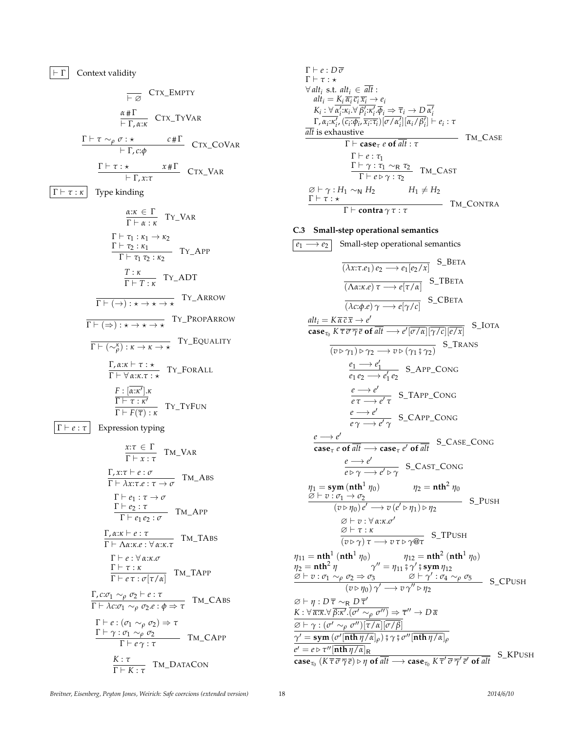[FT] Context validity  
\n
$$
\frac{\alpha}{\vdash T} \quad CTX\_ENTY
$$
\n
$$
\frac{\alpha}{\vdash T} \quad CTX\_TV \lor R
$$
\n[FT  $\alpha$  or  $\alpha$  or  $\alpha$  or  $\alpha$  or  $\alpha$  or  $\alpha$  or  $\alpha$  or  $\alpha$  or  $\alpha$  or  $\alpha$  or  $\alpha$  or  $\alpha$  or  $\alpha$  or  $\alpha$  or  $\alpha$  or  $\alpha$  or  $\alpha$  or  $\alpha$  or  $\alpha$  or  $\alpha$  or  $\alpha$  or  $\alpha$  or  $\alpha$  or  $\alpha$  or  $\alpha$  or  $\alpha$  or  $\alpha$  or  $\alpha$  or  $\alpha$  or  $\alpha$  or  $\alpha$  or  $\alpha$  or  $\alpha$  or  $\alpha$  or  $\alpha$  or  $\alpha$  or  $\alpha$  or  $\alpha$  or  $\alpha$  or  $\alpha$  or  $\alpha$  or  $\alpha$  or  $\alpha$  or  $\alpha$  or  $\alpha$  or  $\alpha$  or  $\alpha$  or  $\alpha$  or  $\alpha$  or  $\alpha$  or  $\alpha$  or  $\alpha$  or  $\alpha$  or  $\alpha$  or  $\alpha$  or  $\alpha$  or  $\alpha$  or  $\alpha$  or  $\alpha$  or  $\alpha$  or  $\alpha$  or  $\alpha$  or  $\alpha$  or  $\alpha$  or  $\alpha$  or  $\alpha$  or  $\alpha$  or  $\alpha$  or  $\alpha$  or  $\alpha$  or  $\alpha$  or  $\alpha$  or  $\alpha$  or  $\alpha$  or  $\alpha$  or  $\alpha$  or  $\alpha$  or  $\alpha$  or  $\alpha$  or  $\alpha$  or  $\alpha$  or  $\alpha$  or  $\alpha$  or  $\alpha$  or  $\alpha$  or  $\alpha$  or  $\alpha$  or  $\alpha$ 

$$
\Gamma \vdash e : D \overline{\sigma}
$$
\n
$$
\Gamma \vdash \tau : \star
$$
\n
$$
\forall \text{all}_i \text{ s.t. } \text{all}_i \in \overline{\text{all}} :
$$
\n
$$
\text{all}_i = \frac{K_i}{K_i} \overline{c_i} \overline{x_i} \rightarrow e_i
$$
\n
$$
K_i : \forall \alpha_i': \forall \overline{\alpha_i': \alpha_i} \forall \beta_i': \overline{\alpha_i'} \rightarrow \overline{\alpha_i} \rightarrow D \overline{\alpha_i'}
$$
\n
$$
\Gamma, \alpha_i: \overline{\kappa_i'}, (\overline{c_i: \phi_i, \overline{x_i}: \overline{\tau_i}}) [\sigma/\alpha_i'] [\alpha_i/\beta_i'] \vdash e_i : \tau
$$
\n
$$
\overline{\text{all is exhaustive}}
$$
\n
$$
\Gamma \vdash \text{case}_\tau \text{ e of } \overline{\text{all}} : \tau
$$
\n
$$
\Gamma \vdash e : \tau_1
$$
\n
$$
\Gamma \vdash \gamma : \tau_1 \sim_R \tau_2
$$
\n
$$
\Gamma \vdash e \rightarrow \gamma : \tau_2
$$
\n
$$
\overline{\Gamma \vdash e \rightarrow \gamma : \tau_2}
$$
\n
$$
\overline{\Gamma \vdash \text{contra } \gamma \tau : \tau}
$$
\nC.3 Small-step operational semantics\n
$$
\overline{e_1 \rightarrow e_2}
$$
\nSmall-step operational semantics\n
$$
\frac{\overline{\gamma_1 \rightarrow \gamma_2}}{(\lambda x : \tau . e_1) e_2 \rightarrow e_1 [e_2/\overline{x}]} \text{S\_BETA}
$$
\n
$$
\frac{\overline{\lambda x : \tau . e_1 \rightarrow e_2 \rightarrow e_1 [\gamma/c]}}{\overline{\lambda x : \tau . e_1 \rightarrow e [\tau/\alpha]}} \text{S\_CBERA}
$$
\n
$$
\frac{\text{all}_i = K \overline{\alpha} \overline{\alpha} \overline{x} \rightarrow e' \text{of } \overline{\text{all}} \rightarrow e' [\sigma/\alpha][\gamma/c][e/\overline{x}] \text{S\_IOTA}}
$$
\n
$$
\frac{\overline{\alpha_1 \cdots \alpha_2} \rightarrow \overline{\alpha_1} \text{S\_TRANS}}{\overline{\gamma \neg \gamma \neg \gamma \rightarrow \gamma \rightarrow \gamma \rightarrow \gamma \rightarrow \gamma \rightarrow \gamma}} \text{S\_
$$

<span id="page-17-0"></span>
$$
\frac{1}{(\sigma \triangleright \gamma_1) \triangleright \gamma_2 \rightarrow \sigma \triangleright (\gamma_1 \frac{2}{3}\gamma_2)} \quad \text{S\_TRANS}
$$
\n
$$
\frac{e_1 \rightarrow e'_1}{e_1 e_2 \rightarrow e'_1 e_2} \quad \text{S\_APP\_CONG}
$$
\n
$$
\frac{e \rightarrow e'}{e \tau \rightarrow e' \tau} \quad \text{S\_TAPP\_CONG}
$$
\n
$$
\frac{e \rightarrow e'}{e \gamma \rightarrow e' \gamma} \quad \text{S\_CAP\_CONG}
$$
\n
$$
\frac{e \rightarrow e'}{e \gamma \rightarrow e' \gamma} \quad \text{S\_CAP\_CONG}
$$
\n
$$
\frac{e \rightarrow e'}{e \triangleright \gamma \rightarrow e' \triangleright \gamma} \quad \text{S\_CAST\_CONG}
$$
\n
$$
\frac{\eta_1 = \text{sym}(\text{nth}^1 \eta_0)}{\eta_1 = \text{sym}(\text{nth}^1 \eta_0)} \quad \eta_2 = \text{nth}^2 \eta_0
$$
\n
$$
\frac{\emptyset \vdash v : \sigma_1 \rightarrow \sigma_2}{(v \triangleright \eta_0) e' \rightarrow v (e' \triangleright \eta_1) \triangleright \eta_2} \quad \text{S\_PUSH}
$$
\n
$$
\frac{\emptyset \vdash v : \forall \alpha : \kappa \cdot \sigma'}{\langle v \triangleright \gamma \rangle \tau \rightarrow v \tau \triangleright \gamma \otimes \tau} \quad \text{S\_TPUSH}
$$
\n
$$
\eta_{11} = \text{nth}^1 (\text{nth}^1 \eta_0) \qquad \eta_{12} = \text{nth}^2 (\text{nth}^1 \eta_0)
$$
\n
$$
\eta_{2} = \text{nth}^2 \eta \qquad \gamma'' = \eta_{11} \frac{2}{3} \gamma' \frac{2}{3} \text{sym} \eta_{12}
$$
\n
$$
\frac{\emptyset \vdash v : \sigma_1 \sim \rho \sigma_2 \Rightarrow \sigma_3 \qquad \frac{\emptyset \vdash \gamma' : \sigma_4 \sim \rho \sigma_5}{(v \triangleright \eta_0) \gamma' \rightarrow v \gamma'' \triangleright \eta_2} \quad \text{S\_CPUSH}
$$
\n
$$
\frac{\emptyset \vdash \eta : \mathbf{D} \overline{\tau} \sim_{\mathbf{R}}
$$

 $e' = e$  ⊳  $τ''$  [**nth**  $η/α$ ]<sub>R</sub> **case**<sub>*τ*0</sub>  $(K \overline{\tau} \overline{\sigma} \overline{\gamma} \overline{e}) \triangleright \eta$  of  $\overline{alt} \longrightarrow \mathbf{case}_{\tau_0} K \overline{\tau'} \overline{\sigma} \overline{\gamma'} \overline{e'}$  of  $\overline{alt}$  S\_KPUSH

 $\frac{K \cdot K}{\Gamma \vdash K : \tau}$  TM\_DATACON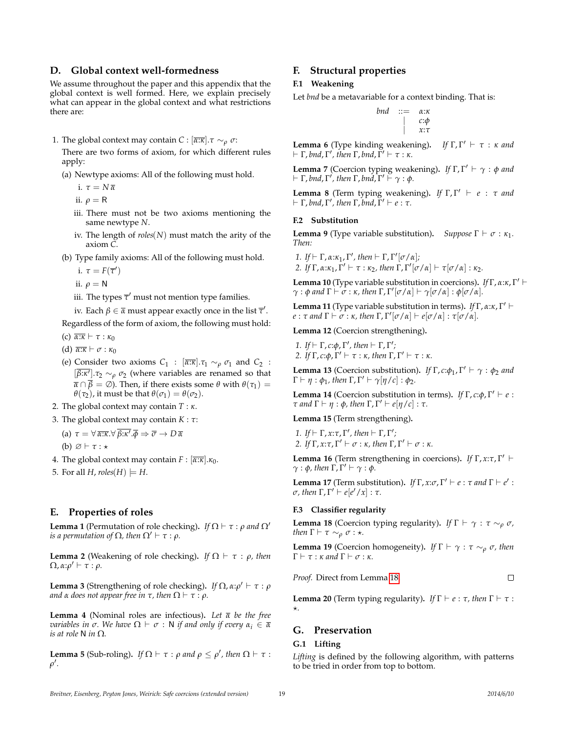## **D. Global context well-formedness**

We assume throughout the paper and this appendix that the global context is well formed. Here, we explain precisely what can appear in the global context and what restrictions there are:

1. The global context may contain  $C : [\overline{\alpha:\alpha}]$ .  $\tau \sim_{\rho} \sigma$ :

There are two forms of axiom, for which different rules apply:

(a) Newtype axioms: All of the following must hold.

i.  $\tau = N \overline{\alpha}$ 

ii.  $\rho = R$ 

- iii. There must not be two axioms mentioning the same newtype *N*.
- iv. The length of *roles*(*N*) must match the arity of the axiom *C*.
- (b) Type family axioms: All of the following must hold.
	- i.  $\tau = F(\overline{\tau}')$

ii.  $\rho = N$ 

iii. The types  $\overline{\tau}'$  must not mention type families.

iv. Each  $\beta \in \overline{\alpha}$  must appear exactly once in the list  $\overline{\tau}'$ .

Regardless of the form of axiom, the following must hold:

(c)  $\overline{\alpha:\kappa} \vdash \tau : \kappa_0$ 

- (d)  $\overline{\alpha:\kappa} \vdash \sigma : \kappa_0$
- (e) Consider two axioms  $C_1$  :  $[\overline{\alpha:\kappa}]$ .  $\tau_1 \sim_\rho \sigma_1$  and  $C_2$  :  $[\overline{\beta:\kappa'}]$ . *τ*<sub>2</sub>  $\sim_{\rho}$  *σ*<sub>2</sub> (where variables are renamed so that  $\overline{\alpha} \cap \overline{\beta} = \emptyset$ ). Then, if there exists some  $\theta$  with  $\theta(\tau_1) =$ *θ*(*τ*<sub>2</sub>), it must be that *θ*(*σ*<sub>1</sub>) = *θ*(*σ*<sub>2</sub>).

2. The global context may contain *T* : *κ*.

3. The global context may contain *K* : *τ*:

(a) 
$$
\tau = \forall \overline{\alpha:\kappa}.\forall \overline{\beta:\kappa'}, \overline{\phi} \Rightarrow \overline{\sigma} \to D \overline{\alpha}
$$
  
(b)  $\varnothing \vdash \tau : \star$ 

4. The global context may contain  $F : [\overline{\alpha : \kappa}] \cdot \kappa_0$ .

5. For all *H*, *roles*(*H*)  $\models$  *H*.

## **E. Properties of roles**

**Lemma 1** (Permutation of role checking). *If*  $\Omega \vdash \tau : \rho$  *and*  $\Omega'$ *is a permutation of*  $\Omega$ *, then*  $\Omega' \vdash \tau : \rho$ *.* 

**Lemma 2** (Weakening of role checking). *If*  $\Omega \vdash \tau : \rho$ *, then*  $Ω, α: ρ' \vdash τ : ρ.$ 

<span id="page-18-5"></span>**Lemma 3** (Strengthening of role checking). *If*  $\Omega$ ,  $\alpha$ : $\rho' \vdash \tau : \rho$ *and*  $\alpha$  *does not appear free in*  $\tau$ *, then*  $\Omega \vdash \tau : \rho$ *.* 

<span id="page-18-4"></span>**Lemma 4** (Nominal roles are infectious). Let  $\bar{\alpha}$  be the free *variables in*  $\sigma$ *. We have*  $\Omega \vdash \sigma : \mathbb{N}$  *if and only if every*  $\alpha_i \in \overline{\alpha}$ *is at role* N *in* Ω*.*

<span id="page-18-2"></span>**Lemma 5** (Sub-roling). *If*  $\Omega \vdash \tau : \rho$  *and*  $\rho \leq \rho'$ , *then*  $\Omega \vdash \tau :$ *ρ'*.

# **F. Structural properties**

## **F.1 Weakening**

Let *bnd* be a metavariable for a context binding. That is:

*bn* 

$$
d \quad ::= \quad \underset{x:\tau}{\text{a:}}\quad \underset{x:\tau}{\text{a:}} \quad
$$

**Lemma 6** (Type kinding weakening). *If*  $\Gamma, \Gamma' \vdash \tau : \kappa$  *and*  $\vdash \Gamma$ , bnd,  $\Gamma'$ , then  $\Gamma$ , bnd,  $\Gamma' \vdash \tau : \kappa$ .

**Lemma 7** (Coercion typing weakening). *If*  $\Gamma, \Gamma' \vdash \gamma : \phi$  *and*  $\vdash \Gamma$ , bnd,  $\Gamma'$ , then  $\Gamma$ , bnd,  $\Gamma' \vdash \gamma : \phi$ .

**Lemma 8** (Term typing weakening). If  $\Gamma, \Gamma' \vdash e : \tau$  *and*  $\vdash \Gamma$ , bnd,  $\Gamma'$ , then  $\Gamma$ , bnd,  $\Gamma' \vdash e : \tau$ .

## **F.2 Substitution**

<span id="page-18-1"></span>**Lemma 9** (Type variable substitution). *Suppose*  $\Gamma \vdash \sigma : \kappa_1$ . *Then:*

*1. If*  $\vdash$  Γ, α: $\kappa_1$ , Γ', then  $\vdash$  Γ, Γ'  $[σ/α]$ ; *2. If* Γ,  $\alpha: \kappa_1$ , Γ'  $\vdash \tau : \kappa_2$ , then Γ, Γ'  $[\sigma/\alpha] \vdash \tau[\sigma/\alpha] : \kappa_2$ .

**Lemma 10** (Type variable substitution in coercions)**.** *If* Γ, *α*:*κ*, Γ 0 `  $\gamma$  :  $\phi$  and  $\Gamma \vdash \sigma : \kappa$ , then  $\Gamma$ ,  $\Gamma'[\sigma/\alpha] \vdash \gamma[\sigma/\alpha] : \phi[\sigma/\alpha]$ .

**Lemma 11** (Type variable substitution in terms)**.** *If* Γ, *α*:*κ*, Γ 0 `  $e: \tau$  and  $\Gamma \vdash \sigma : \kappa$ , then  $\Gamma, \Gamma'[\sigma/\alpha] \vdash e[\sigma/\alpha] : \tau[\sigma/\alpha].$ 

**Lemma 12** (Coercion strengthening)**.**

*1. If*  $\vdash$  Γ, *c*: $φ$ , Γ', *then*  $\vdash$  Γ, Γ'; 2. If  $\Gamma$ , c: $\phi$ ,  $\Gamma' \vdash \tau : \kappa$ , then  $\Gamma$ ,  $\Gamma' \vdash \tau : \kappa$ .

**Lemma 13** (Coercion substitution). *If*  $\Gamma$ , *c*: $\phi_1$ ,  $\Gamma' \vdash \gamma : \phi_2$  *and*  $\Gamma \vdash \eta : \phi_1$ , then  $\Gamma, \Gamma' \vdash \gamma[\eta/c] : \phi_2$ .

**Lemma 14** (Coercion substitution in terms). *If*  $\Gamma$ , *c*: $\phi$ ,  $\Gamma' \vdash e$ :  $\tau$  and  $\Gamma \vdash \eta : \phi$ , then  $\Gamma, \Gamma' \vdash e[\eta/c] : \tau$ .

**Lemma 15** (Term strengthening)**.**

*1. If*  $\vdash$  Γ, *x*:*τ*, Γ', *then*  $\vdash$  Γ, Γ'; 2. If  $\Gamma$ , *x*:*τ*,  $\Gamma' \vdash \sigma : \kappa$ , then  $\Gamma, \Gamma' \vdash \sigma : \kappa$ .

**Lemma 16** (Term strengthening in coercions). *If* Γ, *x*:*τ*, Γ'  $\vdash$ *γ* : *φ,* then  $\Gamma$ ,  $\Gamma' \vdash \gamma : \phi$ .

**Lemma 17** (Term substitution). *If*  $\Gamma$ *, x*:*σ*,  $\Gamma' \vdash e : \tau$  *and*  $\Gamma \vdash e' :$ *σ,* then  $\Gamma, \Gamma' \vdash e[e'/x] : \tau$ .

## **F.3 Classifier regularity**

<span id="page-18-0"></span>**Lemma 18** (Coercion typing regularity). *If*  $\Gamma \vdash \gamma : \tau \sim_{\rho} \sigma$ , *then*  $\Gamma \vdash \tau \sim_{\rho} \sigma : \star$ *.* 

<span id="page-18-3"></span>**Lemma 19** (Coercion homogeneity). *If*  $\Gamma \vdash \gamma : \tau \sim_{\rho} \sigma$ *, then*  $\Gamma \vdash \tau : \kappa$  and  $\Gamma \vdash \sigma : \kappa$ .

*Proof.* Direct from Lemma [18.](#page-18-0)  $\Box$ 

**Lemma 20** (Term typing regularity). *If*  $\Gamma \vdash e : \tau$ *, then*  $\Gamma \vdash \tau :$ ?*.*

# **G. Preservation**

## **G.1 Lifting**

*Lifting* is defined by the following algorithm, with patterns to be tried in order from top to bottom.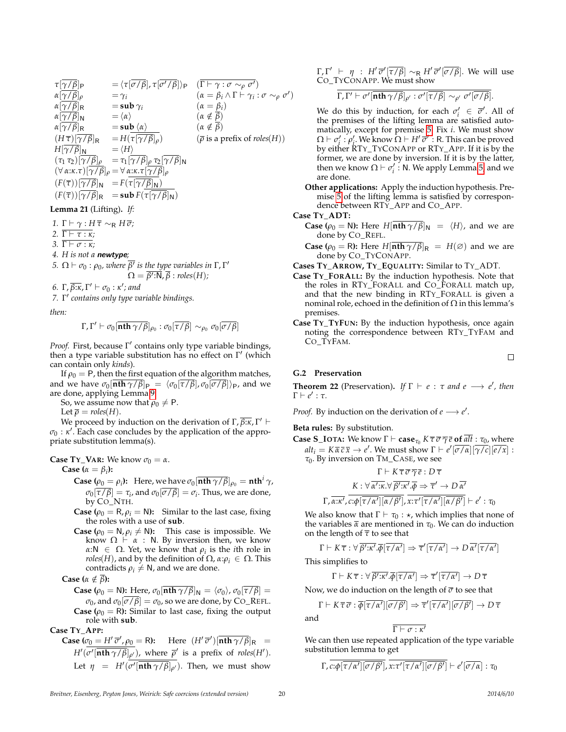$$
\tau[\frac{\gamma}{\beta}]_P = \langle \tau[\overline{\sigma/\beta}], \tau[\overline{\sigma'/\beta}] \rangle_P \quad (\overline{\Gamma \vdash \gamma : \sigma \sim_{\rho} \sigma'})
$$
\n
$$
\alpha[\frac{\gamma}{\beta}]_P = \gamma_i \quad (\alpha = \beta_i \land \Gamma \vdash \gamma_i : \sigma \sim_{\rho} \sigma')
$$
\n
$$
\alpha[\frac{\gamma}{\beta}]_R = \text{sub } \gamma_i \quad (\alpha = \beta_i)
$$
\n
$$
\alpha[\frac{\gamma}{\beta}]_N = \langle \alpha \rangle \quad (\alpha \notin \overline{\beta})
$$
\n
$$
\alpha[\frac{\gamma}{\beta}]_R = \text{sub } \langle \alpha \rangle \quad (\alpha \notin \overline{\beta})
$$
\n
$$
(\overline{\Pi \tau})[\frac{\gamma}{\beta}]_R = H(\tau[\frac{\gamma}{\beta}]_P) \quad (\overline{\rho} \text{ is a prefix of roles}(H))
$$
\n
$$
H[\frac{\gamma}{\beta}]_N = \langle H \rangle
$$
\n
$$
(\tau_1 \tau_2)[\frac{\gamma}{\beta}]_P = \tau_1[\frac{\gamma}{\beta}]_P \tau_2[\frac{\gamma}{\beta}]_N}
$$
\n
$$
(\forall \alpha: \kappa. \tau)[\frac{\gamma}{\beta}]_P = \forall \alpha: \kappa. \tau[\frac{\gamma}{\beta}]_P}
$$
\n
$$
(\Gamma(\overline{\tau}))[\frac{\gamma}{\beta}]_N = F(\overline{\tau[\gamma/\beta}]_N)
$$
\n
$$
(\Gamma(\overline{\tau}))[\frac{\gamma}{\beta}]_R = \text{sub } F(\tau[\frac{\gamma}{\beta}]_N)
$$

## <span id="page-19-1"></span>**Lemma 21** (Lifting)**.** *If:*

*1.*  $Γ ⊢ γ : H \overline{\tau} \sim_R H \overline{\sigma}$ ;

2.  $\overline{\Gamma \vdash \tau : \kappa}$ ;

*3.*  $\overline{\Gamma \vdash \sigma : \kappa}$ ;

- *4. H is not a* newtype*;*
- <span id="page-19-0"></span>*5.*  $\Omega \vdash \sigma_0 : \rho_0$ , where  $\overline{\beta'}$  is the type variables in  $\Gamma, \Gamma'$  $\Omega = \overline{\beta' : \mathsf{N}}$ ,  $\overline{\beta} : \mathit{roles}(H);$

6.  $\Gamma$ ,  $\overline{\beta:\kappa}$ ,  $\Gamma' \vdash \sigma_0 : \kappa';$  and

*7.* Γ 0 *contains only type variable bindings.*

*then:*

$$
\Gamma, \Gamma' \vdash \sigma_0[\overline{\mathbf{nth} \gamma/\beta}]_{\rho_0} : \sigma_0[\overline{\tau/\beta}] \sim_{\rho_0} \sigma_0[\overline{\sigma/\beta}]
$$

*Proof.* First, because Γ' contains only type variable bindings, then a type variable substitution has no effect on  $\Gamma'$  (which can contain only *kinds*).

If  $\rho_0 = \mathsf{P}$ , then the first equation of the algorithm matches, and we have  $\sigma_0[\overline{\text{nth }\gamma/\beta}]_P = \langle \sigma_0[\overline{\tau/\beta}], \sigma_0[\overline{\sigma/\beta}] \rangle_P$ , and we are done, applying Lemma [9.](#page-18-1)

So, we assume now that  $\rho_0 \neq P$ .

Let  $\overline{\rho}$  = *roles*(*H*).

We proceed by induction on the derivation of  $\Gamma$ ,  $\overline{\beta:\kappa}$ ,  $\Gamma'$   $\vdash$  $\sigma_0$ : *κ'*. Each case concludes by the application of the appropriate substitution lemma(s).

**Case TY\_VAR:** We know  $\sigma_0 = \alpha$ .

**Case** ( $\alpha = \beta_i$ ):

- **Case (** $\rho_0 = \rho_i$ ): Here, we have  $\sigma_0[\overline{\mathbf{nth} \gamma/\beta}]_{\rho_0} = \mathbf{nth}^i \gamma$ ,  $\sigma_0[\tau/\beta] = \tau_i$ , and  $\sigma_0[\sigma/\beta] = \sigma_i$ . Thus, we are done, by CO\_NTH.
- **Case** ( $\rho_0 = R$ ,  $\rho_i = N$ ): Similar to the last case, fixing the roles with a use of **sub**.
- **Case** ( $\rho_0 = N$ ,  $\rho_i \neq N$ ): This case is impossible. We know  $\Omega \vdash \alpha$  : N. By inversion then, we know *α*:N ∈ Ω. Yet, we know that  $ρ<sub>i</sub>$  is the *i*th role in *roles*(*H*), and by the definition of  $\Omega$ ,  $\alpha$ : $\rho$ <sub>*i*</sub>  $\in \Omega$ . This contradicts  $\rho_i \neq N$ , and we are done.

Case 
$$
(\alpha \notin \overline{\beta})
$$
:

**Case** (
$$
\rho_0
$$
 = N): Here,  $\sigma_0$ [ $\pi$ **th**  $\gamma/\beta$ ]<sub>N</sub> =  $\langle \sigma_0 \rangle$ ,  $\sigma_0$ [ $\overline{\tau/\beta}$ ] =  $\sigma_0$ , and  $\sigma_0$ [ $\overline{\sigma/\beta}$ ] =  $\sigma_0$ , so we are done, by CO\\_REFL.  
**Case** ( $\rho_0$  = R): Similar to last case, fixing the output role with **sub**.

**Case TY\_APP:**

**Case**  $(\sigma_0 = H' \overline{\sigma}', \rho_0 = \mathsf{R})$ : Here  $(H' \overline{\sigma}')[\overline{\mathbf{n} \mathbf{t} \mathbf{h} \gamma/\beta}]_{\mathsf{R}} =$ *H*<sup> $\left(\sigma'[\overline{\textbf{nth }\gamma/\beta}]_{\rho'}\right)$ , where  $\overline{\rho}'$  is a prefix of *roles*(*H*<sup> $\prime$ </sup>).</sup> Let  $\eta = H'(\sigma'[\overline{\textbf{nth} \gamma/\beta}]_{\rho'})$ . Then, we must show

 $Γ, Γ' ⊢ η : H' \overline{\sigma}'[\overline{\tau/\beta}] \sim_R H' \overline{\sigma}'[\overline{\sigma/\beta}]$ . We will use CO\_TYCONAPP. We must show

$$
\Gamma, \Gamma \vdash \sigma'[\overline{\mathbf{nth} \gamma/\beta}]_{\rho'} : \sigma'[\overline{\tau/\beta}] \sim_{\rho'} \sigma'[\overline{\sigma/\beta}].
$$

We do this by induction, for each  $\sigma_i' \in \overline{\sigma}'$ . All of the premises of the lifting lemma are satisfied automatically, except for premise [5.](#page-19-0) Fix *i*. We must show  $\Omega \vdash \sigma'_i : \rho'_i$ . We know  $\Omega \vdash H' \overline{\sigma}'$  : R. This can be proved by either RTY\_TYCONAPP or RTY\_APP. If it is by the former, we are done by inversion. If it is by the latter, then we know  $\Omega \vdash \sigma'_i$ : N. We apply Lemma [5,](#page-18-2) and we are done.

**Other applications:** Apply the induction hypothesis. Premise [5](#page-19-0) of the lifting lemma is satisfied by correspondence between RTY\_APP and CO\_APP.

**Case TY\_ADT:**

**Case** ( $\rho_0 = N$ ): Here  $H[\overline{n \ln \gamma/\beta}]_N = \langle H \rangle$ , and we are done by CO\_REFL.

**Case** ( $\rho_0 = \text{R}$ ): Here  $H[\overline{\text{nth }\gamma/\beta}]_R = H(\emptyset)$  and we are done by CO\_TYCONAPP.

**Cases TY\_ARROW, TY\_EQUALITY:** Similar to TY\_ADT.

- **Case TY\_FORALL:** By the induction hypothesis. Note that the roles in RTY\_FORALL and CO\_FORALL match up, and that the new binding in RTY\_FORALL is given a nominal role, echoed in the definition of  $Ω$  in this lemma's premises.
- **Case TY\_TYFUN:** By the induction hypothesis, once again noting the correspondence between RTY\_TYFAM and CO\_TYFAM.

$$
\qquad \qquad \Box
$$

#### **G.2 Preservation**

**Theorem 22** (Preservation). *If*  $\Gamma \vdash e : \tau$  *and*  $e \longrightarrow e'$ , *then*  $\Gamma \vdash e' : \tau.$ 

*Proof.* By induction on the derivation of  $e \longrightarrow e'$ .

**Beta rules:** By substitution.

**Case S\_IOTA:** We know  $\Gamma \vdash \mathbf{case}_{\tau_0} K \overline{\tau} \overline{\sigma} \overline{\gamma} \overline{e}$  of  $\overline{alt} : \tau_0$ , where  $alt_i = K\overline{\alpha}\overline{c}\overline{x} \rightarrow e'$ . We must show  $\Gamma \vdash e'[\overline{\sigma/\alpha}][\overline{\gamma/c}][\overline{e/x}]$ : *τ*0. By inversion on TM\_CASE, we see

$$
\Gamma \vdash K \overline{\tau} \overline{\sigma} \overline{\gamma} \overline{e} : D \overline{\tau}
$$
\n
$$
K : \forall \overline{\alpha' : \kappa} \forall \overline{\beta' : \kappa' \cdot \overline{\phi}} \Rightarrow \overline{\tau'} \to D \overline{\alpha'}
$$
\n
$$
\Gamma, \overline{\alpha : \kappa'}, \overline{c : \phi[\tau/\alpha']} [\overline{\alpha/\beta'}], \overline{x : \tau'[\tau/\alpha']} [\overline{\alpha/\beta'}] \vdash e' : \tau_0
$$

We also know that  $\Gamma \vdash \tau_0 : \star$ , which implies that none of the variables  $\bar{\alpha}$  are mentioned in  $\tau_0$ . We can do induction on the length of *τ* to see that

$$
\Gamma \vdash K\overline{\tau} : \forall \overline{\beta':\kappa',\overline{\phi}[\overline{\tau}/\alpha']} \Rightarrow \overline{\tau'}[\overline{\tau}/\alpha'] \to D \overline{\alpha'}[\overline{\tau}/\alpha']
$$

This simplifies to

$$
\Gamma \vdash K\overline{\tau} : \forall \overline{\beta' : \kappa'}. \overline{\phi}[\overline{\tau/\alpha'}] \Rightarrow \overline{\tau'}[\overline{\tau/\alpha'}] \to D\,\overline{\tau}
$$

Now, we do induction on the length of *σ* to see that

$$
\Gamma \vdash K \overline{\tau} \overline{\sigma} : \overline{\phi}[\overline{\tau/\alpha'}][\overline{\sigma/\beta'}] \Rightarrow \overline{\tau'}[\overline{\tau/\alpha'}][\overline{\sigma/\beta'}] \to D \overline{\tau}
$$
d

and

$$
\overline{\Gamma \vdash \sigma : \kappa'}
$$

We can then use repeated application of the type variable substitution lemma to get

$$
\Gamma, \overline{c:\varphi[\tau/\alpha'][\sigma/\beta']}, \overline{x:\tau'[\tau/\alpha'][\sigma/\beta']} \vdash e'[\overline{\sigma/\alpha}]: \tau_0
$$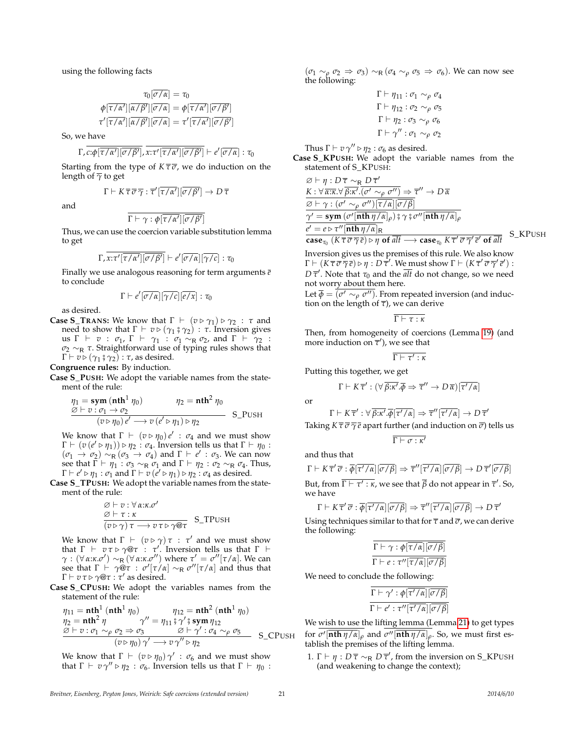using the following facts

$$
\tau_0[\overline{\sigma/\alpha}] = \tau_0
$$

$$
\phi[\overline{\tau/\alpha'}][\overline{\alpha/\beta'}][\overline{\sigma/\alpha}] = \phi[\overline{\tau/\alpha'}][\overline{\sigma/\beta'}]
$$

$$
\tau'[\overline{\tau/\alpha'}][\overline{\alpha/\beta'}][\overline{\sigma/\alpha}] = \tau'[\overline{\tau/\alpha'}][\overline{\sigma/\beta'}]
$$

So, we have

$$
\Gamma, \overline{c:\varphi[\tau/\alpha']}\big[\overline{\sigma/\beta'}\big], \overline{x:\tau'}\big[\overline{\tau/\alpha'}\big]\big[\overline{\sigma/\beta'}\big] \vdash e'\big[\overline{\sigma/\alpha}\big]: \tau_0
$$

Starting from the type of  $K\overline{\tau}\overline{\sigma}$ , we do induction on the length of *γ* to get

$$
\Gamma \vdash K \overline{\tau} \overline{\sigma} \overline{\gamma} : \overline{\tau}' [\overline{\tau}/\alpha'] [\overline{\sigma}/\beta'] \to D \overline{\tau}
$$

and

$$
\overline{\Gamma \vdash \gamma : \phi[\overline{\tau/\alpha'}] [\overline{\sigma/\beta'}]}
$$

Thus, we can use the coercion variable substitution lemma to get

$$
\Gamma, \overline{x:\tau'[\overline{\tau}/\alpha']}\,\overline{[\sigma/\beta']}\vdash e'[\overline{\sigma/\alpha}]\,\overline{[\gamma/c]}:\tau_0
$$

Finally we use analogous reasoning for term arguments *e* to conclude

$$
\Gamma \vdash e'[\overline{\sigma/\alpha}][\overline{\gamma/c}][\overline{e/x}]:\tau_0
$$

as desired.

**Case S\_TRANS:** We know that  $\Gamma \vdash (v \triangleright \gamma_1) \triangleright \gamma_2 : \tau$  and need to show that  $\Gamma \vdash v \triangleright (\gamma_1 \, \hat{y} \, \gamma_2) : \tau$ . Inversion gives<br>us  $\Gamma \vdash \pi : \tau \vdash \gamma \vdash \gamma \vdash \gamma \vdash \pi \rightarrow \pi \Rightarrow \tau \vdash \pi \Rightarrow \tau \vdash \gamma \vdash \gamma$ us  $\Gamma \vdash v : \sigma_1, \Gamma \vdash \gamma_1 : \sigma_1 \sim_R \sigma_2$ , and  $\Gamma \vdash \gamma_2 :$ *σ*<sup>2</sup> ∼<sup>R</sup> *τ*. Straightforward use of typing rules shows that  $\Gamma \vdash v \triangleright (\gamma_1 \frac{\circ}{2} \gamma_2) : \tau$ , as desired.

**Congruence rules:** By induction.

**Case S\_PUSH:** We adopt the variable names from the statement of the rule:

$$
\frac{\eta_1 = \text{sym} (\text{nth}^1 \eta_0)}{\emptyset \vdash v : \sigma_1 \to \sigma_2} \qquad \frac{\eta_2 = \text{nth}^2 \eta_0}{(v \triangleright \eta_0) e' \to v (e' \triangleright \eta_1) \triangleright \eta_2} \quad \text{S_PusH}
$$

We know that  $\Gamma \vdash (v \triangleright \eta_0) e' : \sigma_4$  and we must show  $\Gamma \vdash (v (e' \triangleright \eta_1)) \triangleright \eta_2 : \sigma_4$ . Inversion tells us that  $\Gamma \vdash \eta_0$ :  $(\sigma_1 \rightarrow \sigma_2) \sim_R (\sigma_3 \rightarrow \sigma_4)$  and  $\Gamma \vdash e' : \sigma_3$ . We can now see that  $\Gamma \vdash \eta_1 : \sigma_3 \sim_R \sigma_1$  and  $\Gamma \vdash \eta_2 : \sigma_2 \sim_R \sigma_4$ . Thus,  $\Gamma \vdash e' \triangleright \eta_1 : \sigma_1$  and  $\Gamma \vdash v \ (\overline{e'} \triangleright \eta_1) \triangleright \eta_2 : \sigma_4$  as desired.

**Case S\_TPUSH:** We adopt the variable names from the statement of the rule:

$$
\begin{array}{l}\n\varnothing \vdash v : \forall \alpha: \kappa.\sigma' \\
\varnothing \vdash \tau : \kappa \\
(\overline{v \triangleright \gamma}) \tau \longrightarrow v \tau \triangleright \gamma \overline{\omega} \tau \quad \text{S_TPUSH}\n\end{array}
$$

We know that  $\Gamma \vdash (v \triangleright \gamma) \tau : \tau'$  and we must show that  $\Gamma$   $\vdash$   $v\tau \triangleright \gamma \mathcal{Q}\tau$  :  $\tau'$ . Inversion tells us that  $\Gamma$   $\vdash$ *γ* : (∀α:*κ.σ'*) ∼<sub>R</sub> (∀α:*κ.σ''*) where  $τ' = σ''[τ/a]$ . We can see that  $\Gamma \vdash \gamma @ \tau : \sigma'[\tau/\alpha] \sim_R \sigma''[\tau/\alpha]$  and thus that  $\Gamma \vdash v \tau \triangleright \gamma \mathcal{Q} \tau : \tau'$  as desired.

**Case S\_CPUSH:** We adopt the variables names from the statement of the rule:

$$
\eta_{11} = \n\text{nth}^1 (\n\text{nth}^1 \eta_0) \qquad \eta_{12} = \n\text{nth}^2 (\n\text{nth}^1 \eta_0) \n\eta_2 = \n\text{nth}^2 \eta \qquad \gamma'' = \eta_{11} \n\overset{\circ}{\circ} \gamma' \n\overset{\circ}{\circ} \n\text{sym } \eta_{12} \n\varnothing \vdash v : \sigma_1 \sim_\rho \sigma_2 \Rightarrow \sigma_3 \qquad \varnothing \vdash \gamma' : \sigma_4 \sim_\rho \sigma_5 \n(v \triangleright \eta_0) \gamma' \longrightarrow v \gamma'' \rhd \eta_2 \qquad S_C \text{PUSH}
$$

We know that  $\Gamma \vdash (v \triangleright \eta_0) \gamma' : \sigma_6$  and we must show that  $\Gamma \vdash v \gamma'' \triangleright \eta_2 : \sigma_6$ . Inversion tells us that  $\Gamma \vdash \eta_0$ :

 $(\sigma_1 \sim_\rho \sigma_2 \Rightarrow \sigma_3) \sim_R (\sigma_4 \sim_\rho \sigma_5 \Rightarrow \sigma_6)$ . We can now see the following:

$$
\Gamma \vdash \eta_{11} : \sigma_1 \sim_{\rho} \sigma_4
$$

$$
\Gamma \vdash \eta_{12} : \sigma_2 \sim_{\rho} \sigma_5
$$

$$
\Gamma \vdash \eta_2 : \sigma_3 \sim_{\rho} \sigma_6
$$

$$
\Gamma \vdash \gamma'' : \sigma_1 \sim_{\rho} \sigma_2
$$

Thus  $\Gamma \vdash v \gamma'' \triangleright \eta_2 : \sigma_6$  as desired.

**Case S\_KPUSH:** We adopt the variable names from the statement of S\_KPUSH:

$$
\varnothing \vdash \eta : D\overline{\tau} \sim_R D\overline{\tau}'
$$
\n
$$
\underline{K} : \forall \overline{\alpha : K} \forall \overline{\beta : K'.(\sigma' \sim_{\rho} \sigma'')} \Rightarrow \overline{\tau}'' \to D\overline{\alpha}
$$
\n
$$
\varnothing \vdash \gamma : (\sigma' \sim_{\rho} \sigma'')[\overline{\tau/\alpha}][\sigma/\beta]
$$
\n
$$
\underline{\gamma' = \text{sym } (\sigma'[\overline{\text{nth }\eta/\alpha}]_{\rho}) \circ \gamma \circ \sigma''[\overline{\text{nth }\eta/\alpha}]_{\rho}}
$$
\n
$$
\underline{e' = e \triangleright \tau''[\overline{\text{nth }\eta/\alpha}]_{R}}
$$
\n
$$
\overline{\text{case}}_{\tau_0} (K\overline{\tau}\overline{\sigma}\overline{\gamma}\overline{e}) \triangleright \eta \text{ of } \overline{\overline{alt}} \longrightarrow \text{case}_{\tau_0} K\overline{\tau'}\overline{\sigma}\overline{\gamma'}\overline{e'} \text{ of } \overline{\overline{alt}} \quad S\_K\text{PUSH}
$$

Inversion gives us the premises of this rule. We also know  $\Gamma \vdash (K\,\overline{\tau}\,\overline{\sigma}\,\overline{\gamma}\,\overline{e}) \triangleright \eta : D\,\overline{\tau}'.$  We must show  $\Gamma \vdash (K\,\overline{\tau}'\,\overline{\sigma}\,\overline{\gamma}'\,\overline{e}')$ :  $D\bar{\tau}'$ . Note that  $\tau_0$  and the  $\bar{a}l\bar{t}$  do not change, so we need not worry about them here.

Let  $\overline{\phi} = (\overline{\sigma'} \sim_{\rho} \sigma'')$ . From repeated inversion (and induction on the length of *τ*), we can derive

$$
\overline{\Gamma \vdash \tau : \kappa}
$$

Then, from homogeneity of coercions (Lemma [19\)](#page-18-3) (and more induction on  $\bar{\tau}'$ ), we see that

$$
\overline{\Gamma \vdash \tau' : \kappa}
$$

Putting this together, we get

$$
\Gamma \vdash K\overline{\tau}' : (\forall \overline{\beta : \kappa'}. \overline{\phi} \Rightarrow \overline{\tau}'' \to D\overline{\alpha})[\overline{\tau'}/\alpha]
$$

or

$$
\Gamma \vdash K\overline{\tau}' : \forall \overline{\beta}: \overline{\kappa'}, \overline{\phi}[\overline{\tau'/\alpha}] \Rightarrow \overline{\tau}''[\overline{\tau'/\alpha}] \to D\overline{\tau}'
$$
  
Taking  $K\overline{\tau}\overline{\gamma}\overline{\gamma}$  apart further (and induction on  $\overline{\sigma}$ ) tells us

$$
\frac{\Gamma \vdash \sigma : \kappa'}{\Gamma \vdash \sigma : \kappa'}
$$

and thus that

$$
\Gamma \vdash K \overline{\tau}' \overline{\sigma} : \overline{\phi}[\overline{\tau'/\alpha}](\overline{\sigma/\beta}] \Rightarrow \overline{\tau}''[\overline{\tau'/\alpha}](\overline{\sigma/\beta}] \to D \overline{\tau}'[\overline{\sigma/\beta}]
$$

But, from  $\overline{\Gamma \vdash \tau' : \kappa}$ , we see that  $\overline{\beta}$  do not appear in  $\overline{\tau}'$ . So, we have

$$
\Gamma \vdash K \overline{\tau}' \, \overline{\sigma} : \overline{\phi} [\overline{\tau'/\alpha}] [\overline{\sigma/\beta}] \Rightarrow \overline{\tau}'' [\overline{\tau'/\alpha}] [\overline{\sigma/\beta}] \to D \, \overline{\tau}'
$$

Using techniques similar to that for *τ* and *σ*, we can derive the following:

$$
\frac{\Gamma \vdash \gamma : \phi[\overline{\tau/a}][\overline{\sigma/\beta}]}{\Gamma \vdash e : \tau''[\overline{\tau/a}][\overline{\sigma/\beta}]}
$$

We need to conclude the following:

$$
\frac{\Gamma \vdash \gamma': \phi[\overline{\tau'/\alpha}][\overline{\sigma/\beta}]}{\Gamma \vdash e': \tau''[\overline{\tau'/\alpha}][\overline{\sigma/\beta}]}
$$

We wish to use the lifting lemma (Lemma [21\)](#page-19-1) to get types for  $\sigma'$ [ $\overline{\bf nth}\,\eta/\alpha$ ]<sub>*ρ*</sub> and  $\sigma''$ [ $\overline{\bf nth}\,\eta/\alpha$ ]<sub>*ρ*</sub>. So, we must first establish the premises of the lifting lemma.

1.  $\Gamma \vdash \eta : D \overline{\tau} \sim_R D \overline{\tau}'$ , from the inversion on S\_KPUSH (and weakening to change the context);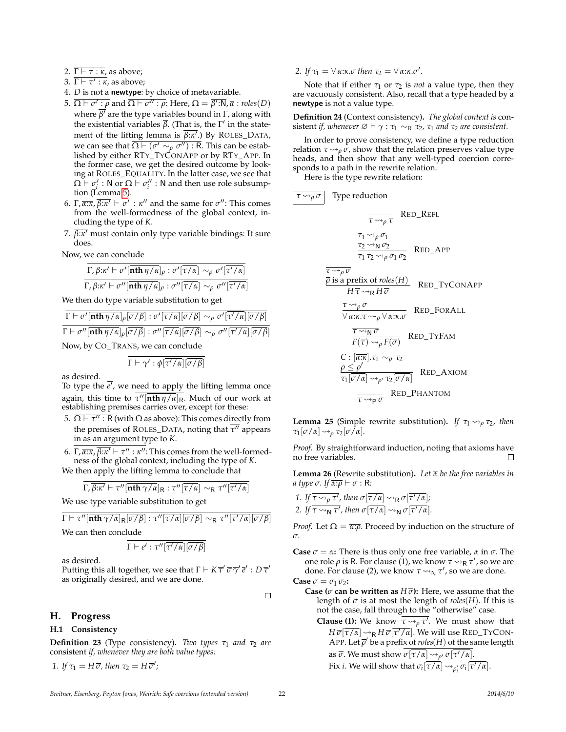- 2.  $\overline{\Gamma \vdash \tau : \kappa}$ , as above;
- 3.  $\overline{\Gamma \vdash \tau' : \kappa}$ , as above;
- 4. *D* is not a newtype: by choice of metavariable.
- 5.  $\overline{\Omega \vdash \sigma' : \rho}$  and  $\overline{\Omega \vdash \sigma'' : \rho}$ : Here,  $\Omega = \overline{\beta' : \mathbb{N}}, \overline{\alpha} : \text{roles}(D)$ where  $\overline{\beta'}$  are the type variables bound in Γ, along with the existential variables  $\bar{\beta}$ . (That is, the  $\Gamma'$  in the statement of the lifting lemma is  $\overline{\beta:\kappa'}$ .) By ROLES\_DATA, we can see that  $\overline{\Omega \vdash (\sigma' \sim_{\rho} \sigma'') : \mathsf{R}}.$  This can be established by either RTY\_TYCONAPP or by RTY\_APP. In the former case, we get the desired outcome by looking at ROLES\_EQUALITY. In the latter case, we see that  $\Omega \vdash \sigma_i' : \mathsf{N}$  or  $\Omega \vdash \sigma_i'' : \mathsf{N}$  and then use role subsumption (Lemma [5\)](#page-18-2).
- 6. Γ,  $\overline{\alpha:\kappa}$ ,  $\overline{\beta:\kappa'} \vdash \sigma' : \kappa''$  and the same for  $\sigma''$ : This comes from the well-formedness of the global context, including the type of *K*.
- 7. *β*:*κ* <sup>0</sup> must contain only type variable bindings: It sure does.

Now, we can conclude

$$
\frac{\overline{\Gamma, \beta:\kappa' \vdash \sigma'[\pi \mathbf{th} \eta/\alpha]}_{\rho} : \sigma'[\overline{\tau/\alpha}] \sim_{\rho} \sigma'[\overline{\tau'/\alpha}]}{\Gamma, \beta:\kappa' \vdash \sigma''[\pi \mathbf{th} \eta/\alpha]_{\rho} : \sigma''[\overline{\tau/\alpha}] \sim_{\rho} \sigma''[\overline{\tau'/\alpha}]}
$$

We then do type variable substitution to get

$$
\frac{\Gamma \vdash \sigma'[\overline{\mathbf{nth}} \ \eta/\alpha]_{\rho}[\overline{\sigma/\beta}] : \sigma'[\overline{\tau/a}][\overline{\sigma/\beta}] \sim_{\rho} \sigma'[\overline{\tau'/\alpha}][\overline{\sigma/\beta}]}{\Gamma \vdash \sigma''[\overline{\mathbf{nth}} \ \eta/\alpha]_{\rho}[\overline{\sigma/\beta}] : \sigma''[\overline{\tau/a}][\overline{\sigma/\beta}] \sim_{\rho} \sigma''[\overline{\tau'/\alpha}][\overline{\sigma/\beta}]}
$$

Now, by CO\_TRANS, we can conclude

$$
\overline{\Gamma \vdash \gamma' : \phi[\overline{\tau'/\alpha}][\overline{\sigma/\beta}]}
$$

as desired.

To type the  $\overline{e'}$ , we need to apply the lifting lemma once again, this time to  $\tau''[\overline{\mathbf{nth}\eta/\alpha}]_\textsf{R}$ . Much of our work at establishing premises carries over, except for these:

- 5.  $\overline{\Omega \vdash \tau'' : \mathsf{R}}$  (with  $\Omega$  as above): This comes directly from the premises of ROLES\_DATA, noting that  $\overline{\tau''}$  appears in as an argument type to *K*.
- 6.  $\Gamma$ ,  $\overline{\alpha:\kappa}$ ,  $\overline{\beta:\kappa'} \vdash \tau'' : \kappa''$ : This comes from the well-formedness of the global context, including the type of *K*.

We then apply the lifting lemma to conclude that

$$
\Gamma, \overline{\beta:\kappa'} \vdash \tau''[\overline{\textbf{nth} \gamma/\alpha}]_{\text{R}} : \tau''[\overline{\tau/\alpha}] \sim_{\text{R}} \tau''[\overline{\tau'/\alpha}]
$$
  
We use type variable substitution to get

$$
\overline{\Gamma \vdash \tau'' [ \pi \mathbf{th} \gamma/\alpha]_{\mathsf{R}} [\sigma/\beta] : \tau'' [\overline{\tau/\alpha}] [\overline{\sigma/\beta}] \sim_{\mathsf{R}} \tau'' [\overline{\tau'/\alpha}] [\overline{\sigma/\beta}]}
$$

We can then conclude

$$
\Gamma \vdash e' : \tau''[\overline{\tau'/\alpha}][\overline{\sigma/\beta}]
$$

as desired.

Putting this all together, we see that  $\Gamma \vdash K \overline{\tau}' \, \overline{\sigma} \, \overline{\gamma}' \, \overline{e}' : D \, \overline{\tau}'$ as originally desired, and we are done.

**H. Progress**

#### **H.1 Consistency**

**Definition 23** (Type consistency). *Two types*  $\tau_1$  *and*  $\tau_2$  *are* consistent *if, whenever they are both value types:*

1. If  $\tau_1 = H \overline{\sigma}$ , then  $\tau_2 = H \overline{\sigma}'$ ;

2. If 
$$
\tau_1 = \forall \alpha: \kappa.\sigma
$$
 then  $\tau_2 = \forall \alpha: \kappa.\sigma'.$ 

Note that if either  $\tau_1$  or  $\tau_2$  is *not* a value type, then they are vacuously consistent. Also, recall that a type headed by a newtype is not a value type.

**Definition 24** (Context consistency)**.** *The global context is* consistent *if, whenever*  $\varnothing \vdash \gamma : \tau_1 \sim_R \tau_2$ ,  $\tau_1$  *and*  $\tau_2$  *are consistent.* 

In order to prove consistency, we define a type reduction relation  $\tau \rightarrow \rho \hat{\sigma}$ , show that the relation preserves value type heads, and then show that any well-typed coercion corresponds to a path in the rewrite relation.

Here is the type rewrite relation:

$$
\overline{\tau \leadsto_{\rho} \sigma}
$$
 Type reduction

$$
\frac{}{\tau \leadsto_{\rho} \tau} \quad \text{RED\_REFL}
$$
\n
$$
\frac{\tau_1 \leadsto_{\rho} \sigma_1}{\tau_1 \tau_2 \leadsto_{\rho} \sigma_1}
$$
\n
$$
\frac{\tau_2 \leadsto_{\mathsf{N}} \sigma_2}{\tau_1 \tau_2 \leadsto_{\rho} \sigma_1 \sigma_2} \quad \text{RED\_APP}
$$
\n
$$
\frac{\tau \leadsto_{\rho} \sigma}{\overline{\rho} \text{ is a prefix of } \text{roles}(H)} \quad \text{RED\_TYCONAPP}
$$
\n
$$
\frac{\tau \leadsto_{\rho} \sigma}{\forall \alpha: \kappa. \tau \leadsto_{\rho} \forall \alpha: \kappa. \sigma} \quad \text{RED\_FORALL}
$$
\n
$$
\frac{\tau \leadsto_{\mathsf{N}} \sigma}{\Gamma(\overline{\tau}) \leadsto_{\rho} \Gamma(\overline{\sigma})} \quad \text{RED\_TYFAM}
$$
\n
$$
C: [\overline{\alpha:}\kappa]: \tau_1 \leadsto_{\rho} \tau_2
$$
\n
$$
\frac{\rho \leq \rho'}{\tau_1[\sigma/\alpha] \leadsto_{\rho'} \tau_2[\sigma/\alpha]} \quad \text{RED\_PKAXIOM}
$$
\n
$$
\frac{}{\tau \leadsto_{\mathsf{P}} \sigma} \quad \text{RED\_PHANTOM}
$$

<span id="page-21-1"></span>**Lemma 25** (Simple rewrite substitution). *If*  $\tau_1 \rightarrow \tau_2$ , then  $\tau_1[\sigma/\alpha] \rightsquigarrow_\rho \tau_2[\sigma/\alpha].$ 

*Proof.* By straightforward induction, noting that axioms have no free variables.

<span id="page-21-0"></span>**Lemma 26** (Rewrite substitution)**.** *Let α be the free variables in a type*  $\sigma$ *. If*  $\overline{\alpha:\rho} \vdash \sigma$  : R:

1. If 
$$
\overline{\tau \leadsto_{\rho} \tau'}
$$
, then  $\sigma[\overline{\tau/\alpha}] \leadsto_{\mathsf{R}} \sigma[\overline{\tau'/\alpha}];$   
2. If  $\overline{\tau \leadsto_{\mathsf{N}} \tau'}$ , then  $\sigma[\overline{\tau/\alpha}] \leadsto_{\mathsf{N}} \sigma[\overline{\tau'/\alpha}].$ 

*Proof.* Let  $\Omega = \overline{\alpha:\rho}$ . Proceed by induction on the structure of *σ*.

- **Case**  $\sigma = \alpha$ : There is thus only one free variable,  $\alpha$  in  $\sigma$ . The one role  $\rho$  is R. For clause (1), we know  $\tau \leadsto_{\mathsf{R}} \tau'$ , so we are done. For clause (2), we know  $\tau \rightarrow_{N} \tau'$ , so we are done. **Case**  $\sigma = \sigma_1 \sigma_2$ **:** 
	- **Case** ( $\sigma$  **can be written as**  $H\bar{\sigma}$ ): Here, we assume that the length of  $\overline{\sigma}$  is at most the length of *roles*(*H*). If this is not the case, fall through to the "otherwise" case.
		- **Clause (1):** We know  $\overline{\tau \rightarrow \rho} \tau'$ . We must show that *H*  $\overline{\sigma}$ [ $\overline{\tau/\alpha}$ ]  $\rightsquigarrow$ <sub>R</sub> *H*  $\overline{\sigma}$ [ $\overline{\tau'/\alpha}$ ]. We will use RED\_TYCON-APP. Let  $\overline{\rho}'$  be a prefix of *roles*(*H*) of the same length as  $\overline{\sigma}$ . We must show  $\overline{\sigma[\tau/\alpha]} \leadsto_{\rho'} \overline{\sigma[\tau'/\alpha]}.$ Fix *i*. We will show that  $\sigma_i$  [ $\overline{\tau/\alpha}$ ]  $\leadsto_{\rho'_i} \sigma_i$  [ $\overline{\tau'/\alpha}$ ].

 $\Box$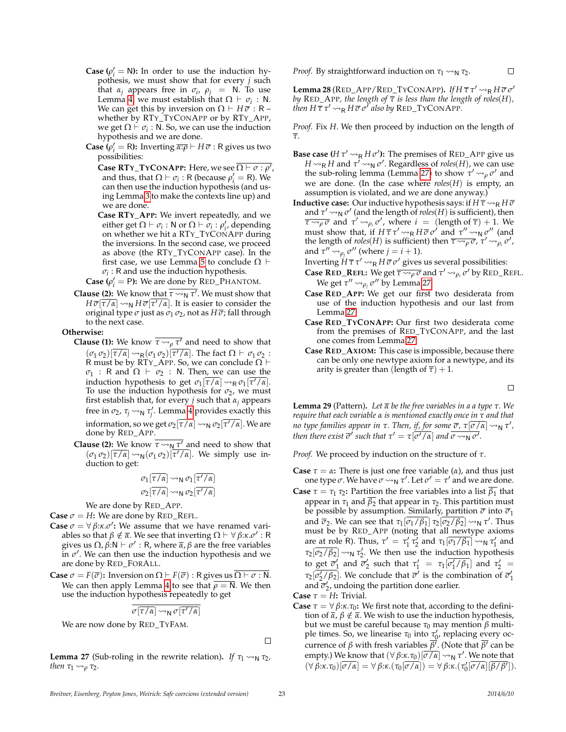- **Case** ( $\rho_i' = N$ ): In order to use the induction hypothesis, we must show that for every *j* such that  $\alpha_j$  appears free in  $\sigma_i$ ,  $\rho_j$  = N. To use Lemma [4,](#page-18-4) we must establish that  $\Omega \vdash \sigma_i : \mathsf{N}.$ We can get this by inversion on  $\Omega \vdash H\overline{\sigma}$  : R – whether by RTY\_TYCONAPP or by RTY\_APP, we get  $\Omega \vdash \sigma_i : \mathsf{N}$ . So, we can use the induction hypothesis and we are done.
- **Case**  $(\rho_i' = R)$ : Inverting  $\overline{\alpha:\rho} \vdash H\overline{\sigma}$  : R gives us two possibilities:
	- **Case RTY\_TYCONAPP**: Here, we see  $\overline{\Omega \vdash \sigma : \rho'}$ , and thus, that  $\Omega \vdash \sigma_i : \mathsf{R}$  (because  $\rho'_i = \mathsf{R}$ ). We can then use the induction hypothesis (and using Lemma [3](#page-18-5) to make the contexts line up) and we are done.
	- **Case RTY\_APP:** We invert repeatedly, and we either get  $\Omega \vdash \sigma_i : \mathsf{N}$  or  $\Omega \vdash \sigma_i : \rho'_i$ , depending on whether we hit a RTY\_TYCONAPP during the inversions. In the second case, we proceed as above (the RTY\_TYCONAPP case). In the first case, we use Lemma [5](#page-18-2) to conclude  $\Omega \vdash$  $\sigma_i$ : R and use the induction hypothesis.

**Case** ( $\rho'_i$  = **P):** We are done by RED\_PHANTOM.

**Clause (2):** We know that  $\overline{\tau \rightarrow_{N} \tau'}$ . We must show that  $H \overline{\sigma}$ [ $\overline{\tau/\alpha}$ ]  $\rightsquigarrow$ <sub>N</sub>  $H \overline{\sigma}$ [ $\overline{\tau'/\alpha}$ ]. It is easier to consider the original type  $\sigma$  just as  $\sigma_1 \sigma_2$ , not as  $H \overline{\sigma}$ ; fall through to the next case.

#### **Otherwise:**

- **Clause (1):** We know  $\overline{\tau \rightarrow \rho} \overline{\tau'}$  and need to show that  $(\sigma_1 \sigma_2)[\overline{\tau}/\alpha] \rightsquigarrow_R (\sigma_1 \sigma_2)[\overline{\tau'/\alpha}]$ . The fact  $\Omega \vdash \sigma_1 \sigma_2$ : R must be by RTY\_APP. So, we can conclude  $\Omega \vdash$  $\sigma_1$  : R and  $\Omega \vdash \sigma_2$  : N. Then, we can use the induction hypothesis to get  $\sigma_1[\overline{\tau}/\alpha] \rightsquigarrow_R \sigma_1[\overline{\tau'/\alpha}]$ . To use the induction hypothesis for  $\sigma_2$ , we must first establish that, for every *j* such that *α<sup>j</sup>* appears free in  $\sigma_2$ ,  $\tau_j \rightarrow_N \tau'_j$ . Lemma [4](#page-18-4) provides exactly this information, so we get  $\sigma_2[\overline{\tau/\alpha}] \leadsto_N \sigma_2[\overline{\tau'/\alpha}]$ . We are done by RED\_APP.
- **Clause (2):** We know  $\overline{\tau \rightarrow_{N} \tau'}$  and need to show that  $(\sigma_1 \sigma_2) [\overline{\tau}/\alpha] \rightsquigarrow_N (\sigma_1 \sigma_2) [\overline{\tau'/\alpha}]$ . We simply use induction to get:

$$
\sigma_1[\overline{\tau/\alpha}] \rightsquigarrow_N \sigma_1[\overline{\tau'/\alpha}]
$$

$$
\sigma_2[\overline{\tau/\alpha}] \rightsquigarrow_N \sigma_2[\overline{\tau'/\alpha}]
$$

We are done by RED\_APP.

**Case**  $\sigma = H$ **:** We are done by RED\_REFL.

- **Case**  $\sigma = \forall \beta:\kappa.\sigma'$ : We assume that we have renamed variables so that  $\beta \notin \overline{\alpha}$ . We see that inverting  $\Omega \vdash \forall \, \beta \mathpunct{:}\kappa. \sigma' : \mathsf{R}$ gives us  $\Omega$ ,  $\beta$ :**N**  $\vdash$   $\sigma'$  : R, where  $\bar{\alpha}$ ,  $\beta$  are the free variables in  $\sigma'$ . We can then use the induction hypothesis and we are done by RED\_FORALL.
- **Case**  $\sigma = F(\overline{\sigma})$ : Inversion on  $\Omega \vdash F(\overline{\sigma})$  : R gives us  $\Omega \vdash \sigma$  : N. We can then apply Lemma [4](#page-18-4) to see that  $\rho = N$ . We then use the induction hypothesis repeatedly to get

$$
\overline{\sigma[\overline{\tau/\alpha}]\leadsto_N\sigma[\overline{\tau'/\alpha}]}
$$

We are now done by RED\_TYFAM.

 $\Box$ 

<span id="page-22-0"></span>**Lemma 27** (Sub-roling in the rewrite relation). *If*  $\tau_1 \rightarrow \tau_2$ , *then*  $\tau_1 \rightarrow \rho \tau_2$ *.* 

*Proof.* By straightforward induction on  $\tau_1 \rightarrow \tau_2$ .

<span id="page-22-1"></span>**Lemma 28** (RED\_APP/RED\_TYCONAPP). *If*  $H \overline{\tau} \tau' \rightsquigarrow_R H \overline{\sigma} \sigma'$ *by* RED\_APP, the length of  $\bar{\tau}$  *is less than the length of roles*(*H*), *then H*  $\overline{\tau}$   $\tau'$   $\rightsquigarrow$  *R H*  $\overline{\sigma}$  *o<sup>r</sup> also by* <code>RED\_TYCONAPP.</code>

*Proof.* Fix *H*. We then proceed by induction on the length of *τ*.

- **Base case** (*H*  $\tau' \rightarrow_R H \sigma'$ ): The premises of RED\_APP give us *H*  $\rightsquigarrow$ <sub>R</sub> *H* and  $\tau' \rightsquigarrow_N \sigma'$ . Regardless of *roles*(*H*), we can use the sub-roling lemma (Lemma [27\)](#page-22-0) to show  $\tau' \rightarrow \rho \sigma'$  and we are done. (In the case where *roles*(*H*) is empty, an assumption is violated, and we are done anyway.)
- **Inductive case:** Our inductive hypothesis says: if  $H \overline{\tau} \rightarrow_R H \overline{\sigma}$ and  $\tau' \rightarrow_{\mathsf{N}} \sigma'$  (and the length of *roles*(*H*) is sufficient), then  $\overline{\tau} \rightarrow \overline{\rho}$  *σ* and  $\tau' \rightarrow \rho_i \sigma'$ , where *i* = (length of  $\overline{\tau}$ ) + 1. We must show that, if  $H \overline{\tau} \tau' \rightarrow_R H \overline{\sigma} \sigma'$  and  $\tau'' \rightarrow_N \sigma''$  (and the length of *roles*(*H*) is sufficient) then  $\overline{\tau} \rightarrow \rho \overline{\sigma}$ ,  $\tau' \rightarrow \rho_i \sigma'$ , and  $\tau'' \rightarrow_{\rho_j} \sigma''$  (where  $j = i + 1$ ).

Inverting  $H \overline{\tau} \tau' \rightarrow_R H \overline{\sigma} \sigma'$  gives us several possibilities:

- **Case RED\_REFL:** We get  $\overline{\tau \rightarrow \rho \sigma}$  and  $\tau' \rightarrow \rho_i \sigma'$  by RED\_REFL. We get *τ*<sup>*n*</sup> ∞→<sub>*ρ<sub>j</sub> σ*<sup>*n*</sup> by Lemma [27.](#page-22-0)</sub>
- **Case RED\_APP:** We get our first two desiderata from use of the induction hypothesis and our last from Lemma [27.](#page-22-0)
- **Case RED\_TYCONAPP:** Our first two desiderata come from the premises of RED\_TYCONAPP, and the last one comes from Lemma [27.](#page-22-0)
- **Case RED\_AXIOM:** This case is impossible, because there can be only one newtype axiom for a newtype, and its arity is greater than (length of  $\overline{\tau}$ ) + 1.

 $\Box$ 

**Lemma 29** (Pattern)**.** *Let α be the free variables in a a type τ. We require that each variable α is mentioned exactly once in τ and that no type families appear in τ. Then, if, for some*  $\overline{\sigma}$ *, τ* $[\overline{\sigma/\alpha}] \leadsto_{\mathsf{N}} \tau'$ *, then there exist*  $\overline{\sigma}$  *such that*  $\tau' = \tau[\overline{\sigma'/\alpha}]$  *and*  $\overline{\sigma \leadsto_N \sigma'}$ .

*Proof.* We proceed by induction on the structure of *τ*.

- **Case**  $\tau = \alpha$ : There is just one free variable ( $\alpha$ ), and thus just one type  $\sigma$ . We have  $\sigma \rightarrow_{\mathsf{N}} \tau'$ . Let  $\sigma' = \tau'$  and we are done.
- **Case**  $\tau = \tau_1 \tau_2$ : Partition the free variables into a list  $\beta_1$  that appear in  $\tau_1$  and  $\overline{\beta_2}$  that appear in  $\tau_2$ . This partition must be possible by assumption. Similarly, partition  $\bar{\sigma}$  into  $\bar{\sigma}_1$ and  $\overline{\sigma}_2$ . We can see that  $\tau_1[\overline{\sigma_1/\beta_1}]\tau_2[\overline{\sigma_2/\beta_2}]\leadsto_N \tau'$ . Thus must be by RED\_APP (noting that all newtype axioms are at role R). Thus,  $\tau' = \tau'_1 \tau'_2$  and  $\tau_1 [\overline{\sigma_1/\beta_1}] \rightarrow_N \tau'_1$  and  $\tau_2[\overline{\sigma_2/\beta_2}] \rightsquigarrow_N \tau_2'$ . We then use the induction hypothesis to get  $\overline{\sigma}'_1$  and  $\overline{\sigma}'_2$  such that  $\tau'_1 = \tau_1 [\overline{\sigma'_1/\beta_1}]$  and  $\tau'_2 =$ *τ*<sub>2</sub> $\overline{[\sigma'_2/\beta_2]}$ . We conclude that  $\overline{\sigma}'$  is the combination of  $\overline{\sigma}'_1$ and  $\overline{\sigma}'_2$ , undoing the partition done earlier.
- **Case**  $\tau = H$ **:** Trivial.
- **Case**  $\tau = \forall \beta:\mathbf{x}.\tau_0$ : We first note that, according to the definition of  $\bar{\alpha}$ ,  $\beta \notin \bar{\alpha}$ . We wish to use the induction hypothesis, but we must be careful because  $τ_0$  may mention  $β$  multiple times. So, we linearise *τ*<sub>0</sub> into *τ*<sup>*i*</sup><sub>0</sub>, replacing every occurrence of *β* with fresh variables  $\overline{\beta'}$ . (Note that  $\overline{\beta'}$  can be empty.) We know that  $(\forall \beta:\kappa.\tau_0)[\overline{\sigma/\alpha}] \leadsto_N \tau'$ . We note that  $(\forall \vec{\beta}:\vec{\kappa}.\tau_0)[\overline{\sigma/\alpha}] = \forall \vec{\beta}:\vec{\kappa}.(\tau_0[\overline{\sigma/\alpha}]) = \forall \vec{\beta}:\vec{\kappa}.(\tau_0'[\overline{\sigma/\alpha}][\overline{\beta/\beta}]).$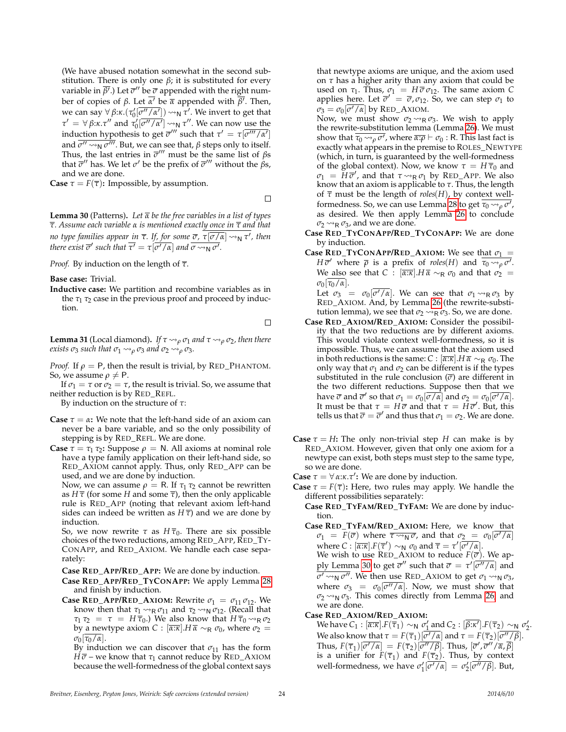(We have abused notation somewhat in the second substitution. There is only one  $\beta$ ; it is substituted for every variable in  $\overline{\beta'}$ .) Let  $\overline{\sigma}''$  be  $\overline{\sigma}$  appended with the right number of copies of *β*. Let  $\overline{\alpha'}$  be  $\overline{\alpha}$  appended with  $\overline{\beta'}$ . Then, we can say  $\forall \beta:\kappa.(\tau_0'[\overline{\sigma''/\alpha'}]) \leadsto_N \tau'$ . We invert to get that *τ*<sup> $\tau$ </sup> =  $\forall$  *β*:*κ*.*τ*<sup>*u*</sup> and *τ*<sub>0</sub><sup>*[σ<sup><i>u*</sup>/*α*<sup>*i*</sup>]  $\rightsquigarrow$ <sub>N</sub> τ<sup>*u*</sup>. We can now <u>use the</u></sup> induction hypothesis to get  $\overline{\sigma}$ <sup>*m*</sup> such that  $\tau' = \tau[\overline{\sigma}$ *m* $/\alpha$ <sup>*n*</sup>] and  $\overline{\sigma'' \rightarrow_{N} \sigma'''}$ . But, we can see that,  $\beta$  steps only to itself. Thus, the last entries in  $\bar{\sigma}$ <sup>*'''*</sup> must be the same list of  $\beta$ s that  $\bar{\sigma}''$  has. We let  $\sigma'$  be the prefix of  $\bar{\sigma}'''$  without the *β*s, and we are done.

**Case**  $\tau = F(\overline{\tau})$ : Impossible, by assumption.

 $\Box$ 

<span id="page-23-0"></span>**Lemma 30** (Patterns)**.** *Let α be the free variables in a list of types τ. Assume each variable α is mentioned exactly once in τ and that no type families appear in*  $\overline{\tau}$ *. If, for some*  $\overline{\sigma}$ *,*  $\tau[\overline{\sigma/\alpha}] \leadsto_{\mathsf{N}} \tau'$ *, then there exist*  $\overline{\sigma}$  *such that*  $\overline{\tau}$ <sup> $\tau$ </sup> =  $\tau$  $[\overline{\sigma'}/\overline{\alpha}]$  *and*  $\overline{\sigma \rightsquigarrow_N \sigma'}$ .

*Proof.* By induction on the length of *τ*.

**Base case:** Trivial.

**Inductive case:** We partition and recombine variables as in the  $\tau_1$   $\tau_2$  case in the previous proof and proceed by induction.

 $\Box$ 

<span id="page-23-1"></span>**Lemma 31** (Local diamond). *If*  $\tau \rightarrow \rho \sigma_1$  *and*  $\tau \rightarrow \rho \sigma_2$ *, then there exists*  $\sigma_3$  *such that*  $\sigma_1 \rightarrow \rho \sigma_3$  *and*  $\sigma_2 \rightarrow \rho \sigma_3$ *.* 

*Proof.* If  $\rho = P$ , then the result is trivial, by RED\_PHANTOM. So, we assume  $\rho \neq P$ .

If  $\sigma_1 = \tau$  or  $\sigma_2 = \tau$ , the result is trivial. So, we assume that neither reduction is by RED\_REFL.

By induction on the structure of *τ*:

- **Case**  $\tau = \alpha$ : We note that the left-hand side of an axiom can never be a bare variable, and so the only possibility of stepping is by RED\_REFL. We are done.
- **Case**  $\tau = \tau_1 \tau_2$ : Suppose  $\rho = N$ . All axioms at nominal role have a type family application on their left-hand side, so RED\_AXIOM cannot apply. Thus, only RED\_APP can be used, and we are done by induction.

Now, we can assume  $ρ = R$ . If  $τ_1 τ_2$  cannot be rewritten as *H τ* (for some *H* and some *τ*), then the only applicable rule is RED\_APP (noting that relevant axiom left-hand sides can indeed be written as  $H\bar{\tau}$ ) and we are done by induction.

So, we now rewrite *τ* as  $H\overline{\tau}_0$ . There are six possible choices of the two reductions, among RED\_APP, RED\_TY-CONAPP, and RED\_AXIOM. We handle each case separately:

**Case RED\_APP/RED\_APP:** We are done by induction.

**Case RED\_APP/RED\_TYCONAPP:** We apply Lemma [28](#page-22-1) and finish by induction.

**Case RED\_APP/RED\_AXIOM:** Rewrite  $\sigma_1 = \sigma_{11} \sigma_{12}$ . We know then that  $\tau_1 \rightarrow_R \sigma_{11}$  and  $\tau_2 \rightarrow_R \sigma_{12}$ . (Recall that  $\tau_1 \tau_2 = \tau = H \overline{\tau}_0$ .) We also know that  $H \overline{\tau}_0 \rightarrow_R \sigma_2$ by a newtype axiom *C* :  $[\overline{\alpha:\kappa}]$ .*H* $\overline{\alpha} \sim_R \sigma_0$ , where  $\sigma_2$  =  $\sigma_0[\tau_0/\alpha]$ .

By induction we can discover that  $\sigma_{11}$  has the form  $H\bar{\sigma}$  – we know that  $\tau_1$  cannot reduce by RED\_AXIOM because the well-formedness of the global context says that newtype axioms are unique, and the axiom used on  $\tau$  has a higher arity than any axiom that could be used on  $\tau_1$ . Thus,  $\sigma_1 = H \overline{\sigma} \sigma_{12}$ . The same axiom *C* applies here. Let  $\overline{\sigma}' = \overline{\sigma}, \sigma_{12}$ . So, we can step  $\sigma_1$  to  $\sigma_3 = \sigma_0 \overline{[\sigma'/\alpha]}$  by RED\_AXIOM.

Now, we must show  $\sigma_2 \rightarrow_R \sigma_3$ . We wish to apply the rewrite-substitution lemma (Lemma [26\)](#page-21-0). We must show that  $\overline{\tau_0\rightsquigarrow_\rho\sigma'}$ , where  $\overline{\alpha:\!\rho}\vdash\sigma_0$  : R. This last fact is exactly what appears in the premise to ROLES\_NEWTYPE (which, in turn, is guaranteed by the well-formedness of the global context). Now, we know  $\tau = H \overline{\tau}_0$  and  $\sigma_1 = \overline{H} \overline{\sigma}'$ , and that  $\tau \rightarrow_R \sigma_1$  by RED\_APP. We also know that an axiom is applicable to *τ*. Thus, the length of *τ* must be the length of *roles*(*H*), by context well-formedness. So, we can use Lemma [28](#page-22-1) to get  $\overline{\tau_0 \leadsto_{\rho} \sigma'}$ , as desired. We then apply Lemma [26](#page-21-0) to conclude  $\sigma_2 \rightarrow_R \sigma_3$ , and we are done.

- **Case RED\_TYCONAPP/RED\_TYCONAPP:** We are done by induction.
- **Case RED\_TYCONAPP/RED\_AXIOM:** We see that  $\sigma_1$  = *H* $\overline{\sigma}$ <sup>*'*</sup> where  $\overline{\rho}$  is a prefix of *roles*(*H*) and  $\overline{\tau_0 \rightsquigarrow_\rho \sigma'}$ . We also see that *C* :  $[\overline{\alpha:\kappa}] \cdot H \overline{\alpha} \sim_R \sigma_0$  and that  $\sigma_2$  =  $\sigma_0[\tau_0/\alpha]$ .

Let  $\sigma_3 = \sigma_0 [\overline{\sigma'/\alpha}]$ . We can see that  $\sigma_1 \rightarrow_R \sigma_3$  by RED\_AXIOM. And, by Lemma [26](#page-21-0) (the rewrite-substitution lemma), we see that  $\sigma_2 \rightarrow_R \sigma_3$ . So, we are done.

- **Case RED\_AXIOM/RED\_AXIOM:** Consider the possibility that the two reductions are by different axioms. This would violate context well-formedness, so it is impossible. Thus, we can assume that the axiom used in both reductions is the same: *C* :  $[\overline{\alpha:\kappa}] \cdot H \overline{\alpha} \sim_R \sigma_0$ . The only way that  $\sigma_1$  and  $\sigma_2$  can be different is if the types substituted in the rule conclusion  $(\bar{\sigma})$  are different in the two different reductions. Suppose then that we have  $\overline{\sigma}$  and  $\overline{\sigma}'$  so that  $\sigma_1 = \sigma_0[\overline{\sigma/a}]$  and  $\sigma_2 = \sigma_0[\overline{\sigma'/a}]$ . It must be that  $\tau = H \overline{\sigma}$  and that  $\tau = H \overline{\sigma}'$ . But, this tells us that  $\overline{\sigma} = \overline{\sigma}'$  and thus that  $\sigma_1 = \sigma_2$ . We are done.
- **Case**  $\tau = H$ **:** The only non-trivial step *H* can make is by RED\_AXIOM. However, given that only one axiom for a newtype can exist, both steps must step to the same type, so we are done.

**Case**  $\tau = \forall \alpha : \kappa \cdot \tau'$ : We are done by induction.

**Case**  $\tau = F(\overline{\tau})$ : Here, two rules may apply. We handle the different possibilities separately:

**Case RED\_TYFAM/RED\_TYFAM:** We are done by induction.

- **Case RED\_TYFAM/RED\_AXIOM:** Here, we know that  $\sigma_1 = \overline{F(\overline{\sigma})}$  where  $\overline{\tau \rightarrow_{N} \sigma}$ , and that  $\sigma_2 = \sigma_0 [\overline{\sigma'/\alpha}]$ where  $C: [\overline{\alpha:\kappa}] \cdot F(\overline{\tau}') \sim_N \sigma_0$  and  $\overline{\tau} = \tau'[\overline{\sigma'/\alpha}]$ . We wish to use RED\_AXIOM to reduce *F*(*σ*). We ap-ply Lemma [30](#page-23-0) to get  $\overline{\sigma}''$  such that  $\overline{\sigma} = \tau'[\overline{\sigma''/\alpha}]$  and  $\overline{\sigma'} \rightarrow_{N} \overline{\sigma''}$ . We then use RED\_AXIOM to get  $\sigma_1 \rightarrow_{N} \sigma_3$ , where  $\sigma_3 = \sigma_0 \overline{[\sigma''/\alpha]}$ . Now, we must show that  $\sigma_2 \rightarrow_{\mathsf{N}} \sigma_3$ . This comes directly from Lemma [26,](#page-21-0) and we are done.
- **Case RED\_AXIOM/RED\_AXIOM:**

We have  $C_1 : [\overline{\alpha:\kappa}] \cdot F(\overline{\tau}_1) \sim_N \sigma'_1$  and  $C_2 : [\overline{\beta:\kappa'}] \cdot F(\overline{\tau}_2) \sim_N \sigma'_2$ . We also know that  $\tau = F(\overline{\tau}_1)[\overline{\sigma'/\alpha}]$  and  $\tau = F(\overline{\tau}_2)[\overline{\sigma''/\beta}]$ . Thus,  $F(\overline{\tau}_1)[\overline{\sigma'/\alpha}] = F(\overline{\tau}_2)[\overline{\sigma''/\beta}]$ . Thus,  $[\overline{\sigma}', \overline{\sigma}''/\overline{\alpha}, \overline{\beta}]$ is a unifier for  $F(\overline{\tau}_1)$  and  $F(\overline{\tau}_2)$ . Thus, by context well-formedness, we have  $\sigma'_{1}$   $\overline{\sigma'/\alpha}$  =  $\sigma'_{2}$   $\overline{\sigma''/\beta}$ . But,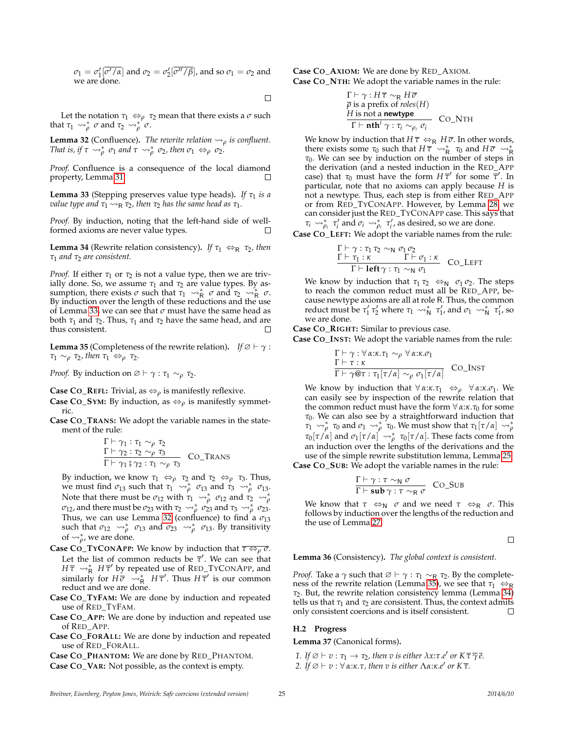$\sigma_1 = \sigma_1'[\overline{\sigma'/\alpha}]$  and  $\sigma_2 = \sigma_2'[\overline{\sigma''/\beta}]$ , and so  $\sigma_1 = \sigma_2$  and we are done.

 $\Box$ 

Let the notation  $\tau_1 \Leftrightarrow_{\rho} \tau_2$  mean that there exists a  $\sigma$  such that  $\tau_1 \leadsto_{\rho}^* \sigma$  and  $\tau_2 \leadsto_{\rho}^* \sigma$ .

<span id="page-24-1"></span>**Lemma 32** (Confluence). *The rewrite relation*  $\rightsquigarrow_{\rho}$  *is confluent. That is, if*  $\tau \sim_{\rho}^* \sigma_1$  *and*  $\tau \sim_{\rho}^* \sigma_2$ *, then*  $\sigma_1 \Leftrightarrow_{\rho} \sigma_2$ *.* 

*Proof.* Confluence is a consequence of the local diamond property, Lemma [31.](#page-23-1)  $\Box$ 

<span id="page-24-0"></span>**Lemma 33** (Stepping preserves value type heads). *If τ*<sub>1</sub> *is a value type and*  $\tau_1 \rightarrow \tau$   $\tau_2$ , then  $\tau_2$  has the same head as  $\tau_1$ .

*Proof.* By induction, noting that the left-hand side of wellformed axioms are never value types. □

<span id="page-24-3"></span>**Lemma 34** (Rewrite relation consistency). *If*  $\tau_1 \Leftrightarrow_R \tau_2$ *, then τ*<sup>1</sup> *and τ*<sup>2</sup> *are consistent.*

*Proof.* If either  $\tau_1$  or  $\tau_2$  is not a value type, then we are trivially done. So, we assume  $\tau_1$  and  $\tau_2$  are value types. By assumption, there exists  $\sigma$  such that  $\tau_1 \leadsto_R^* \sigma$  and  $\tau_2 \leadsto_R^* \sigma$ . By induction over the length of these reductions and the use of Lemma [33,](#page-24-0) we can see that  $\sigma$  must have the same head as both *τ*<sub>1</sub> and *τ*<sub>2</sub>. Thus, *τ*<sub>1</sub> and *τ*<sub>2</sub> have the same head, and are thus consistent. thus consistent.

<span id="page-24-2"></span>**Lemma 35** (Completeness of the rewrite relation). *If*  $\emptyset \vdash \gamma$ : *τ*<sub>1</sub> ∼*ρ τ*<sub>2</sub>*, then τ*<sub>1</sub> ⇔*ρ τ*<sub>2</sub>*.* 

*Proof.* By induction on  $\varnothing \vdash \gamma : \tau_1 \sim_{\rho} \tau_2$ .

**Case CO\_REFL**: Trivial, as  $\Leftrightarrow_{\rho}$  is manifestly reflexive.

**Case CO\_SYM:** By induction, as  $\Leftrightarrow_{\rho}$  is manifestly symmetric.

**Case CO\_TRANS:** We adopt the variable names in the statement of the rule:

$$
\frac{\Gamma \vdash \gamma_1 : \tau_1 \sim_{\rho} \tau_2}{\Gamma \vdash \gamma_2 : \tau_2 \sim_{\rho} \tau_3} \quad \text{Co\_Trans}
$$
\n
$$
\frac{\Gamma \vdash \gamma_1; \gamma_2 : \tau_1 \sim_{\rho} \tau_3}{\Gamma \vdash \gamma_1; \gamma_2 : \tau_1 \sim_{\rho} \tau_3}
$$

By induction, we know  $τ_1 \Leftrightarrow_ρ τ_2$  and  $τ_2 \Leftrightarrow_ρ τ_3$ . Thus, we must find  $\sigma_{13}$  such that  $\tau_1 \rightarrow \phi \rightarrow \sigma_{13}$  and  $\tau_3 \rightarrow \phi \rightarrow \sigma_{13}$ . Note that there must be  $\sigma_{12}$  with  $\tau_1 \leadsto^*_{\rho} \sigma_{12}$  and  $\tau_2 \leadsto^*_{\rho}$ *σ*<sub>12</sub>, and there must be *σ*<sub>23</sub> with  $\tau_2 \leadsto p^*$  *σ*<sub>23</sub> and  $\tau_3 \leadsto p^*$  *σ*<sub>23</sub>. Thus, we can use Lemma [32](#page-24-1) (confluence) to find a  $\sigma_{13}$ such that  $\sigma_{12} \rightarrow \rho^*$   $\sigma_{13}$  and  $\sigma_{23} \rightarrow \rho^*$   $\sigma_{13}$ . By transitivity of  $\rightsquigarrow^*_{\rho}$ , we are done.

- **Case CO\_TYCONAPP:** We know by induction that  $\overline{\tau \Leftrightarrow_{\rho} \sigma}$ . Let the list of common reducts be  $\bar{\tau}'$ . We can see that *H*  $\bar{\tau}$  ∞<sup>\*</sup><sub>*R*</sub> *H*  $\bar{\tau}$ <sup>*'*</sup> by repeated use of RED\_TYCONAPP, and similarly for  $H\overline{\sigma} \longrightarrow_R^* H\overline{\tau}'$ . Thus  $H\overline{\tau}'$  is our common reduct and we are done.
- **Case CO\_TYFAM:** We are done by induction and repeated use of RED\_TYFAM.
- **Case CO\_APP:** We are done by induction and repeated use of RED\_APP.
- **Case CO\_FORALL:** We are done by induction and repeated use of RED\_FORALL.
- **Case CO\_PHANTOM:** We are done by RED\_PHANTOM.
- **Case CO\_VAR:** Not possible, as the context is empty.

**Case CO\_AXIOM:** We are done by RED\_AXIOM. **Case CO\_NTH:** We adopt the variable names in the rule:

$$
\Gamma \vdash \gamma : H\overline{\tau} \sim_R H\overline{\sigma}
$$
\n
$$
\overline{\rho} \text{ is a prefix of } \text{roles}(H)
$$
\n
$$
\underline{H} \text{ is not a newtype \qquad \qquad \text{CO\_NTH}
$$
\n
$$
\Gamma \vdash \mathbf{nth}^i \gamma : \tau_i \sim_{\rho_i} \sigma_i
$$

We know by induction that  $H\bar{\tau} \Leftrightarrow_R H\bar{\sigma}$ . In other words, there exists some  $\tau_0$  such that  $H\overline{\tau} \rightarrow_R^* \tau_0$  and  $H\overline{\sigma} \rightarrow_R^*$  $\tau_0$ . We can see by induction on the number of steps in the derivation (and a nested induction in the RED\_APP case) that  $\tau_0$  must have the form  $H\bar{\tau}'$  for some  $\bar{\bar{\tau}}'$ . In particular, note that no axioms can apply because *H* is not a newtype. Thus, each step is from either RED\_APP or from RED\_TYCONAPP. However, by Lemma [28,](#page-22-1) we can consider just the RED\_TYCONAPP case. This says that *τ*<sub>*i*</sub>  $\rightsquigarrow$ <sup>\*</sup><sub>*ρi*</sub> *τ*<sub>*i*</sub><sup>*i*</sup>  $\rightsquigarrow$ <sup>\*</sup><sub>*ρ<sub><i>i*</sub></sup> *τ*<sub>*i*</sub><sup>*i*</sup> *as* desired, so we are done.</sub>

**Case CO\_LEFT:** We adopt the variable names from the rule:

$$
\frac{\Gamma \vdash \gamma : \tau_1 \tau_2 \sim_N \sigma_1 \sigma_2}{\Gamma \vdash \tau_1 : \kappa} \frac{\Gamma \vdash \sigma_1 : \kappa}{\Gamma \vdash \mathbf{left} \gamma : \tau_1 \sim_N \sigma_1} \text{ Co\_LEFT}
$$

We know by induction that  $\tau_1 \tau_2 \Leftrightarrow_N \sigma_1 \sigma_2$ . The steps to reach the common reduct must all be RED\_APP, because newtype axioms are all at role R. Thus, the common reduct must be  $\tau_1' \tau_2'$  where  $\tau_1 \leadsto_N^* \tau_1'$ , and  $\sigma_1 \leadsto_N^* \tau_1'$ , so we are done.

**Case CO\_RIGHT:** Similar to previous case. **Case CO\_INST:** We adopt the variable names from the rule:

$$
\begin{array}{l}\n\Gamma \vdash \gamma : \forall \alpha : \kappa. \tau_1 \sim_{\rho} \forall \alpha : \kappa. \sigma_1 \\
\frac{\Gamma \vdash \tau : \kappa}{\Gamma \vdash \gamma \circledast \tau : \tau_1[\tau/\alpha] \sim_{\rho} \sigma_1[\tau/\alpha]} \quad \text{Co\_INST}\n\end{array}
$$

We know by induction that  $\forall \alpha:\kappa.\tau_1 \Leftrightarrow_{\rho} \forall \alpha:\kappa.\sigma_1$ . We can easily see by inspection of the rewrite relation that the common reduct must have the form  $\forall \alpha : \kappa \cdot \tau_0$  for some *τ*0. We can also see by a straightforward induction that  $\tau_1 \leadsto_{\rho}^* \tau_0$  and  $\sigma_1 \leadsto_{\rho}^* \tau_0$ . We must show that  $\tau_1[\tau/\alpha] \leadsto_{\rho}^*$ <br>  $\tau_0[\tau/\alpha]$  and  $\sigma_1[\tau/\alpha] \leadsto_{\rho}^* \tau_0[\tau/\alpha]$ . These facts come from an induction over the lengths of the derivations and the use of the simple rewrite substitution lemma, Lemma [25.](#page-21-1)

**Case CO\_SUB:** We adopt the variable names in the rule:

$$
\frac{\Gamma \vdash \gamma : \tau \sim_N \sigma}{\Gamma \vdash \mathbf{sub} \gamma : \tau \sim_R \sigma} \quad \text{Co\_SUB}
$$

We know that  $\tau \Leftrightarrow_{N} \sigma$  and we need  $\tau \Leftrightarrow_{R} \sigma$ . This follows by induction over the lengths of the reduction and the use of Lemma [27.](#page-22-0)

$$
\qquad \qquad \Box
$$

<span id="page-24-4"></span>**Lemma 36** (Consistency)**.** *The global context is consistent.*

*Proof.* Take a  $\gamma$  such that  $\varnothing \vdash \gamma : \tau_1 \sim_R \tau_2$ . By the complete-ness of the rewrite relation (Lemma [35\)](#page-24-2), we see that  $\tau_1 \leftrightarrow_R$ *τ*2. But, the rewrite relation consistency lemma (Lemma [34\)](#page-24-3) tells us that  $\tau_1$  and  $\tau_2$  are consistent. Thus, the context admits only consistent coercions and is itself consistent. □

#### **H.2 Progress**

#### **Lemma 37** (Canonical forms)**.**

*1.**If* $\varnothing \vdash v : \tau_1 \to \tau_2$ **, then v is either**  $\lambda x : \tau . e^{\prime}$  **or**  $K \overline{\tau} \overline{\gamma} \overline{e}$ **.** *2. If* ∅  $\vdash v : ∀ \alpha:\kappa.\tau$ , then v is either Λα:κ.e' or Κ τ̃.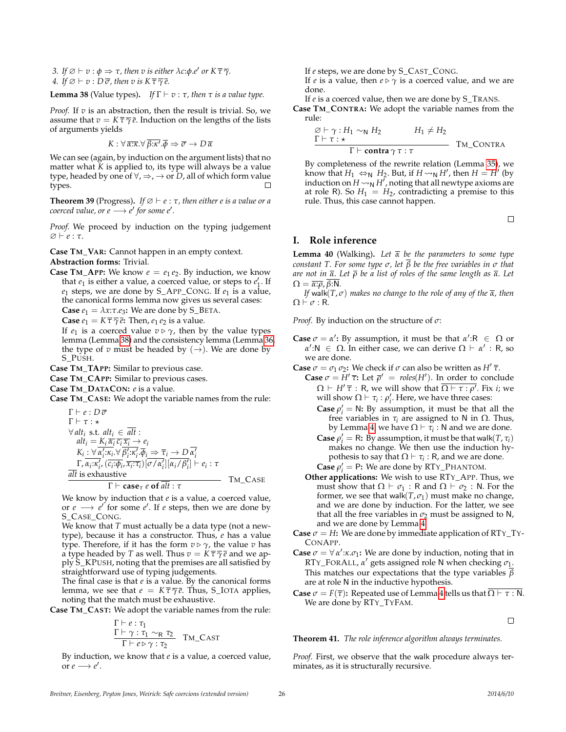*3. If*  $\varnothing \vdash v : \phi \Rightarrow \tau$ *, then v is either*  $\lambda c : \phi . e'$  or  $K \overline{\tau} \overline{\gamma}$ *. 4. If*  $\emptyset \vdash v : D\overline{\sigma}$ *, then v is*  $K\overline{\tau}\overline{\gamma}\overline{e}$ *.* 

<span id="page-25-1"></span>**Lemma 38** (Value types). *If*  $\Gamma \vdash v : \tau$ *, then*  $\tau$  *is a value type.* 

*Proof.* If *v* is an abstraction, then the result is trivial. So, we assume that  $v = K \overline{\tau} \overline{\gamma} \overline{e}$ . Induction on the lengths of the lists of arguments yields

$$
K: \forall \overline{\alpha:\kappa}. \forall \overline{\beta:\kappa'.\overline{\phi}} \Rightarrow \overline{\sigma} \to D \overline{\alpha}
$$

We can see (again, by induction on the argument lists) that no matter what *K* is applied to, its type will always be a value type, headed by one of  $\forall$ ,  $\Rightarrow$ ,  $\rightarrow$  or *D*, all of which form value types.

**Theorem 39** (Progress). If  $\emptyset \vdash e : \tau$ , then either e is a value or a  $\alpha$  *coerced value, or e*  $\longrightarrow$  *e' for some e'.* 

*Proof.* We proceed by induction on the typing judgement  $\varnothing \vdash e : \tau.$ 

**Case TM\_VAR:** Cannot happen in an empty context.

**Abstraction forms:** Trivial.

**Case TM\_APP:** We know  $e = e_1 e_2$ . By induction, we know that  $e_1$  is either a value, a coerced value, or steps to  $e'_1$ . If *e*<sup>1</sup> steps, we are done by S\_APP\_CONG. If *e*<sup>1</sup> is a value, the canonical forms lemma now gives us several cases:

**Case**  $e_1 = \lambda x$ :  $\tau \cdot e_3$ : We are done by S\_BETA.

**Case**  $e_1 = K \overline{\tau} \overline{\gamma} \overline{e}$ : Then,  $e_1 e_2$  is a value.

If  $e_1$  is a coerced value  $v \triangleright \gamma$ , then by the value types lemma (Lemma [38\)](#page-25-1) and the consistency lemma (Lemma [36,](#page-24-4) the type of *v* must be headed by  $(\rightarrow)$ . We are done by S\_PUSH.

**Case TM\_TAPP:** Similar to previous case.

**Case TM\_CAPP:** Similar to previous cases.

**Case TM\_DATACON:** *e* is a value.

**Case TM\_CASE:** We adopt the variable names from the rule:

$$
\Gamma \vdash e : D \overline{\sigma} \n\Gamma \vdash \tau : \star \n\forall \text{alt}_i \text{ s.t. } \text{alt}_i \in \overline{\text{alt}} : \n\text{alt}_i = K_i \overline{\alpha_i} \overline{c_i} \overline{x_i} \rightarrow e_i \nK_i : \forall \overline{\alpha'_i : \kappa_i} \forall \overline{\beta'_i : \kappa'_i} \cdot \overline{\phi_i} \Rightarrow \overline{\tau}_i \rightarrow D \overline{\alpha'_i} \n\Gamma, \alpha_i : \kappa'_i, (\overline{c_i} : \phi_i, \overline{x_i} : \overline{\tau}_i) [\overline{\sigma}/\alpha'_i][\alpha_i/\beta'_i] \vdash e_i : \tau \n\overline{\text{alt}} \text{ is exhaustive} \n\Gamma \vdash \text{case}_{\tau} e \text{ of } \overline{\text{alt}} : \tau
$$
\nTM\_CASE

We know by induction that *e* is a value, a coerced value, or  $e \longrightarrow e^{i'}$  for some  $e'$ . If  $e$  steps, then we are done by S CASE CONG.

We know that *T* must actually be a data type (not a newtype), because it has a constructor. Thus, *e* has a value type. Therefore, if it has the form  $v \triangleright \gamma$ , the value *v* has a type headed by *T* as well. Thus  $v = K \overline{\tau} \overline{\gamma} \overline{e}$  and we apply S\_KPUSH, noting that the premises are all satisfied by straightforward use of typing judgements.

The final case is that *e* is a value. By the canonical forms lemma, we see that  $e = K \overline{\tau} \overline{\gamma} \overline{e}$ . Thus, S\_IOTA applies, noting that the match must be exhaustive.

**Case TM\_CAST:** We adopt the variable names from the rule:

$$
\frac{\Gamma \vdash e : \tau_1}{\Gamma \vdash \gamma : \tau_1 \sim_R \tau_2} \quad TM\_CAST
$$
  
 
$$
\frac{\Gamma \vdash \gamma : \tau_1 \sim_R \tau_2}{\Gamma \vdash e \triangleright \gamma : \tau_2}
$$

By induction, we know that *e* is a value, a coerced value, or  $e \rightarrow e'$ .

If *e* steps, we are done by S\_CAST\_CONG.

If *e* is a value, then  $e \triangleright \gamma$  is a coerced value, and we are done.

If *e* is a coerced value, then we are done by S\_TRANS.

**Case TM\_CONTRA:** We adopt the variable names from the rule:

$$
\frac{\varnothing \vdash \gamma : H_1 \sim_N H_2 \qquad H_1 \neq H_2}{\Gamma \vdash \tau : \star \qquad \qquad \vdots \qquad \qquad \vdots
$$

By completeness of the rewrite relation (Lemma [35\)](#page-24-2), we know that  $H_1 \Leftrightarrow_N H_2$ . But, if  $H \rightsquigarrow_N H'$ , then  $H = H'$  (by induction on  $H \leadsto_N H$ <sup>*,*</sup>, noting that all newtype axioms are at role R). So  $H_1 = H_2$ , contradicting a premise to this rule. Thus, this case cannot happen.

 $\Box$ 

## <span id="page-25-0"></span>**I. Role inference**

<span id="page-25-2"></span>**Lemma 40** (Walking)**.** *Let α be the parameters to some type constant T. For some type σ, let β be the free variables in σ that are not in α. Let ρ be a list of roles of the same length as α. Let*  $\Omega = \overline{\alpha:\rho}, \overline{\beta:\mathsf{N}}.$ 

*If* walk(*T*, *σ*) *makes no change to the role of any of the α, then*  $\Omega \vdash \sigma : R$ .

*Proof.* By induction on the structure of *σ*:

- **Case**  $\sigma = \alpha'$ : By assumption, it must be that  $\alpha' : R \in \Omega$  or *α*': $N$  ∈ Ω. In either case, we can derive  $Ω \vdash α'$  : R, so we are done.
- **Case**  $\sigma = \sigma_1 \sigma_2$ : We check if  $\sigma$  can also be written as  $H' \overline{\tau}$ .
	- **Case**  $\sigma = H' \overline{\tau}$ : Let  $\overline{\rho}' = \text{roles}(H')$ . In order to conclude  $\Omega \vdash H' \overline{\tau}$  : R, we will show that  $\overline{\Omega \vdash \tau : \rho'}$ . Fix *i*; we will show  $\Omega \vdash \tau_i : \rho'_i$ . Here, we have three cases:
		- **Case**  $\rho'_i = N$ : By assumption, it must be that all the free variables in  $τ<sub>i</sub>$  are assigned to N in  $Ω$ . Thus, by Lemma [4,](#page-18-4) we have  $\Omega \vdash \tau_i : \mathsf{N}$  and we are done.
		- **Case**  $\rho'_i$  = R: By assumption, it must be that walk $(T, \tau_i)$ makes no change. We then use the induction hypothesis to say that  $\Omega \vdash \tau_i : \mathsf{R}$ , and we are done. **Case**  $\rho'_i$  = P: We are done by RTY\_PHANTOM.
	- **Other applications:** We wish to use RTY\_APP. Thus, we must show that  $\Omega \vdash \sigma_1$ : R and  $\Omega \vdash \sigma_2$ : N. For the former, we see that walk $(T, \sigma_1)$  must make no change, and we are done by induction. For the latter, we see that all the free variables in  $\sigma_2$  must be assigned to N, and we are done by Lemma [4.](#page-18-4)
- **Case**  $\sigma = H$ **:** We are done by immediate application of RTY\_TY-CONAPP.
- **Case**  $\sigma = \forall \alpha' : \kappa \cdot \sigma_1$ : We are done by induction, noting that in RTY\_FORALL, *α'* gets assigned role N when checking  $σ_1$ . This matches our expectations that the type variables *β* are at role N in the inductive hypothesis.
- **Case**  $\sigma = F(\overline{\tau})$ : Repeated use of Lemma [4](#page-18-4) tells us that  $\overline{\Omega \vdash \tau : \mathbb{N}}$ . We are done by RTY\_TYFAM.

 $\Box$ 

**Theorem 41.** *The role inference algorithm always terminates.*

*Proof.* First, we observe that the walk procedure always terminates, as it is structurally recursive.